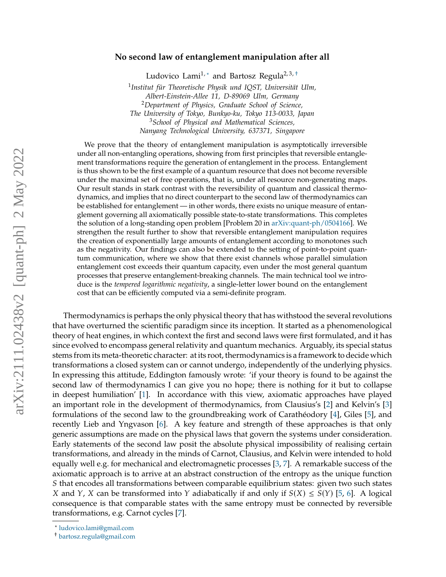# arXiv:2111.02438v2 [quant-ph] 2 May 2022 arXiv:2111.02438v2 [quant-ph] 2 May 2022

# **No second law of entanglement manipulation after all**

Ludovico Lami<sup>1,\*</sup> and Bartosz Regula<sup>2,3,[†](#page-0-1)</sup>

1 *Institut für Theoretische Physik und IQST, Universität Ulm, Albert-Einstein-Allee 11, D-89069 Ulm, Germany* <sup>2</sup>*Department of Physics, Graduate School of Science, The University of Tokyo, Bunkyo-ku, Tokyo 113-0033, Japan* <sup>3</sup>*School of Physical and Mathematical Sciences, Nanyang Technological University, 637371, Singapore*

We prove that the theory of entanglement manipulation is asymptotically irreversible under all non-entangling operations, showing from first principles that reversible entanglement transformations require the generation of entanglement in the process. Entanglement is thus shown to be the first example of a quantum resource that does not become reversible under the maximal set of free operations, that is, under all resource non-generating maps. Our result stands in stark contrast with the reversibility of quantum and classical thermodynamics, and implies that no direct counterpart to the second law of thermodynamics can be established for entanglement — in other words, there exists no unique measure of entanglement governing all axiomatically possible state-to-state transformations. This completes the solution of a long-standing open problem [Problem 20 in [arXiv:quant-ph/0504166\]](https://arxiv.org/abs/quant-ph/0504166). We strengthen the result further to show that reversible entanglement manipulation requires the creation of exponentially large amounts of entanglement according to monotones such as the negativity. Our findings can also be extended to the setting of point-to-point quantum communication, where we show that there exist channels whose parallel simulation entanglement cost exceeds their quantum capacity, even under the most general quantum processes that preserve entanglement-breaking channels. The main technical tool we introduce is the *tempered logarithmic negativity*, a single-letter lower bound on the entanglement cost that can be efficiently computed via a semi-definite program.

Thermodynamics is perhaps the only physical theory that has withstood the several revolutions that have overturned the scientific paradigm since its inception. It started as a phenomenological theory of heat engines, in which context the first and second laws were first formulated, and it has since evolved to encompass general relativity and quantum mechanics. Arguably, its special status stems from its meta-theoretic character: at its root, thermodynamics is a framework to decide which transformations a closed system can or cannot undergo, independently of the underlying physics. In expressing this attitude, Eddington famously wrote: 'if your theory is found to be against the second law of thermodynamics I can give you no hope; there is nothing for it but to collapse in deepest humiliation' [\[1\]](#page-12-0). In accordance with this view, axiomatic approaches have played an important role in the development of thermodynamics, from Clausius's [\[2\]](#page-12-1) and Kelvin's [\[3\]](#page-12-2) formulations of the second law to the groundbreaking work of Carathéodory [\[4\]](#page-13-0), Giles [\[5\]](#page-13-1), and recently Lieb and Yngvason [\[6\]](#page-13-2). A key feature and strength of these approaches is that only generic assumptions are made on the physical laws that govern the systems under consideration. Early statements of the second law posit the absolute physical impossibility of realising certain transformations, and already in the minds of Carnot, Clausius, and Kelvin were intended to hold equally well e.g. for mechanical and electromagnetic processes [\[3,](#page-12-2) [7\]](#page-13-3). A remarkable success of the axiomatic approach is to arrive at an abstract construction of the entropy as the unique function S that encodes all transformations between comparable equilibrium states: given two such states X and Y, X can be transformed into Y adiabatically if and only if  $S(X) \le S(Y)$  [\[5,](#page-13-1) [6\]](#page-13-2). A logical consequence is that comparable states with the same entropy must be connected by reversible transformations, e.g. Carnot cycles [\[7\]](#page-13-3).

<span id="page-0-0"></span><sup>∗</sup> [ludovico.lami@gmail.com](mailto:ludovico.lami@gmail.com)

<span id="page-0-1"></span><sup>†</sup> [bartosz.regula@gmail.com](mailto:bartosz.regula@gmail.com)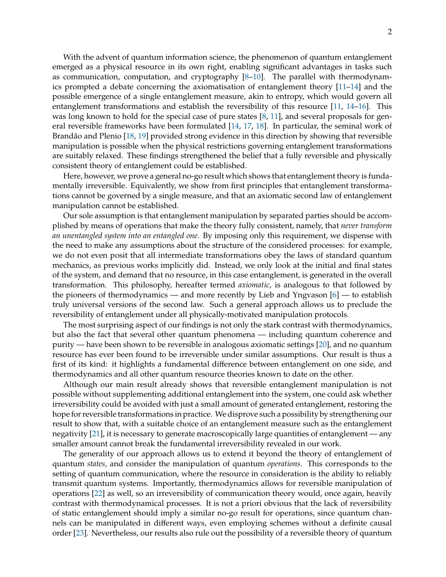With the advent of quantum information science, the phenomenon of quantum entanglement emerged as a physical resource in its own right, enabling significant advantages in tasks such as communication, computation, and cryptography [\[8–](#page-13-4)[10\]](#page-13-5). The parallel with thermodynamics prompted a debate concerning the axiomatisation of entanglement theory [\[11](#page-13-6)[–14\]](#page-13-7) and the possible emergence of a single entanglement measure, akin to entropy, which would govern all entanglement transformations and establish the reversibility of this resource [\[11,](#page-13-6) [14–](#page-13-7)[16\]](#page-13-8). This was long known to hold for the special case of pure states [\[8,](#page-13-4) [11\]](#page-13-6), and several proposals for general reversible frameworks have been formulated [\[14,](#page-13-7) [17,](#page-13-9) [18\]](#page-13-10). In particular, the seminal work of Brandão and Plenio [\[18,](#page-13-10) [19\]](#page-13-11) provided strong evidence in this direction by showing that reversible manipulation is possible when the physical restrictions governing entanglement transformations are suitably relaxed. These findings strengthened the belief that a fully reversible and physically consistent theory of entanglement could be established.

Here, however, we prove a general no-go result which shows that entanglement theory is fundamentally irreversible. Equivalently, we show from first principles that entanglement transformations cannot be governed by a single measure, and that an axiomatic second law of entanglement manipulation cannot be established.

Our sole assumption is that entanglement manipulation by separated parties should be accomplished by means of operations that make the theory fully consistent, namely, that *never transform an unentangled system into an entangled one.* By imposing only this requirement, we dispense with the need to make any assumptions about the structure of the considered processes: for example, we do not even posit that all intermediate transformations obey the laws of standard quantum mechanics, as previous works implicitly did. Instead, we only look at the initial and final states of the system, and demand that no resource, in this case entanglement, is generated in the overall transformation. This philosophy, hereafter termed *axiomatic*, is analogous to that followed by the pioneers of thermodynamics — and more recently by Lieb and Yngvason [\[6\]](#page-13-2) — to establish truly universal versions of the second law. Such a general approach allows us to preclude the reversibility of entanglement under all physically-motivated manipulation protocols.

The most surprising aspect of our findings is not only the stark contrast with thermodynamics, but also the fact that several other quantum phenomena — including quantum coherence and purity — have been shown to be reversible in analogous axiomatic settings [\[20\]](#page-13-12), and no quantum resource has ever been found to be irreversible under similar assumptions. Our result is thus a first of its kind: it highlights a fundamental difference between entanglement on one side, and thermodynamics and all other quantum resource theories known to date on the other.

Although our main result already shows that reversible entanglement manipulation is not possible without supplementing additional entanglement into the system, one could ask whether irreversibility could be avoided with just a small amount of generated entanglement, restoring the hope for reversible transformations in practice. We disprove such a possibility by strengthening our result to show that, with a suitable choice of an entanglement measure such as the entanglement negativity [\[21\]](#page-13-13), it is necessary to generate macroscopically large quantities of entanglement — any smaller amount cannot break the fundamental irreversibility revealed in our work.

The generality of our approach allows us to extend it beyond the theory of entanglement of quantum *states*, and consider the manipulation of quantum *operations*. This corresponds to the setting of quantum communication, where the resource in consideration is the ability to reliably transmit quantum systems. Importantly, thermodynamics allows for reversible manipulation of operations [\[22\]](#page-13-14) as well, so an irreversibility of communication theory would, once again, heavily contrast with thermodynamical processes. It is not a priori obvious that the lack of reversibility of static entanglement should imply a similar no-go result for operations, since quantum channels can be manipulated in different ways, even employing schemes without a definite causal order [\[23\]](#page-13-15). Nevertheless, our results also rule out the possibility of a reversible theory of quantum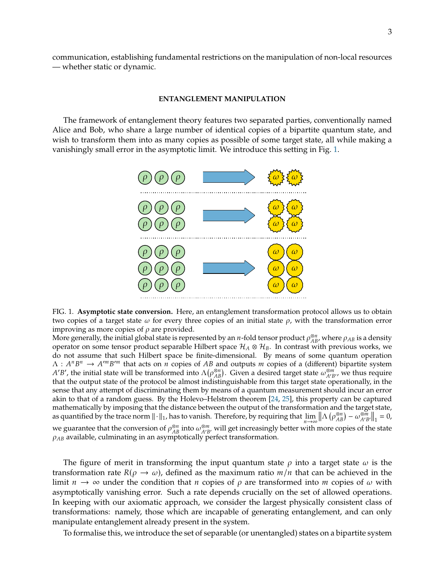communication, establishing fundamental restrictions on the manipulation of non-local resources — whether static or dynamic.

#### **ENTANGLEMENT MANIPULATION**

The framework of entanglement theory features two separated parties, conventionally named Alice and Bob, who share a large number of identical copies of a bipartite quantum state, and wish to transform them into as many copies as possible of some target state, all while making a vanishingly small error in the asymptotic limit. We introduce this setting in Fig. [1.](#page-2-0)



<span id="page-2-0"></span>FIG. 1. **Asymptotic state conversion.** Here, an entanglement transformation protocol allows us to obtain two copies of a target state  $\omega$  for every three copies of an initial state  $\rho$ , with the transformation error improving as more copies of  $\rho$  are provided.

More generally, the initial global state is represented by an *n*-fold tensor product  $\rho_{AB}^{\otimes n}$ , where  $\rho_{AB}$  is a density operator on some tensor product separable Hilbert space  $\mathcal{H}_{A} \otimes \mathcal{H}_{R}$ . In contrast wi operator on some tensor product separable Hilbert space  $\mathcal{H}_A \otimes \mathcal{H}_B$ . In contrast with previous works, we do not assume that such Hilbert space be finite-dimensional. By means of some quantum operation  $\Lambda: A^n B^n \to A^{\prime m} B^{\prime m}$  that acts on *n* copies of AB and outputs *m* copies of a (different) bipartite system  $A^{\prime} B^{\prime}$  the initial state will be transformed into  $\Lambda(\rho^{\otimes n})$ . Given a desired target state  $\omega^{\otimes m}$ ,  $\beta'$ , the initial state will be transformed into  $\Lambda(\rho_{AB}^{\alpha_B})$ . Given a desired target state  $\omega_{AB}^{\alpha_{BD}}$ , we thus require  $\beta'$ , the initial state will be transformed into  $\Lambda(\rho_{AB}^{\alpha_B})$ . Given a desired target state that the output state of the protocol be almost indistinguishable from this target state operationally, in the sense that any attempt of discriminating them by means of a quantum measurement should incur an error akin to that of a random guess. By the Holevo–Helstrom theorem [\[24,](#page-13-16) [25\]](#page-13-17), this property can be captured mathematically by imposing that the distance between the output of the transformation and the target state, as quantified by the trace norm  $\lVert \cdot \rVert_1$ , has to vanish. Therefore, by requiring that lim  $n \rightarrow \infty$ <br>ith  $\left\| \Lambda \left( \rho_{AB}^{\otimes n} \right) - \omega_{A'B'}^{\otimes m} \right\|_1 = 0,$ we guarantee that the conversion of  $\rho_{AB}^{\otimes n}$  into  $\omega_{A'B}^{\otimes m}$ , will get increasingly better with more copies of the state  $\rho_{AB}$  available, culminating in an asymptotically perfect transformation  $\rho_{AB}$  available, culminating in an asymptotically perfect transformation.

The figure of merit in transforming the input quantum state  $\rho$  into a target state  $\omega$  is the transformation rate  $R(\rho \to \omega)$ , defined as the maximum ratio  $m/n$  that can be achieved in the limit  $n \to \infty$  under the condition that *n* copies of  $\rho$  are transformed into *m* copies of  $\omega$  with asymptotically vanishing error. Such a rate depends crucially on the set of allowed operations. In keeping with our axiomatic approach, we consider the largest physically consistent class of transformations: namely, those which are incapable of generating entanglement, and can only manipulate entanglement already present in the system.

To formalise this, we introduce the set of separable (or unentangled) states on a bipartite system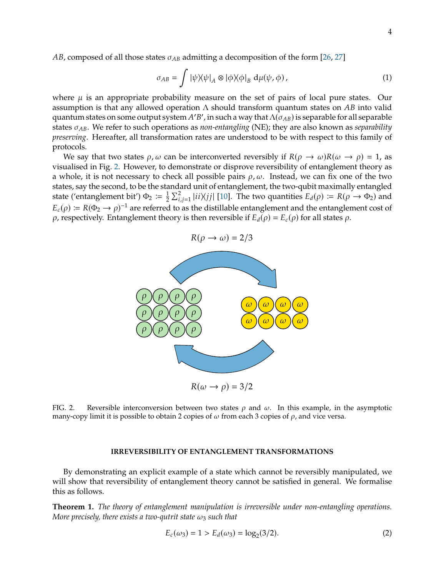*AB*, composed of all those states  $\sigma_{AB}$  admitting a decomposition of the form [\[26,](#page-13-18) [27\]](#page-13-19)

<span id="page-3-2"></span>
$$
\sigma_{AB} = \int |\psi \rangle \langle \psi|_A \otimes |\phi \rangle \langle \phi|_B d\mu(\psi, \phi), \qquad (1)
$$

where  $\mu$  is an appropriate probability measure on the set of pairs of local pure states. Our assumption is that any allowed operation  $\Lambda$  should transform quantum states on AB into valid quantum states on some output system A'B', in such a way that  $\Lambda(\sigma_{AB})$  is separable for all separable<br>states  $\sigma_{AB}$ . We refer to such operations as *non-entangling* (NE); they are also known as *senarghility* states  $\sigma_{AB}$ . We refer to such operations as *non-entangling* (NE); they are also known as *separability preserving*. Hereafter, all transformation rates are understood to be with respect to this family of protocols.

We say that two states  $\rho$ ,  $\omega$  can be interconverted reversibly if  $R(\rho \to \omega)R(\omega \to \rho) = 1$ , as visualised in Fig. [2.](#page-3-0) However, to demonstrate or disprove reversibility of entanglement theory as a whole, it is not necessary to check all possible pairs  $\rho$ ,  $\omega$ . Instead, we can fix one of the two states, say the second, to be the standard unit of entanglement, the two-qubit maximally entangled state ('entanglement bit')  $\Phi_2 := \frac{1}{2} \sum_{i,j=1}^2 |ii\rangle\langle jj|$  [\[10\]](#page-13-5). The two quantities  $E_d(\rho) := R(\rho \to \Phi_2)$  and  $E_c(\rho) := R(\Phi_2 \to \rho)^{-1}$  are referred to as the distillable entanglement and the entanglement cost of  $\rho$  respectively. Entanglement theory is then reversible if  $E_c(\rho) = E_c(\rho)$  for all states  $\rho$ .  $\rho$ , respectively. Entanglement theory is then reversible if  $E_d(\rho) = E_c(\rho)$  for all states  $\rho$ .



<span id="page-3-0"></span>FIG. 2. Reversible interconversion between two states  $\rho$  and  $\omega$ . In this example, in the asymptotic many-copy limit it is possible to obtain 2 copies of  $\omega$  from each 3 copies of  $\rho$ , and vice versa.

# **IRREVERSIBILITY OF ENTANGLEMENT TRANSFORMATIONS**

By demonstrating an explicit example of a state which cannot be reversibly manipulated, we will show that reversibility of entanglement theory cannot be satisfied in general. We formalise this as follows.

<span id="page-3-1"></span>**Theorem 1.** *The theory of entanglement manipulation is irreversible under non-entangling operations. More precisely, there exists a two-qutrit state*  $\omega_3$  *such that* 

$$
E_c(\omega_3) = 1 > E_d(\omega_3) = \log_2(3/2).
$$
 (2)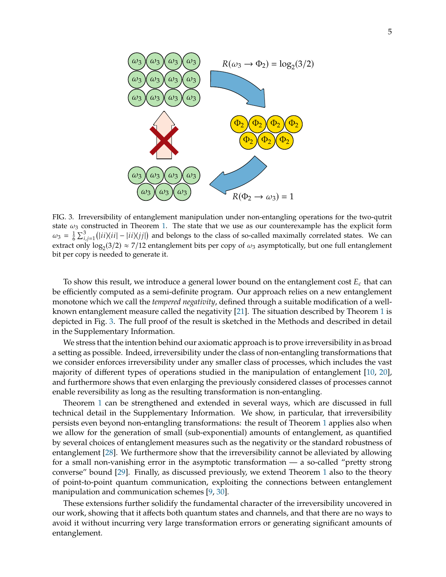

<span id="page-4-0"></span>FIG. 3. Irreversibility of entanglement manipulation under non-entangling operations for the two-qutrit state  $\omega_3$  constructed in Theorem [1.](#page-3-1) The state that we use as our counterexample has the explicit form  $\omega_3 = \frac{1}{6} \sum_{i,j=1}^3 (|ii\rangle\langle ii| - |ii\rangle\langle jj|)$  and belongs to the class of so-called maximally correlated states. We can extract only  $\log_2(3/2) \approx 7/12$  entanglement bits per copy of  $\omega_3$  asymptotically, but one full entanglement bit per copy is needed to generate it.

To show this result, we introduce a general lower bound on the entanglement cost  $E_c$  that can be efficiently computed as a semi-definite program. Our approach relies on a new entanglement monotone which we call the *tempered negativity*, defined through a suitable modification of a wellknown entanglement measure called the negativity [\[21\]](#page-13-13). The situation described by Theorem [1](#page-3-1) is depicted in Fig. [3.](#page-4-0) The full proof of the result is sketched in the Methods and described in detail in the Supplementary Information.

We stress that the intention behind our axiomatic approach is to prove irreversibility in as broad a setting as possible. Indeed, irreversibility under the class of non-entangling transformations that we consider enforces irreversibility under any smaller class of processes, which includes the vast majority of different types of operations studied in the manipulation of entanglement [\[10,](#page-13-5) [20\]](#page-13-12), and furthermore shows that even enlarging the previously considered classes of processes cannot enable reversibility as long as the resulting transformation is non-entangling.

Theorem [1](#page-3-1) can be strengthened and extended in several ways, which are discussed in full technical detail in the Supplementary Information. We show, in particular, that irreversibility persists even beyond non-entangling transformations: the result of Theorem [1](#page-3-1) applies also when we allow for the generation of small (sub-exponential) amounts of entanglement, as quantified by several choices of entanglement measures such as the negativity or the standard robustness of entanglement [\[28\]](#page-13-20). We furthermore show that the irreversibility cannot be alleviated by allowing for a small non-vanishing error in the asymptotic transformation — a so-called "pretty strong converse" bound [\[29\]](#page-13-21). Finally, as discussed previously, we extend Theorem [1](#page-3-1) also to the theory of point-to-point quantum communication, exploiting the connections between entanglement manipulation and communication schemes [\[9,](#page-13-22) [30\]](#page-13-23).

These extensions further solidify the fundamental character of the irreversibility uncovered in our work, showing that it affects both quantum states and channels, and that there are no ways to avoid it without incurring very large transformation errors or generating significant amounts of entanglement.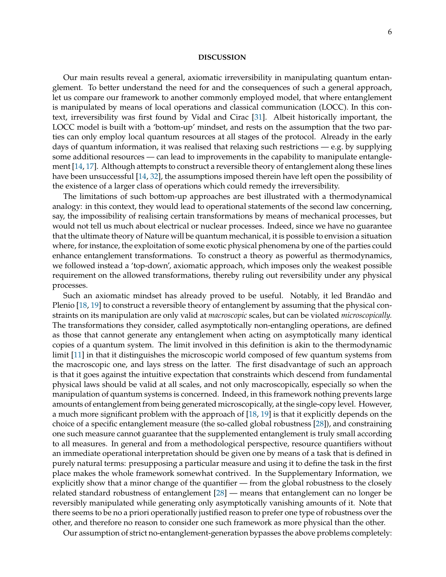#### **DISCUSSION**

Our main results reveal a general, axiomatic irreversibility in manipulating quantum entanglement. To better understand the need for and the consequences of such a general approach, let us compare our framework to another commonly employed model, that where entanglement is manipulated by means of local operations and classical communication (LOCC). In this context, irreversibility was first found by Vidal and Cirac [\[31\]](#page-13-24). Albeit historically important, the LOCC model is built with a 'bottom-up' mindset, and rests on the assumption that the two parties can only employ local quantum resources at all stages of the protocol. Already in the early days of quantum information, it was realised that relaxing such restrictions  $-$  e.g. by supplying some additional resources — can lead to improvements in the capability to manipulate entanglement [\[14,](#page-13-7) [17\]](#page-13-9). Although attempts to construct a reversible theory of entanglement along these lines have been unsuccessful [\[14,](#page-13-7) [32\]](#page-13-25), the assumptions imposed therein have left open the possibility of the existence of a larger class of operations which could remedy the irreversibility.

The limitations of such bottom-up approaches are best illustrated with a thermodynamical analogy: in this context, they would lead to operational statements of the second law concerning, say, the impossibility of realising certain transformations by means of mechanical processes, but would not tell us much about electrical or nuclear processes. Indeed, since we have no guarantee that the ultimate theory of Nature will be quantum mechanical, it is possible to envision a situation where, for instance, the exploitation of some exotic physical phenomena by one of the parties could enhance entanglement transformations. To construct a theory as powerful as thermodynamics, we followed instead a 'top-down', axiomatic approach, which imposes only the weakest possible requirement on the allowed transformations, thereby ruling out reversibility under any physical processes.

Such an axiomatic mindset has already proved to be useful. Notably, it led Brandão and Plenio [\[18,](#page-13-10) [19\]](#page-13-11) to construct a reversible theory of entanglement by assuming that the physical constraints on its manipulation are only valid at *macroscopic* scales, but can be violated *microscopically.* The transformations they consider, called asymptotically non-entangling operations, are defined as those that cannot generate any entanglement when acting on asymptotically many identical copies of a quantum system. The limit involved in this definition is akin to the thermodynamic limit [\[11\]](#page-13-6) in that it distinguishes the microscopic world composed of few quantum systems from the macroscopic one, and lays stress on the latter. The first disadvantage of such an approach is that it goes against the intuitive expectation that constraints which descend from fundamental physical laws should be valid at all scales, and not only macroscopically, especially so when the manipulation of quantum systems is concerned. Indeed, in this framework nothing prevents large amounts of entanglement from being generated microscopically, at the single-copy level. However, a much more significant problem with the approach of [\[18,](#page-13-10) [19\]](#page-13-11) is that it explicitly depends on the choice of a specific entanglement measure (the so-called global robustness [\[28\]](#page-13-20)), and constraining one such measure cannot guarantee that the supplemented entanglement is truly small according to all measures. In general and from a methodological perspective, resource quantifiers without an immediate operational interpretation should be given one by means of a task that is defined in purely natural terms: presupposing a particular measure and using it to define the task in the first place makes the whole framework somewhat contrived. In the Supplementary Information, we explicitly show that a minor change of the quantifier — from the global robustness to the closely related standard robustness of entanglement [\[28\]](#page-13-20) — means that entanglement can no longer be reversibly manipulated while generating only asymptotically vanishing amounts of it. Note that there seems to be no a priori operationally justified reason to prefer one type of robustness over the other, and therefore no reason to consider one such framework as more physical than the other.

Our assumption of strict no-entanglement-generation bypasses the above problems completely: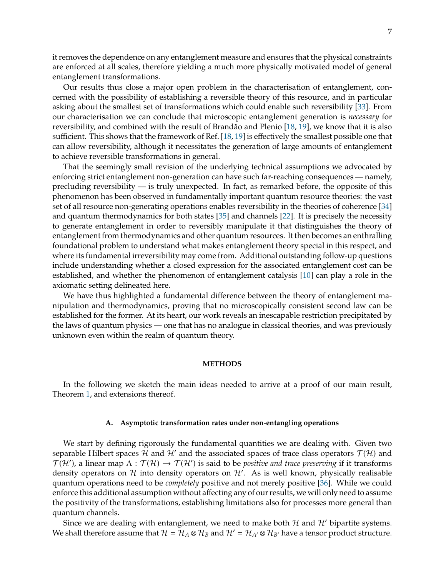it removes the dependence on any entanglement measure and ensures that the physical constraints are enforced at all scales, therefore yielding a much more physically motivated model of general entanglement transformations.

Our results thus close a major open problem in the characterisation of entanglement, concerned with the possibility of establishing a reversible theory of this resource, and in particular asking about the smallest set of transformations which could enable such reversibility [\[33\]](#page-13-26). From our characterisation we can conclude that microscopic entanglement generation is *necessary* for reversibility, and combined with the result of Brandão and Plenio [\[18,](#page-13-10) [19\]](#page-13-11), we know that it is also sufficient. This shows that the framework of Ref. [\[18,](#page-13-10) [19\]](#page-13-11) is effectively the smallest possible one that can allow reversibility, although it necessitates the generation of large amounts of entanglement to achieve reversible transformations in general.

That the seemingly small revision of the underlying technical assumptions we advocated by enforcing strict entanglement non-generation can have such far-reaching consequences — namely, precluding reversibility — is truly unexpected. In fact, as remarked before, the opposite of this phenomenon has been observed in fundamentally important quantum resource theories: the vast set of all resource non-generating operations enables reversibility in the theories of coherence [\[34\]](#page-14-0) and quantum thermodynamics for both states [\[35\]](#page-14-1) and channels [\[22\]](#page-13-14). It is precisely the necessity to generate entanglement in order to reversibly manipulate it that distinguishes the theory of entanglement from thermodynamics and other quantum resources. It then becomes an enthralling foundational problem to understand what makes entanglement theory special in this respect, and where its fundamental irreversibility may come from. Additional outstanding follow-up questions include understanding whether a closed expression for the associated entanglement cost can be established, and whether the phenomenon of entanglement catalysis [\[10\]](#page-13-5) can play a role in the axiomatic setting delineated here.

We have thus highlighted a fundamental difference between the theory of entanglement manipulation and thermodynamics, proving that no microscopically consistent second law can be established for the former. At its heart, our work reveals an inescapable restriction precipitated by the laws of quantum physics — one that has no analogue in classical theories, and was previously unknown even within the realm of quantum theory.

### **METHODS**

In the following we sketch the main ideas needed to arrive at a proof of our main result, Theorem [1,](#page-3-1) and extensions thereof.

#### **A. Asymptotic transformation rates under non-entangling operations**

We start by defining rigorously the fundamental quantities we are dealing with. Given two separable Hilbert spaces H and H' and the associated spaces of trace class operators  $\mathcal{T}(\mathcal{H})$  and  $\mathcal{T}(\mathcal{H}')$ , a linear map  $\Lambda: \mathcal{T}(\mathcal{H}) \to \mathcal{T}(\mathcal{H}')$  is said to be *positive and trace preserving* if it transforms density operators on H into density operators on H'. As is well known, physically realisable quantum operations need to be *completely* positive and not merely positive [\[36\]](#page-14-2). While we could enforce this additional assumption without affecting any of our results, we will only need to assume the positivity of the transformations, establishing limitations also for processes more general than quantum channels.

Since we are dealing with entanglement, we need to make both  $H$  and  $H'$  bipartite systems. We shall therefore assume that  $\mathcal{H} = \mathcal{H}_A \otimes \mathcal{H}_B$  and  $\mathcal{H}' = \mathcal{H}_{A'} \otimes \mathcal{H}_{B'}$  have a tensor product structure.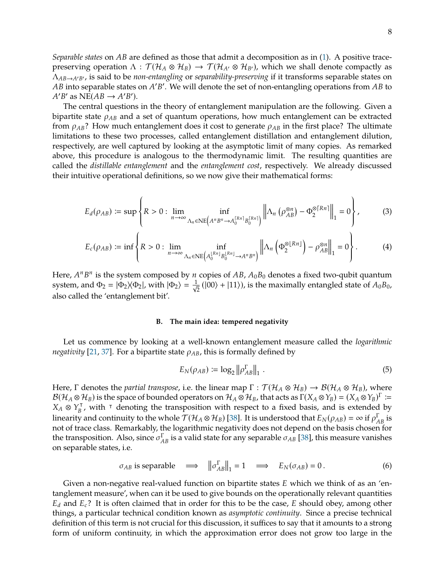*Separable states* on *AB* are defined as those that admit a decomposition as in [\(1\)](#page-3-2). A positive tracepreserving operation  $\Lambda : \mathcal{T}(\mathcal{H}_A \otimes \mathcal{H}_B) \to \mathcal{T}(\mathcal{H}_{A'} \otimes \mathcal{H}_{B'})$ , which we shall denote compactly as  $Λ<sub>AB→A'B'</sub>$ , is said to be *non-entangling* or *separability-preserving* if it transforms separable states on *AB* into separable states on *A'*<br> $A'B'$  as NE( $AB \rightarrow A'B'$ )  $\gamma$ . We will denote the set of non-entangling operations from  $AB$  to  $'B'$  as  $N\to (AB \rightarrow A'B')$ .<br>The central questions

The central questions in the theory of entanglement manipulation are the following. Given a bipartite state  $\rho_{AB}$  and a set of quantum operations, how much entanglement can be extracted from  $\rho_{AB}$ ? How much entanglement does it cost to generate  $\rho_{AB}$  in the first place? The ultimate limitations to these two processes, called entanglement distillation and entanglement dilution, respectively, are well captured by looking at the asymptotic limit of many copies. As remarked above, this procedure is analogous to the thermodynamic limit. The resulting quantities are called the *distillable entanglement* and the *entanglement cost*, respectively. We already discussed their intuitive operational definitions, so we now give their mathematical forms:

$$
E_d(\rho_{AB}) \coloneqq \sup \left\{ R > 0 : \lim_{n \to \infty} \inf_{\Lambda_n \in \text{NE}\left(A^n B^n \to A_0^{\lfloor R_n \rfloor} B_0^{\lfloor R_n \rfloor}\right)} \left\| \Lambda_n \left( \rho_{AB}^{\otimes n} \right) - \Phi_2^{\otimes \lceil R_n \rceil} \right\|_1 = 0 \right\},\tag{3}
$$

$$
E_c(\rho_{AB}) \coloneqq \inf \left\{ R > 0 : \lim_{n \to \infty} \inf_{\Lambda_n \in \text{NE}\left(A_0^{\lfloor Rn \rfloor} B_0^{\lfloor Rn \rfloor} \to A^n B^n\right)} \left\| \Lambda_n \left(\Phi_2^{\otimes \lfloor Rn \rfloor}\right) - \rho_{AB}^{\otimes n} \right\|_1 = 0 \right\}.
$$
 (4)

Here,  $A^n B^n$  is the system composed by *n* copies of  $AB$ ,  $A_0 B_0$  denotes a fixed two-qubit quantum<br>system, and  $\Phi_0 = | \Phi_0 \rangle \langle \Phi_0 |$ , with  $| \Phi_0 \rangle = \frac{1}{2} (| 00 \rangle + | 11 \rangle)$  is the maximally entangled state of  $A_0 B_0$ . System, and  $\Phi_2 = |\Phi_2\rangle\langle\Phi_2|$ , with  $|\Phi_2\rangle = \frac{1}{\sqrt{n}}$  $\frac{1}{2}$  (|00) + |11)), is the maximally entangled state of  $A_0B_0$ , also called the 'entanglement bit'.

## **B. The main idea: tempered negativity**

Let us commence by looking at a well-known entanglement measure called the *logarithmic negativity* [\[21,](#page-13-13) [37\]](#page-14-3). For a bipartite state  $\rho_{AB}$ , this is formally defined by

<span id="page-7-1"></span><span id="page-7-0"></span>
$$
E_N(\rho_{AB}) \coloneqq \log_2 \|\rho_{AB}^{\Gamma}\|_1 \ . \tag{5}
$$

Here, Γ denotes the *partial transpose*, i.e. the linear map  $\Gamma : \mathcal{T}(\mathcal{H}_A \otimes \mathcal{H}_B) \to \mathcal{B}(\mathcal{H}_A \otimes \mathcal{H}_B)$ , where  $\mathcal{B}(\mathcal{H}_A \otimes \mathcal{H}_B)$  is the space of bounded operators on  $\mathcal{H}_A \otimes \mathcal{H}_B$ , that acts as  $\Gamma(X_A \otimes Y_B) = (X_A \otimes Y_B)^{\Gamma} :=$ <br> $X \otimes Y^{\top}$  with I denoting the transposition with respect to a fixed basis, and is extended by  $X_A \otimes Y_B^T$ , with  $\tau$  denoting the transposition with respect to a fixed basis, and is extended by<br>linearity and continuity to the whole  $\mathcal{T}(1, 0, 21)$ . [28] It is understood that  $\Gamma$ ,  $(a_n)$  = 22 if  $s\Gamma$  is linearity and continuity to the whole  $\mathcal{T}(\mathcal{H}_A \otimes \mathcal{H}_B)$  [\[38\]](#page-14-4). It is understood that  $E_N(\rho_{AB}) = \infty$  if  $\rho_{AB}^{\Gamma}$  is not of trace class. Remarkably, the logarithmic negativity does not denend on the basis chosen fo not of trace class. Remarkably, the logarithmic negativity does not depend on the basis chosen for the transposition. Also, since  $\sigma_{AB}^{\Gamma}$  is a valid state for any separable  $\sigma_{AB}$  [\[38\]](#page-14-4), this measure vanishes on separable states i.e. on separable states, i.e.

<span id="page-7-2"></span>
$$
\sigma_{AB} \text{ is separable } \implies \left\| \sigma_{AB}^{\Gamma} \right\|_1 = 1 \implies E_N(\sigma_{AB}) = 0. \tag{6}
$$

Given a non-negative real-valued function on bipartite states  $E$  which we think of as an 'entanglement measure', when can it be used to give bounds on the operationally relevant quantities  $E_d$  and  $E_c$ ? It is often claimed that in order for this to be the case, E should obey, among other things, a particular technical condition known as *asymptotic continuity*. Since a precise technical definition of this term is not crucial for this discussion, it suffices to say that it amounts to a strong form of uniform continuity, in which the approximation error does not grow too large in the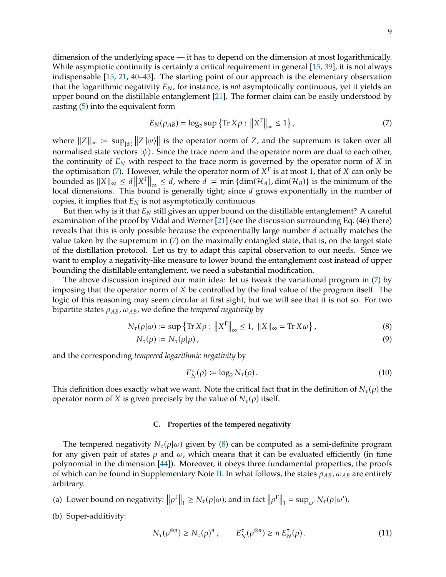dimension of the underlying space — it has to depend on the dimension at most logarithmically. While asymptotic continuity is certainly a critical requirement in general [\[15,](#page-13-27) [39\]](#page-14-5), it is not always indispensable [\[15,](#page-13-27) [21,](#page-13-13) [40](#page-14-6)[–43\]](#page-14-7). The starting point of our approach is the elementary observation that the logarithmic negativity  $E_N$ , for instance, is *not* asymptotically continuous, yet it yields an upper bound on the distillable entanglement [\[21\]](#page-13-13). The former claim can be easily understood by casting [\(5\)](#page-7-0) into the equivalent form

<span id="page-8-0"></span>
$$
E_N(\rho_{AB}) = \log_2 \sup \{ \text{Tr } X\rho : ||X^{\Gamma}||_{\infty} \le 1 \},\tag{7}
$$

where  $||Z||_{\infty} := \sup_{|\psi\rangle} ||Z|\psi\rangle||$  is the operator norm of Z, and the supremum is taken over all<br>pormalised state vectors  $|\psi\rangle$ . Since the trace norm and the energies norm are dual to each other normalised state vectors  $|\psi\rangle$ . Since the trace norm and the operator norm are dual to each other, the continuity of  $E<sub>N</sub>$  with respect to the trace norm is governed by the operator norm of X in the optimisation [\(7\)](#page-8-0). However, while the operator norm of  $X^{\Gamma}$  is at most 1, that of X can only be<br>bounded as  $||X|| < d ||X^{\Gamma}|| < d$  where  $d := \min \{ \dim(\mathcal{H}_{\Gamma}) \}$  is the minimum of the bounded as  $||X||_{\infty} \le d ||X^{\Gamma}||_{\infty} \le d$ , where  $d := \min {\dim(\mathcal{H}_A), \dim(\mathcal{H}_B)}$  is the minimum of the local dimensions. This bound is concrete tight; since degrees exponentially in the number of local dimensions. This bound is generally tight; since  $d$  grows exponentially in the number of copies, it implies that  $E_N$  is not asymptotically continuous.

But then why is it that  $E_N$  still gives an upper bound on the distillable entanglement? A careful examination of the proof by Vidal and Werner [\[21\]](#page-13-13) (see the discussion surrounding Eq. (46) there) reveals that this is only possible because the exponentially large number  $d$  actually matches the value taken by the supremum in [\(7\)](#page-8-0) on the maximally entangled state, that is, on the target state of the distillation protocol. Let us try to adapt this capital observation to our needs. Since we want to employ a negativity-like measure to lower bound the entanglement cost instead of upper bounding the distillable entanglement, we need a substantial modification.

The above discussion inspired our main idea: let us tweak the variational program in [\(7\)](#page-8-0) by imposing that the operator norm of  $X$  be controlled by the final value of the program itself. The logic of this reasoning may seem circular at first sight, but we will see that it is not so. For two bipartite states  $\rho_{AB}$ ,  $\omega_{AB}$ , we define the *tempered negativity* by

$$
N_{\tau}(\rho|\omega) \coloneqq \sup \left\{ \text{Tr}\, X\rho : \left\| X^{\Gamma} \right\|_{\infty} \le 1, \, \|X\|_{\infty} = \text{Tr}\, X\omega \right\},\tag{8}
$$

$$
N_{\tau}(\rho) \coloneqq N_{\tau}(\rho|\rho) \,, \tag{9}
$$

and the corresponding *tempered logarithmic negativity* by

<span id="page-8-1"></span>
$$
E_N^{\tau}(\rho) \coloneqq \log_2 N_{\tau}(\rho). \tag{10}
$$

This definition does exactly what we want. Note the critical fact that in the definition of  $N_{\tau}(\rho)$  the operator norm of X is given precisely by the value of  $N_{\tau}(\rho)$  itself.

# **C. Properties of the tempered negativity**

The tempered negativity  $N_{\tau}(\rho|\omega)$  given by [\(8\)](#page-8-1) can be computed as a semi-definite program for any given pair of states  $\rho$  and  $\omega$ , which means that it can be evaluated efficiently (in time polynomial in the dimension [\[44\]](#page-14-8)). Moreover, it obeys three fundamental properties, the proofs of which can be found in Supplementary Note [II.](#page-21-0) In what follows, the states  $\rho_{AB}$ ,  $\omega_{AB}$  are entirely arbitrary.

(a) Lower bound on negativity:  $\|\rho^{\Gamma}\|_1 \geq N_{\tau}(\rho|\omega)$ , and in fact  $\|\rho^{\Gamma}\|_1 = \sup_{\omega'} N_{\tau}(\rho|\omega')$ .

(b) Super-additivity:

$$
N_{\tau}(\rho^{\otimes n}) \ge N_{\tau}(\rho)^n, \qquad E_N^{\tau}(\rho^{\otimes n}) \ge n E_N^{\tau}(\rho).
$$
 (11)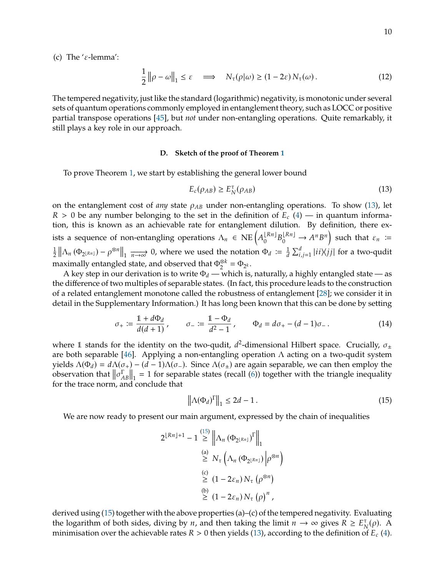10

(c) The ' $\varepsilon$ -lemma':

$$
\frac{1}{2} \|\rho - \omega\|_1 \le \varepsilon \quad \Longrightarrow \quad N_\tau(\rho|\omega) \ge (1 - 2\varepsilon) \, N_\tau(\omega). \tag{12}
$$

The tempered negativity, just like the standard (logarithmic) negativity, is monotonic under several sets of quantum operations commonly employed in entanglement theory, such as LOCC or positive partial transpose operations [\[45\]](#page-14-9), but *not* under non-entangling operations. Quite remarkably, it still plays a key role in our approach.

## **D. Sketch of the proof of Theorem [1](#page-3-1)**

To prove Theorem [1,](#page-3-1) we start by establishing the general lower bound

<span id="page-9-0"></span>
$$
E_c(\rho_{AB}) \ge E_N^{\tau}(\rho_{AB})
$$
\n(13)

on the entanglement cost of *any* state  $\rho_{AB}$  under non-entangling operations. To show [\(13\)](#page-9-0), let  $R > 0$  be any number belonging to the set in the definition of  $E_c$  [\(4\)](#page-7-1) — in quantum information, this is known as an achievable rate for entanglement dilution. By definition, there exists a sequence of non-entangling operations  $\Lambda_n \in \text{NE} \Big( A \Big)$  $\binom{\lfloor Rn \rfloor}{0} B$  $\begin{pmatrix} \lfloor Rn \rfloor \\ 0 \end{pmatrix}$   $\rightarrow$  A<sup>n</sup>B<sup>n</sup>) such that  $\varepsilon_n$  := 1  $\frac{1}{2} \left\| \Lambda_n (\Phi_{2^{\lfloor Rn \rfloor}}) - \rho^{\otimes n} \right\|_1 \xrightarrow[n \to \infty]{} 0$ , where we used the notation  $\Phi_d := \frac{1}{d}$  $\sum_{i,j=1}^{d} |ii\rangle\langle jj|$  for a two-qudit maximally entangled state, and observed that  $\Phi_2^{\otimes k} = \Phi_{2^k}$ .

A key step in our derivation is to write  $\Phi_d$  — which is, naturally, a highly entangled state — as the difference of two multiples of separable states. (In fact, this procedure leads to the construction of a related entanglement monotone called the robustness of entanglement [\[28\]](#page-13-20); we consider it in detail in the Supplementary Information.) It has long been known that this can be done by setting

$$
\sigma_{+} := \frac{1 + d\Phi_d}{d(d+1)}, \qquad \sigma_{-} := \frac{1 - \Phi_d}{d^2 - 1}, \qquad \Phi_d = d\sigma_{+} - (d-1)\sigma_{-}.
$$
 (14)

where 1 stands for the identity on the two-qudit,  $d^2$ -dimensional Hilbert space. Crucially,  $\sigma_{\pm}$ <br>are both separable [46]. Applying a pop-optanoling operation A acting on a two-qudit system are both separable [\[46\]](#page-14-10). Applying a non-entangling operation  $\Lambda$  acting on a two-qudit system yields  $\Lambda(\Phi_d) = d\Lambda(\sigma_+) - (d-1)\Lambda(\sigma_-)$ . Since  $\Lambda(\sigma_{\pm})$  are again separable, we can then employ the observation that  $\left\|\sigma_{AB}^{\Gamma}\right\|_1 = 1$  for separable states (recall [\(6\)](#page-7-2)) together with the triangle inequality for the trace norm, and conclude that

<span id="page-9-1"></span>
$$
\left\| \Lambda(\Phi_d)^{\Gamma} \right\|_1 \le 2d - 1. \tag{15}
$$

We are now ready to present our main argument, expressed by the chain of inequalities

$$
2^{\lfloor Rn \rfloor + 1} - 1 \stackrel{(15)}{\geq} \left\| \Lambda_n \left( \Phi_{2^{\lfloor Rn \rfloor}} \right)^{\Gamma} \right\|_1
$$
  
\n
$$
\stackrel{(a)}{\geq} N_{\tau} \left( \Lambda_n \left( \Phi_{2^{\lfloor Rn \rfloor}} \right) \middle| \rho^{\otimes n} \right)
$$
  
\n
$$
\stackrel{(c)}{\geq} (1 - 2\varepsilon_n) N_{\tau} \left( \rho^{\otimes n} \right)
$$
  
\n
$$
\stackrel{(b)}{\geq} (1 - 2\varepsilon_n) N_{\tau} \left( \rho \right)^n,
$$

derived using  $(15)$  together with the above properties (a)–(c) of the tempered negativity. Evaluating the logarithm of both sides, diving by *n*, and then taking the limit  $n \to \infty$  gives  $R \ge E_N^{\tau}(\rho)$ . A minimisation over the achievable rates  $R > 0$  then violds (13), according to the definition of  $F_{\tau}$  (4). minimisation over the achievable rates  $R > 0$  then yields [\(13\)](#page-9-0), according to the definition of  $E_c$  [\(4\)](#page-7-1).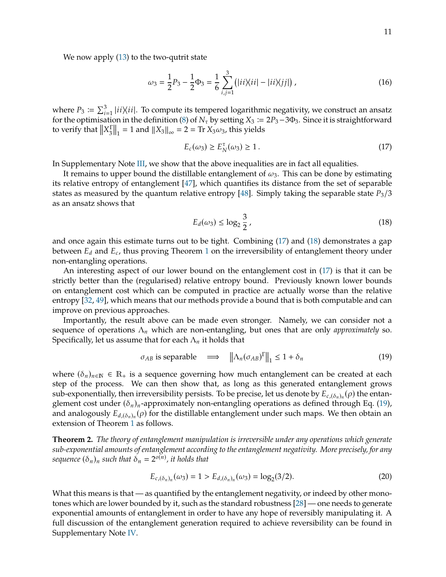We now apply [\(13\)](#page-9-0) to the two-qutrit state

$$
\omega_3 = \frac{1}{2}P_3 - \frac{1}{2}\Phi_3 = \frac{1}{6}\sum_{i,j=1}^3 (|ii\rangle\langle ii| - |ii\rangle\langle jj|) ,\qquad (16)
$$

where  $P_3 \coloneqq \sum_{i=1}^3 |ii\rangle\langle ii|$ . To compute its tempered logarithmic negativity, we construct an ansatz for the optimisation in the definition (8) of M, by setting  $Y_2 \coloneqq 2P_2 - 3P_3$ . Since it is straightforward where  $F_3 - \sum_{i=1}^n \mu_i \wedge \mu_i$ . To compute its tempered logarithmic negativity, we construct an ansatz for the optimisation in the definition [\(8\)](#page-8-1) of  $N_\tau$  by setting  $X_3 := 2P_3 - 3\Phi_3$ . Since it is straightforward to verify that  $||X_3^{\Gamma}$  $\left\| \frac{1}{3} \right\|_1 = 1$  and  $\left\| X_3 \right\|_\infty = 2 = \text{Tr } X_3 \omega_3$ , this yields

<span id="page-10-0"></span>
$$
E_c(\omega_3) \ge E_N^{\tau}(\omega_3) \ge 1.
$$
\n(17)

In Supplementary Note [III,](#page-24-0) we show that the above inequalities are in fact all equalities.

It remains to upper bound the distillable entanglement of  $\omega_3$ . This can be done by estimating its relative entropy of entanglement [\[47\]](#page-14-11), which quantifies its distance from the set of separable states as measured by the quantum relative entropy [\[48\]](#page-14-12). Simply taking the separable state  $P_3/3$ as an ansatz shows that

<span id="page-10-1"></span>
$$
E_d(\omega_3) \le \log_2 \frac{3}{2},\tag{18}
$$

and once again this estimate turns out to be tight. Combining [\(17\)](#page-10-0) and [\(18\)](#page-10-1) demonstrates a gap between  $E_d$  and  $E_c$ , thus proving Theorem [1](#page-3-1) on the irreversibility of entanglement theory under non-ontangling operations non-entangling operations.

An interesting aspect of our lower bound on the entanglement cost in [\(17\)](#page-10-0) is that it can be strictly better than the (regularised) relative entropy bound. Previously known lower bounds on entanglement cost which can be computed in practice are actually worse than the relative entropy [\[32,](#page-13-25) [49\]](#page-14-13), which means that our methods provide a bound that is both computable and can improve on previous approaches.

Importantly, the result above can be made even stronger. Namely, we can consider not a sequence of operations  $\Lambda_n$  which are non-entangling, but ones that are only *approximately* so. Specifically, let us assume that for each  $\Lambda_n$  it holds that

<span id="page-10-2"></span>
$$
\sigma_{AB} \text{ is separable } \implies \left\| \Delta_n (\sigma_{AB})^T \right\|_1 \le 1 + \delta_n \tag{19}
$$

where  $(\delta_n)_{n \in \mathbb{N}} \in \mathbb{R}_+$  is a sequence governing how much entanglement can be created at each step of the process. We can then show that, as long as this generated entanglement grows sub-exponentially, then irreversibility persists. To be precise, let us denote by  $E_{c,(\delta_n)_n}(\rho)$  the entan-<br>gloment cost under  $(\delta_n)$ , approximately per-entangling operations as defined through Eq. (19) glement cost under  $(\delta_n)_n$ -approximately non-entangling operations as defined through Eq. [\(19\)](#page-10-2), and analogously  $E_{d,(\delta_n)_n}(\rho)$  for the distillable entanglement under such maps. We then obtain an extension of Theorem 1 as follows extension of Theorem [1](#page-3-1) as follows.

<span id="page-10-3"></span>**Theorem 2.** *The theory of entanglement manipulation is irreversible under any operations which generate sub-exponential amounts of entanglement according to the entanglement negativity. More precisely, for any* sequence  $(\delta_n)_n$  such that  $\delta_n = 2^{o(n)}$ , it holds that

$$
E_{c,(\delta_n)_n}(\omega_3) = 1 > E_{d,(\delta_n)_n}(\omega_3) = \log_2(3/2). \tag{20}
$$

What this means is that — as quantified by the entanglement negativity, or indeed by other monotones which are lower bounded by it, such as the standard robustness [\[28\]](#page-13-20) — one needs to generate exponential amounts of entanglement in order to have any hope of reversibly manipulating it. A full discussion of the entanglement generation required to achieve reversibility can be found in Supplementary Note [IV.](#page-30-0)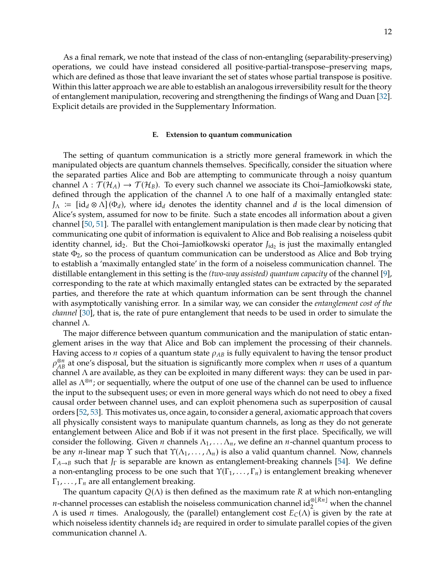As a final remark, we note that instead of the class of non-entangling (separability-preserving) operations, we could have instead considered all positive-partial-transpose–preserving maps, which are defined as those that leave invariant the set of states whose partial transpose is positive. Within this latter approach we are able to establish an analogous irreversibility result for the theory of entanglement manipulation, recovering and strengthening the findings of Wang and Duan [\[32\]](#page-13-25). Explicit details are provided in the Supplementary Information.

#### **E. Extension to quantum communication**

The setting of quantum communication is a strictly more general framework in which the manipulated objects are quantum channels themselves. Specifically, consider the situation where the separated parties Alice and Bob are attempting to communicate through a noisy quantum channel  $\Lambda : \mathcal{T}(\mathcal{H}_A) \to \mathcal{T}(\mathcal{H}_B)$ . To every such channel we associate its Choi–Jamiołkowski state, defined through the application of the channel  $\Lambda$  to one half of a maximally entangled state:  $J_\Lambda := \left[\text{id}_d \otimes \Lambda\right](\Phi_d)$ , where  $\text{id}_d$  denotes the identity channel and d is the local dimension of Alice's system, assumed for now to be finite. Such a state encodes all information about a given channel [\[50,](#page-14-14) [51\]](#page-14-15). The parallel with entanglement manipulation is then made clear by noticing that communicating one qubit of information is equivalent to Alice and Bob realising a noiseless qubit identity channel, id<sub>2</sub>. But the Choi–Jamiołkowski operator *J*<sub>id2</sub> is just the maximally entangled<br>state the so the process of quantum communication can be understood as Alice and Bob trying state  $\Phi_2$ , so the process of quantum communication can be understood as Alice and Bob trying to establish a 'maximally entangled state' in the form of a noiseless communication channel. The distillable entanglement in this setting is the *(two-way assisted) quantum capacity* of the channel [\[9\]](#page-13-22), corresponding to the rate at which maximally entangled states can be extracted by the separated parties, and therefore the rate at which quantum information can be sent through the channel with asymptotically vanishing error. In a similar way, we can consider the *entanglement cost of the channel* [\[30\]](#page-13-23), that is, the rate of pure entanglement that needs to be used in order to simulate the channel Λ.

The major difference between quantum communication and the manipulation of static entanglement arises in the way that Alice and Bob can implement the processing of their channels. Having access to  $n$  copies of a quantum state  $\rho_{AB}$  is fully equivalent to having the tensor product  $\rho_{AB}^{\otimes n}$  at one's disposal, but the situation is significantly more complex when *n* uses of a quantum<br>channel  $\Lambda$  are available as they can be exploited in many different ways; they can be used in parchannel  $\Lambda$  are available, as they can be exploited in many different ways: they can be used in parallel as  $\Lambda^{\otimes n}$ ; or sequentially, where the output of one use of the channel can be used to influence the input to the subsequent uses; or even in more general ways which do not need to obey a fixed causal order between channel uses, and can exploit phenomena such as superposition of causal orders [\[52,](#page-14-16) [53\]](#page-14-17). This motivates us, once again, to consider a general, axiomatic approach that covers all physically consistent ways to manipulate quantum channels, as long as they do not generate entanglement between Alice and Bob if it was not present in the first place. Specifically, we will consider the following. Given *n* channels  $\Lambda_1, \ldots, \Lambda_n$ , we define an *n*-channel quantum process to be any *n*-linear map  $\Upsilon$  such that  $\Upsilon(\Lambda_1, \ldots, \Lambda_n)$  is also a valid quantum channel. Now, channels  $\Gamma_{A\rightarrow B}$  such that  $J_{\Gamma}$  is separable are known as entanglement-breaking channels [\[54\]](#page-14-18). We define a non-entangling process to be one such that  $\Upsilon(\Gamma_1, \ldots, \Gamma_n)$  is entanglement breaking whenever  $\Gamma_1, \ldots, \Gamma_n$  are all entanglement breaking.

The quantum capacity  $Q(\Lambda)$  is then defined as the maximum rate R at which non-entangling *n*-channel processes can establish the noiseless communication channel  $id_2^{\otimes [Rn]}$  when the channel  $Λ$  is used *n* times. Analogously, the (parallel) entanglement cost  $E<sub>C</sub>(Λ)$  is given by the rate at which noiseless identity channels  $\mathrm{id}_2$  are required in order to simulate parallel copies of the given communication channel Λ.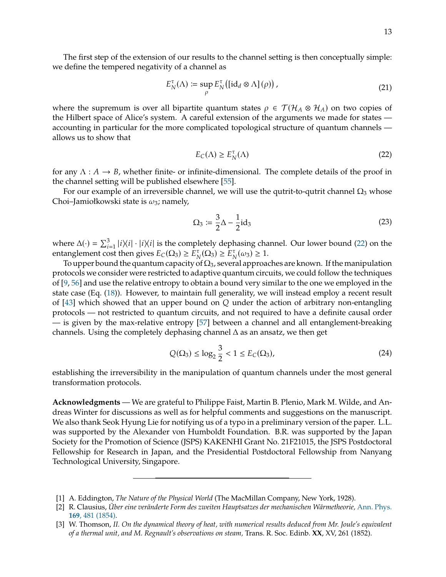$$
E_N^{\tau}(\Lambda) \coloneqq \sup_{\rho} E_N^{\tau}([\mathrm{id}_d \otimes \Lambda](\rho)), \tag{21}
$$

where the supremum is over all bipartite quantum states  $\rho \in \mathcal{T}(\mathcal{H}_A \otimes \mathcal{H}_A)$  on two copies of the Hilbert space of Alice's system. A careful extension of the arguments we made for states accounting in particular for the more complicated topological structure of quantum channels allows us to show that

<span id="page-12-3"></span>
$$
E_C(\Lambda) \ge E_N^{\tau}(\Lambda) \tag{22}
$$

for any  $\Lambda: A \to B$ , whether finite- or infinite-dimensional. The complete details of the proof in the channel setting will be published elsewhere [\[55\]](#page-14-19).

For our example of an irreversible channel, we will use the qutrit-to-qutrit channel  $\Omega_3$  whose Choi–Jamiołkowski state is  $\omega_3$ ; namely,

$$
\Omega_3 \coloneqq \frac{3}{2}\Delta - \frac{1}{2}\mathrm{id}_3\tag{23}
$$

where  $\Delta(\cdot) = \sum_{i=1}^{3} |i\rangle\langle i| \cdot |i\rangle\langle i|$  is the completely dephasing channel. Our lower bound [\(22\)](#page-12-3) on the entanglement cost then gives  $E_{\alpha}(\Omega_{\alpha}) > E^{\tau}(\Omega_{\alpha}) > 1$ where  $\Delta(y) = \sum_{i=1}^{\infty} |\ell \wedge \ell| \cdot |\ell \wedge \ell|$  is the completely dephasing change<br>entanglement cost then gives  $E_C(\Omega_3) \ge E_N^T(\Omega_3) \ge E_N^T(\omega_3) \ge 1$ .<br>To upper bound the quantum capacity of  $\Omega_3$  especial approach

To upper bound the quantum capacity of  $\Omega_3$ , several approaches are known. If the manipulation protocols we consider were restricted to adaptive quantum circuits, we could follow the techniques of [\[9,](#page-13-22) [56\]](#page-14-20) and use the relative entropy to obtain a bound very similar to the one we employed in the state case (Eq. [\(18\)](#page-10-1)). However, to maintain full generality, we will instead employ a recent result of [\[43\]](#page-14-7) which showed that an upper bound on  $Q$  under the action of arbitrary non-entangling protocols — not restricted to quantum circuits, and not required to have a definite causal order — is given by the max-relative entropy [\[57\]](#page-14-21) between a channel and all entanglement-breaking channels. Using the completely dephasing channel  $\Delta$  as an ansatz, we then get

$$
Q(\Omega_3) \le \log_2 \frac{3}{2} < 1 \le E_C(\Omega_3),\tag{24}
$$

establishing the irreversibility in the manipulation of quantum channels under the most general transformation protocols.

**Acknowledgments** — We are grateful to Philippe Faist, Martin B. Plenio, Mark M. Wilde, and Andreas Winter for discussions as well as for helpful comments and suggestions on the manuscript. We also thank Seok Hyung Lie for notifying us of a typo in a preliminary version of the paper. L.L. was supported by the Alexander von Humboldt Foundation. B.R. was supported by the Japan Society for the Promotion of Science (JSPS) KAKENHI Grant No. 21F21015, the JSPS Postdoctoral Fellowship for Research in Japan, and the Presidential Postdoctoral Fellowship from Nanyang Technological University, Singapore.

<span id="page-12-0"></span><sup>[1]</sup> A. Eddington, *The Nature of the Physical World* (The MacMillan Company, New York, 1928).

<span id="page-12-1"></span><sup>[2]</sup> R. Clausius, *Über eine veränderte Form des zweiten Hauptsatzes der mechanischen Wärmetheorie,* [Ann. Phys.](http://dx.doi.org/https://doi.org/10.1002/andp.18541691202) **169**[, 481 \(1854\).](http://dx.doi.org/https://doi.org/10.1002/andp.18541691202)

<span id="page-12-2"></span><sup>[3]</sup> W. Thomson, *II. On the dynamical theory of heat, with numerical results deduced from Mr. Joule's equivalent of a thermal unit, and M. Regnault's observations on steam,* Trans. R. Soc. Edinb. **XX**, XV, 261 (1852).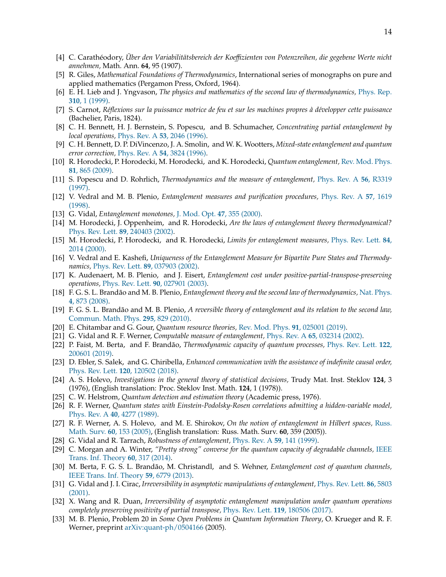- <span id="page-13-0"></span>[4] C. Carathéodory, *Über den Variabilitätsbereich der Koeffizienten von Potenzreihen, die gegebene Werte nicht annehmen,* Math. Ann. **64**, 95 (1907).
- <span id="page-13-1"></span>[5] R. Giles, *Mathematical Foundations of Thermodynamics*, International series of monographs on pure and applied mathematics (Pergamon Press, Oxford, 1964).
- <span id="page-13-2"></span>[6] E. H. Lieb and J. Yngvason, *The physics and mathematics of the second law of thermodynamics,* [Phys. Rep.](http://dx.doi.org/https://doi.org/10.1016/S0370-1573(98)00082-9) **310**[, 1 \(1999\).](http://dx.doi.org/https://doi.org/10.1016/S0370-1573(98)00082-9)
- <span id="page-13-3"></span>[7] S. Carnot, *Réflexions sur la puissance motrice de feu et sur les machines propres à développer cette puissance* (Bachelier, Paris, 1824).
- <span id="page-13-4"></span>[8] C. H. Bennett, H. J. Bernstein, S. Popescu, and B. Schumacher, *Concentrating partial entanglement by local operations,* Phys. Rev. A **53**[, 2046 \(1996\).](http://dx.doi.org/10.1103/PhysRevA.53.2046)
- <span id="page-13-22"></span>[9] C. H. Bennett, D. P. DiVincenzo, J. A. Smolin, and W. K. Wootters, *Mixed-state entanglement and quantum error correction,* Phys. Rev. A **54**[, 3824 \(1996\).](http://dx.doi.org/10.1103/PhysRevA.54.3824)
- <span id="page-13-5"></span>[10] R. Horodecki, P. Horodecki, M. Horodecki, and K. Horodecki, *Quantum entanglement,* [Rev. Mod. Phys.](http://dx.doi.org/10.1103/RevModPhys.81.865) **81**[, 865 \(2009\).](http://dx.doi.org/10.1103/RevModPhys.81.865)
- <span id="page-13-6"></span>[11] S. Popescu and D. Rohrlich, *Thermodynamics and the measure of entanglement,* [Phys. Rev. A](http://dx.doi.org/10.1103/PhysRevA.56.R3319) **56**, R3319 [\(1997\).](http://dx.doi.org/10.1103/PhysRevA.56.R3319)
- <span id="page-13-28"></span>[12] V. Vedral and M. B. Plenio, *Entanglement measures and purification procedures,* [Phys. Rev. A](http://dx.doi.org/10.1103/PhysRevA.57.1619) **57**, 1619 [\(1998\).](http://dx.doi.org/10.1103/PhysRevA.57.1619)
- [13] G. Vidal, *Entanglement monotones,* [J. Mod. Opt.](http://dx.doi.org/10.1080/09500340008244048) **47**, 355 (2000).
- <span id="page-13-7"></span>[14] M. Horodecki, J. Oppenheim, and R. Horodecki, *Are the laws of entanglement theory thermodynamical?* [Phys. Rev. Lett.](http://dx.doi.org/10.1103/PhysRevLett.89.240403) **89**, 240403 (2002).
- <span id="page-13-27"></span>[15] M. Horodecki, P. Horodecki, and R. Horodecki, *Limits for entanglement measures,* [Phys. Rev. Lett.](http://dx.doi.org/10.1103/PhysRevLett.84.2014) **84**, [2014 \(2000\).](http://dx.doi.org/10.1103/PhysRevLett.84.2014)
- <span id="page-13-8"></span>[16] V. Vedral and E. Kashefi, *Uniqueness of the Entanglement Measure for Bipartite Pure States and Thermodynamics,* [Phys. Rev. Lett.](http://dx.doi.org/10.1103/PhysRevLett.89.037903) **89**, 037903 (2002).
- <span id="page-13-9"></span>[17] K. Audenaert, M. B. Plenio, and J. Eisert, *Entanglement cost under positive-partial-transpose-preserving operations,* [Phys. Rev. Lett.](http://dx.doi.org/10.1103/PhysRevLett.90.027901) **90**, 027901 (2003).
- <span id="page-13-10"></span>[18] F. G. S. L. Brandão and M. B. Plenio, *Entanglement theory and the second law of thermodynamics,* [Nat. Phys.](http://dx.doi.org/https://doi.org/10.1038/nphys1100) **4**[, 873 \(2008\).](http://dx.doi.org/https://doi.org/10.1038/nphys1100)
- <span id="page-13-11"></span>[19] F. G. S. L. Brandão and M. B. Plenio, *A reversible theory of entanglement and its relation to the second law,* [Commun. Math. Phys.](http://dx.doi.org/10.1007/s00220-010-1003-1) **295**, 829 (2010).
- <span id="page-13-12"></span>[20] E. Chitambar and G. Gour, *Quantum resource theories,* [Rev. Mod. Phys.](http://dx.doi.org/10.1103/RevModPhys.91.025001) **91**, 025001 (2019).
- <span id="page-13-13"></span>[21] G. Vidal and R. F. Werner, *Computable measure of entanglement,* Phys. Rev. A **65**[, 032314 \(2002\).](http://dx.doi.org/10.1103/PhysRevA.65.032314)
- <span id="page-13-14"></span>[22] P. Faist, M. Berta, and F. Brandão, *Thermodynamic capacity of quantum processes,* [Phys. Rev. Lett.](http://dx.doi.org/10.1103/PhysRevLett.122.200601) **122**, [200601 \(2019\).](http://dx.doi.org/10.1103/PhysRevLett.122.200601)
- <span id="page-13-15"></span>[23] D. Ebler, S. Salek, and G. Chiribella, *Enhanced communication with the assistance of indefinite causal order,* [Phys. Rev. Lett.](http://dx.doi.org/10.1103/PhysRevLett.120.120502) **120**, 120502 (2018).
- <span id="page-13-16"></span>[24] A. S. Holevo, *Investigations in the general theory of statistical decisions,* Trudy Mat. Inst. Steklov **124**, 3 (1976), (English translation: Proc. Steklov Inst. Math. **124**, 1 (1978)).
- <span id="page-13-17"></span>[25] C. W. Helstrom, *Quantum detection and estimation theory* (Academic press, 1976).
- <span id="page-13-18"></span>[26] R. F. Werner, *Quantum states with Einstein-Podolsky-Rosen correlations admitting a hidden-variable model,* Phys. Rev. A **40**[, 4277 \(1989\).](http://dx.doi.org/10.1103/PhysRevA.40.4277)
- <span id="page-13-19"></span>[27] R. F. Werner, A. S. Holevo, and M. E. Shirokov, *On the notion of entanglement in Hilbert spaces,* [Russ.](http://dx.doi.org/10.4213/rm1411) [Math. Surv.](http://dx.doi.org/10.4213/rm1411) **60**, 153 (2005), (English translation: Russ. Math. Surv. **60**, 359 (2005)).
- <span id="page-13-20"></span>[28] G. Vidal and R. Tarrach, *Robustness of entanglement,* [Phys. Rev. A](http://dx.doi.org/10.1103/PhysRevA.59.141) **59**, 141 (1999).
- <span id="page-13-21"></span>[29] C. Morgan and A. Winter, *"Pretty strong" converse for the quantum capacity of degradable channels,* [IEEE](http://dx.doi.org/10.1109/TIT.2013.2288971) [Trans. Inf. Theory](http://dx.doi.org/10.1109/TIT.2013.2288971) **60**, 317 (2014).
- <span id="page-13-23"></span>[30] M. Berta, F. G. S. L. Brandão, M. Christandl, and S. Wehner, *Entanglement cost of quantum channels,* [IEEE Trans. Inf. Theory](http://dx.doi.org/10.1109/TIT.2013.2268533) **59**, 6779 (2013).
- <span id="page-13-24"></span>[31] G. Vidal and J. I. Cirac, *Irreversibility in asymptotic manipulations of entanglement,* [Phys. Rev. Lett.](http://dx.doi.org/10.1103/PhysRevLett.86.5803) **86**, 5803 [\(2001\).](http://dx.doi.org/10.1103/PhysRevLett.86.5803)
- <span id="page-13-25"></span>[32] X. Wang and R. Duan, *Irreversibility of asymptotic entanglement manipulation under quantum operations completely preserving positivity of partial transpose,* [Phys. Rev. Lett.](http://dx.doi.org/10.1103/PhysRevLett.119.180506) **119**, 180506 (2017).
- <span id="page-13-26"></span>[33] M. B. Plenio, Problem 20 in *Some Open Problems in Quantum Information Theory*, O. Krueger and R. F. Werner, preprint [arXiv:quant-ph/0504166](http://arxiv.org/abs/quant-ph/0504166) (2005).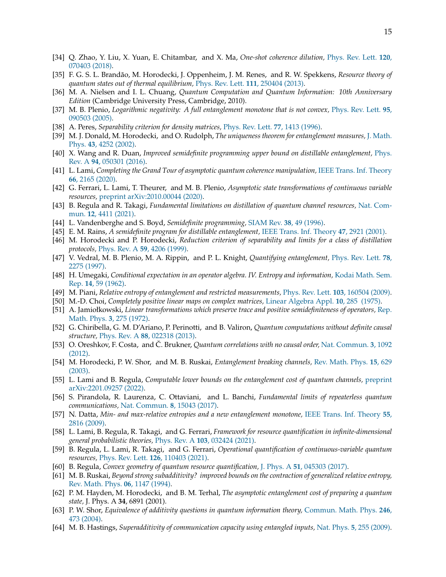- <span id="page-14-0"></span>[34] Q. Zhao, Y. Liu, X. Yuan, E. Chitambar, and X. Ma, *One-shot coherence dilution,* [Phys. Rev. Lett.](http://dx.doi.org/10.1103/PhysRevLett.120.070403) **120**, [070403 \(2018\).](http://dx.doi.org/10.1103/PhysRevLett.120.070403)
- <span id="page-14-1"></span>[35] F. G. S. L. Brandão, M. Horodecki, J. Oppenheim, J. M. Renes, and R. W. Spekkens, *Resource theory of quantum states out of thermal equilibrium,* [Phys. Rev. Lett.](http://dx.doi.org/10.1103/PhysRevLett.111.250404) **111**, 250404 (2013).
- <span id="page-14-2"></span>[36] M. A. Nielsen and I. L. Chuang, *Quantum Computation and Quantum Information: 10th Anniversary Edition* (Cambridge University Press, Cambridge, 2010).
- <span id="page-14-3"></span>[37] M. B. Plenio, *Logarithmic negativity: A full entanglement monotone that is not convex,* [Phys. Rev. Lett.](http://dx.doi.org/10.1103/PhysRevLett.95.090503) **95**, [090503 \(2005\).](http://dx.doi.org/10.1103/PhysRevLett.95.090503)
- <span id="page-14-4"></span>[38] A. Peres, *Separability criterion for density matrices,* [Phys. Rev. Lett.](http://dx.doi.org/10.1103/PhysRevLett.77.1413) **77**, 1413 (1996).
- <span id="page-14-5"></span>[39] M. J. Donald, M. Horodecki, and O. Rudolph, *The uniqueness theorem for entanglement measures,* [J. Math.](http://dx.doi.org/10.1063/1.1495917) Phys. **43**[, 4252 \(2002\).](http://dx.doi.org/10.1063/1.1495917)
- <span id="page-14-6"></span>[40] X. Wang and R. Duan, *Improved semidefinite programming upper bound on distillable entanglement,* [Phys.](http://dx.doi.org/10.1103/PhysRevA.94.050301) Rev. A **94**[, 050301 \(2016\).](http://dx.doi.org/10.1103/PhysRevA.94.050301)
- [41] L. Lami, *Completing the Grand Tour of asymptotic quantum coherence manipulation,* [IEEE Trans. Inf. Theory](http://dx.doi.org/10.1109/TIT.2019.2945798) **66**[, 2165 \(2020\).](http://dx.doi.org/10.1109/TIT.2019.2945798)
- [42] G. Ferrari, L. Lami, T. Theurer, and M. B. Plenio, *Asymptotic state transformations of continuous variable resources,* [preprint arXiv:2010.00044 \(2020\).](http://arxiv.org/abs/2010.00044)
- <span id="page-14-7"></span>[43] B. Regula and R. Takagi, *Fundamental limitations on distillation of quantum channel resources,* [Nat. Com](http://dx.doi.org/10.1038/s41467-021-24699-0)mun. **12**[, 4411 \(2021\).](http://dx.doi.org/10.1038/s41467-021-24699-0)
- <span id="page-14-8"></span>[44] L. Vandenberghe and S. Boyd, *Semidefinite programming,* [SIAM Rev.](http://dx.doi.org/10.1137/1038003) **38**, 49 (1996).
- <span id="page-14-9"></span>[45] E. M. Rains, *A semidefinite program for distillable entanglement,* [IEEE Trans. Inf. Theory](http://dx.doi.org/10.1109/18.959270) **47**, 2921 (2001).
- <span id="page-14-10"></span>[46] M. Horodecki and P. Horodecki, *Reduction criterion of separability and limits for a class of distillation protocols,* [Phys. Rev. A](http://dx.doi.org/10.1103/PhysRevA.60.898) **59**, 4206 (1999).
- <span id="page-14-11"></span>[47] V. Vedral, M. B. Plenio, M. A. Rippin, and P. L. Knight, *Quantifying entanglement,* [Phys. Rev. Lett.](http://dx.doi.org/10.1103/PhysRevLett.78.2275) **78**, [2275 \(1997\).](http://dx.doi.org/10.1103/PhysRevLett.78.2275)
- <span id="page-14-12"></span>[48] H. Umegaki, *Conditional expectation in an operator algebra. IV. Entropy and information,* [Kodai Math. Sem.](http://dx.doi.org/10.2996/kmj/1138844604) Rep. **14**[, 59 \(1962\).](http://dx.doi.org/10.2996/kmj/1138844604)
- <span id="page-14-13"></span>[49] M. Piani, *Relative entropy of entanglement and restricted measurements,* [Phys. Rev. Lett.](http://dx.doi.org/10.1103/PhysRevLett.103.160504) **103**, 160504 (2009).
- <span id="page-14-14"></span>[50] M.-D. Choi, *Completely positive linear maps on complex matrices,* [Linear Algebra Appl.](http://dx.doi.org/10.1016/0024-3795(75)90075-0) **10**, 285 (1975).
- <span id="page-14-15"></span>[51] A. Jamiołkowski, *Linear transformations which preserve trace and positive semidefiniteness of operators,* [Rep.](http://dx.doi.org/10.1016/0034-4877(72)90011-0) [Math. Phys.](http://dx.doi.org/10.1016/0034-4877(72)90011-0) **3**, 275 (1972).
- <span id="page-14-16"></span>[52] G. Chiribella, G. M. D'Ariano, P. Perinotti, and B. Valiron, *Quantum computations without definite causal structure,* Phys. Rev. A **88**[, 022318 \(2013\).](http://dx.doi.org/10.1103/PhysRevA.88.022318)
- <span id="page-14-17"></span>[53] O. Oreshkov, F. Costa, and Č. Brukner, *Quantum correlations with no causal order,* [Nat. Commun.](http://dx.doi.org/10.1038/ncomms2076) **3**, 1092 [\(2012\).](http://dx.doi.org/10.1038/ncomms2076)
- <span id="page-14-18"></span>[54] M. Horodecki, P. W. Shor, and M. B. Ruskai, *Entanglement breaking channels,* [Rev. Math. Phys.](http://dx.doi.org/10.1142/S0129055X03001709) **15**, 629 [\(2003\).](http://dx.doi.org/10.1142/S0129055X03001709)
- <span id="page-14-19"></span>[55] L. Lami and B. Regula, *Computable lower bounds on the entanglement cost of quantum channels,* [preprint](https://arxiv.org/abs/2201.09257) [arXiv:2201.09257 \(2022\).](https://arxiv.org/abs/2201.09257)
- <span id="page-14-20"></span>[56] S. Pirandola, R. Laurenza, C. Ottaviani, and L. Banchi, *Fundamental limits of repeaterless quantum communications,* [Nat. Commun.](http://dx.doi.org/10.1038/ncomms15043) **8**, 15043 (2017).
- <span id="page-14-21"></span>[57] N. Datta, *Min- and max-relative entropies and a new entanglement monotone,* [IEEE Trans. Inf. Theory](http://dx.doi.org/10.1109/TIT.2009.2018325) **55**, [2816 \(2009\).](http://dx.doi.org/10.1109/TIT.2009.2018325)
- <span id="page-14-22"></span>[58] L. Lami, B. Regula, R. Takagi, and G. Ferrari, *Framework for resource quantification in infinite-dimensional general probabilistic theories,* Phys. Rev. A **103**[, 032424 \(2021\).](http://dx.doi.org/10.1103/PhysRevA.103.032424)
- <span id="page-14-23"></span>[59] B. Regula, L. Lami, R. Takagi, and G. Ferrari, *Operational quantification of continuous-variable quantum resources,* [Phys. Rev. Lett.](http://dx.doi.org/10.1103/PhysRevLett.126.110403) **126**, 110403 (2021).
- <span id="page-14-24"></span>[60] B. Regula, *Convex geometry of quantum resource quantification,* J. Phys. A **51**[, 045303 \(2017\).](http://dx.doi.org/10.1088/1751-8121/aa9100)
- <span id="page-14-25"></span>[61] M. B. Ruskai, *Beyond strong subadditivity? improved bounds on the contraction of generalized relative entropy,* [Rev. Math. Phys.](http://dx.doi.org/10.1142/S0129055X94000407) **06**, 1147 (1994).
- <span id="page-14-26"></span>[62] P. M. Hayden, M. Horodecki, and B. M. Terhal, *The asymptotic entanglement cost of preparing a quantum state,* J. Phys. A **34**, 6891 (2001).
- <span id="page-14-27"></span>[63] P. W. Shor, *Equivalence of additivity questions in quantum information theory,* [Commun. Math. Phys.](http://dx.doi.org/10.1007/s00220-004-1071-1) **246**, [473 \(2004\).](http://dx.doi.org/10.1007/s00220-004-1071-1)
- <span id="page-14-28"></span>[64] M. B. Hastings, *Superadditivity of communication capacity using entangled inputs,* Nat. Phys. **5**[, 255 \(2009\).](http://dx.doi.org/10.1038/nphys1224)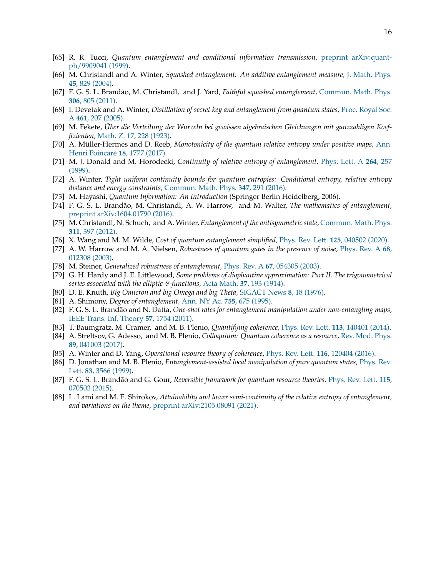- <span id="page-15-0"></span>[65] R. R. Tucci, *Quantum entanglement and conditional information transmission,* [preprint arXiv:quant](https://arxiv.org/abs/quant-ph/9909041)[ph/9909041 \(1999\).](https://arxiv.org/abs/quant-ph/9909041)
- [66] M. Christandl and A. Winter, *Squashed entanglement: An additive entanglement measure,* [J. Math. Phys.](http://dx.doi.org/10.1063/1.1643788) **45**[, 829 \(2004\).](http://dx.doi.org/10.1063/1.1643788)
- <span id="page-15-1"></span>[67] F. G. S. L. Brandão, M. Christandl, and J. Yard, *Faithful squashed entanglement,* [Commun. Math. Phys.](http://dx.doi.org/10.1007/s00220-011-1302-1) **306**[, 805 \(2011\).](http://dx.doi.org/10.1007/s00220-011-1302-1)
- <span id="page-15-2"></span>[68] I. Devetak and A. Winter, *Distillation of secret key and entanglement from quantum states,* [Proc. Royal Soc.](http://dx.doi.org/10.1098/rspa.2004.1372) A **461**[, 207 \(2005\).](http://dx.doi.org/10.1098/rspa.2004.1372)
- <span id="page-15-3"></span>[69] M. Fekete, *Über die Verteilung der Wurzeln bei gewissen algebraischen Gleichungen mit ganzzahligen Koeffizienten,* Math. Z. **17**[, 228 \(1923\).](http://dx.doi.org/10.1007/BF01504345)
- <span id="page-15-4"></span>[70] A. Müller-Hermes and D. Reeb, *Monotonicity of the quantum relative entropy under positive maps,* [Ann.](http://dx.doi.org/10.1007/s00023-017-0550-9) [Henri Poincaré](http://dx.doi.org/10.1007/s00023-017-0550-9) **18**, 1777 (2017).
- <span id="page-15-5"></span>[71] M. J. Donald and M. Horodecki, *Continuity of relative entropy of entanglement,* [Phys. Lett. A](http://dx.doi.org/https://doi.org/10.1016/S0375-9601(99)00813-0) **264**, 257 [\(1999\).](http://dx.doi.org/https://doi.org/10.1016/S0375-9601(99)00813-0)
- <span id="page-15-6"></span>[72] A. Winter, *Tight uniform continuity bounds for quantum entropies: Conditional entropy, relative entropy distance and energy constraints,* [Commun. Math. Phys.](http://dx.doi.org/10.1007/s00220-016-2609-8) **347**, 291 (2016).
- <span id="page-15-7"></span>[73] M. Hayashi, *Quantum Information: An Introduction* (Springer Berlin Heidelberg, 2006).
- <span id="page-15-8"></span>[74] F. G. S. L. Brandão, M. Christandl, A. W. Harrow, and M. Walter, *The mathematics of entanglement,* [preprint arXiv:1604.01790 \(2016\).](https://arxiv.org/abs/1604.01790)
- <span id="page-15-9"></span>[75] M. Christandl, N. Schuch, and A. Winter, *Entanglement of the antisymmetric state,* [Commun. Math. Phys.](http://dx.doi.org/10.1007/s00220-012-1446-7) **311**[, 397 \(2012\).](http://dx.doi.org/10.1007/s00220-012-1446-7)
- <span id="page-15-10"></span>[76] X. Wang and M. M. Wilde, *Cost of quantum entanglement simplified,* [Phys. Rev. Lett.](http://dx.doi.org/10.1103/PhysRevLett.125.040502) **125**, 040502 (2020).
- <span id="page-15-11"></span>[77] A. W. Harrow and M. A. Nielsen, *Robustness of quantum gates in the presence of noise,* [Phys. Rev. A](http://dx.doi.org/10.1103/PhysRevA.68.012308) **68**, [012308 \(2003\).](http://dx.doi.org/10.1103/PhysRevA.68.012308)
- <span id="page-15-12"></span>[78] M. Steiner, *Generalized robustness of entanglement,* Phys. Rev. A **67**[, 054305 \(2003\).](http://dx.doi.org/10.1103/PhysRevA.67.054305)
- <span id="page-15-13"></span>[79] G. H. Hardy and J. E. Littlewood, *Some problems of diophantine approximation: Part II. The trigonometrical series associated with the elliptic*  $\vartheta$ *-functions, Acta Math.* **37**[, 193 \(1914\).](http://dx.doi.org/10.1007/BF02401834)
- <span id="page-15-14"></span>[80] D. E. Knuth, *Big Omicron and big Omega and big Theta,* [SIGACT News](http://dx.doi.org/10.1145/1008328.1008329) **8**, 18 (1976).
- <span id="page-15-15"></span>[81] A. Shimony, *Degree of entanglement,* [Ann. NY Ac.](http://dx.doi.org/10.1111/j.1749-6632.1995.tb39008.x) **755**, 675 (1995).
- <span id="page-15-16"></span>[82] F. G. S. L. Brandão and N. Datta, *One-shot rates for entanglement manipulation under non-entangling maps,* [IEEE Trans. Inf. Theory](http://dx.doi.org/10.1109/TIT.2011.2104531) **57**, 1754 (2011).
- <span id="page-15-17"></span>[83] T. Baumgratz, M. Cramer, and M. B. Plenio, *Quantifying coherence,* [Phys. Rev. Lett.](http://dx.doi.org/10.1103/PhysRevLett.113.140401) **113**, 140401 (2014).
- <span id="page-15-18"></span>[84] A. Streltsov, G. Adesso, and M. B. Plenio, *Colloquium: Quantum coherence as a resource,* [Rev. Mod. Phys.](http://dx.doi.org/10.1103/RevModPhys.89.041003) **89**[, 041003 \(2017\).](http://dx.doi.org/10.1103/RevModPhys.89.041003)
- <span id="page-15-19"></span>[85] A. Winter and D. Yang, *Operational resource theory of coherence,* [Phys. Rev. Lett.](http://dx.doi.org/10.1103/PhysRevLett.116.120404) **116**, 120404 (2016).
- <span id="page-15-20"></span>[86] D. Jonathan and M. B. Plenio, *Entanglement-assisted local manipulation of pure quantum states,* [Phys. Rev.](http://dx.doi.org/10.1103/PhysRevLett.83.3566) Lett. **83**[, 3566 \(1999\).](http://dx.doi.org/10.1103/PhysRevLett.83.3566)
- <span id="page-15-21"></span>[87] F. G. S. L. Brandão and G. Gour, *Reversible framework for quantum resource theories,* [Phys. Rev. Lett.](http://dx.doi.org/10.1103/PhysRevLett.115.070503) **115**, [070503 \(2015\).](http://dx.doi.org/10.1103/PhysRevLett.115.070503)
- <span id="page-15-22"></span>[88] L. Lami and M. E. Shirokov, *Attainability and lower semi-continuity of the relative entropy of entanglement, and variations on the theme,* [preprint arXiv:2105.08091 \(2021\).](https://arxiv.org/abs/2105.08091)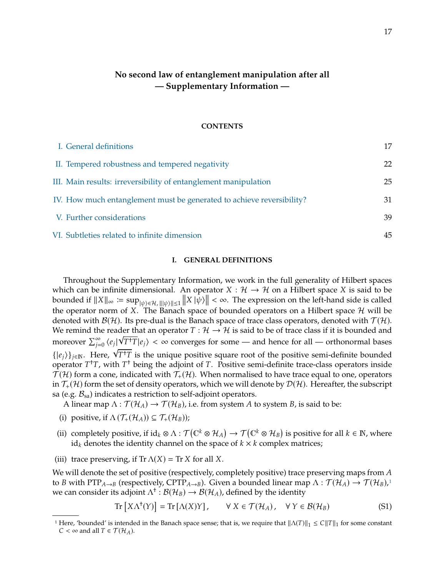# **No second law of entanglement manipulation after all — Supplementary Information —**

#### **CONTENTS**

| I. General definitions                                                | 17 |
|-----------------------------------------------------------------------|----|
| II. Tempered robustness and tempered negativity                       | 22 |
| III. Main results: irreversibility of entanglement manipulation       | 25 |
| IV. How much entanglement must be generated to achieve reversibility? | 31 |
| V. Further considerations                                             | 39 |
| VI. Subtleties related to infinite dimension                          | 45 |

# <span id="page-16-0"></span>**I. GENERAL DEFINITIONS**

Throughout the Supplementary Information, we work in the full generality of Hilbert spaces which can be infinite dimensional. An operator  $X : \mathcal{H} \to \mathcal{H}$  on a Hilbert space X is said to be bounded if  $||X||_{\infty} := \sup_{|\psi\rangle \in \mathcal{H}, |||\psi\rangle|| \leq 1} ||X||_{\psi}|| \leq \infty$ . The expression on the left-hand side is called the expression on the left-hand side is called the operator norm of X. The Banach space of bounded operators on a Hilbert space  $\mathcal H$  will be denoted with  $\mathcal{B}(\mathcal{H})$ . Its pre-dual is the Banach space of trace class operators, denoted with  $\mathcal{T}(\mathcal{H})$ . We remind the reader that an operator  $T: \mathcal{H} \to \mathcal{H}$  is said to be of trace class if it is bounded and  $\limsup_{n \to \infty} S^{\infty}$  (a)  $\sqrt{T+T}$  is  $\lambda$  is expressed for some such hange for all some for all settlemental hange moreover  $\sum_{i=1}^{\infty}$  $\sum_{j=0}^{\infty} \langle e_j | \sqrt{T^{\dagger}T} | e_j \rangle < \infty$  converges for some — and hence for all — orthonormal bases moreover  $\sum_{j=0}^{V_i}$   $\langle V_i^T \cdot T | \varepsilon_j \rangle \leq \infty$  converges for some — and nence for an — orthonormal bases<br> $\{ | \varepsilon_j \rangle \}_{j \in \mathbb{N}}$ . Here,  $\sqrt{T^+T}$  is the unique positive square root of the positive semi-definite bounded<br> operator  $T^{\dagger}T$ , with  $T^{\dagger}$  being the adjoint of  $T$ . Positive semi-definite trace-class operators inside<br> $T(H)$  form a cone indicated with  $T(H)$ . When pormalised to have trace equal to one operators  $\mathcal{T}(\mathcal{H})$  form a cone, indicated with  $\mathcal{T}_{+}(\mathcal{H})$ . When normalised to have trace equal to one, operators in  $\mathcal{T}_+(\mathcal{H})$  form the set of density operators, which we will denote by  $\mathcal{D}(\mathcal{H})$ . Hereafter, the subscript sa (e.g.  $\mathcal{B}_{sa}$ ) indicates a restriction to self-adjoint operators.

A linear map  $\Lambda : \mathcal{T}(\mathcal{H}_A) \to \mathcal{T}(\mathcal{H}_B)$ , i.e. from system A to system B, is said to be:

- (i) positive, if  $\Lambda(\mathcal{T}_{+}(\mathcal{H}_{A})) \subseteq \mathcal{T}_{+}(\mathcal{H}_{B})$ );
- (ii) completely positive, if  $id_k \otimes \Lambda : \mathcal{T}(\mathbb{C}^k \otimes \mathcal{H}_A) \to \mathcal{T}(\mathbb{C}^k \otimes \mathcal{H}_B)$  is positive for all  $k \in \mathbb{N}$ , where identity channel on the space of  $k \times k$  complex matrices:  $id_k$  denotes the identity channel on the space of  $k \times k$  complex matrices;
- (iii) trace preserving, if  $Tr \Lambda(X) = Tr X$  for all X.

We will denote the set of positive (respectively, completely positive) trace preserving maps from  $A$ to *B* with  $PTP_{A\to B}$  (respectively,  $CPTP_{A\to B}$ ). Given a bounded linear map  $\Lambda : \mathcal{T}(\mathcal{H}_A) \to \mathcal{T}(\mathcal{H}_B)$ ,<sup>1</sup> we can consider its adjoint  $\Lambda^{\dagger}$  :  $\mathcal{B}(\mathcal{H}_B) \to \mathcal{B}(\mathcal{H}_A)$ , defined by the identity

$$
\operatorname{Tr}\left[X\Lambda^{\dagger}(Y)\right] = \operatorname{Tr}\left[\Lambda(X)Y\right], \qquad \forall \ X \in \mathcal{T}(\mathcal{H}_A), \quad \forall \ Y \in \mathcal{B}(\mathcal{H}_B) \tag{S1}
$$

<span id="page-16-1"></span><sup>&</sup>lt;sup>1</sup> Here, 'bounded' is intended in the Banach space sense; that is, we require that  $||\Lambda(T)||_1 \leq C||T||_1$  for some constant  $C < \infty$  and all  $T \in \mathcal{T}(\mathcal{H}_A)$ .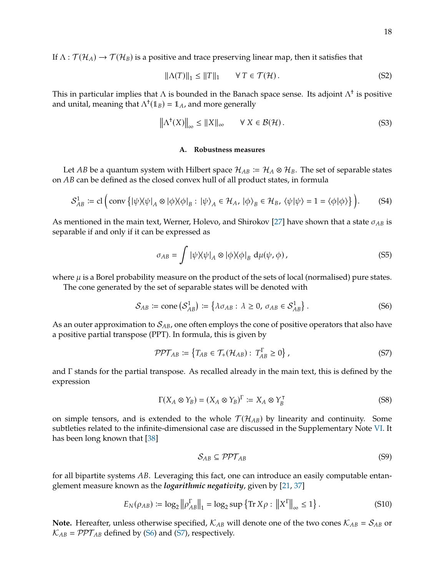If  $\Lambda : \mathcal{T}(\mathcal{H}_A) \to \mathcal{T}(\mathcal{H}_B)$  is a positive and trace preserving linear map, then it satisfies that

$$
\|\Lambda(T)\|_1 \le \|T\|_1 \qquad \forall \ T \in \mathcal{T}(\mathcal{H}). \tag{S2}
$$

This in particular implies that  $\Lambda$  is bounded in the Banach space sense. Its adjoint  $\Lambda^\dagger$  is positive and unital, meaning that  $\Lambda^{\dagger}(\mathbb{1}_B) = \mathbb{1}_A$ , and more generally

<span id="page-17-3"></span>
$$
\left\|\Lambda^{\dagger}(X)\right\|_{\infty} \le \|X\|_{\infty} \qquad \forall \ X \in \mathcal{B}(\mathcal{H}). \tag{S3}
$$

# **A. Robustness measures**

Let AB be a quantum system with Hilbert space  $\mathcal{H}_{AB} \coloneqq \mathcal{H}_A \otimes \mathcal{H}_B$ . The set of separable states on AB can be defined as the closed convex hull of all product states, in formula

$$
S_{AB}^1 \coloneqq \text{cl}\left(\text{conv}\left\{|\psi\rangle\langle\psi|_A \otimes |\phi\rangle\langle\phi|_B : |\psi\rangle_A \in \mathcal{H}_A, |\phi\rangle_B \in \mathcal{H}_B, \langle\psi|\psi\rangle = 1 = \langle\phi|\phi\rangle\right\}\right). \tag{S4}
$$

As mentioned in the main text, Werner, Holevo, and Shirokov [\[27\]](#page-13-19) have shown that a state  $\sigma_{AB}$  is separable if and only if it can be expressed as

$$
\sigma_{AB} = \int |\psi \rangle \langle \psi|_A \otimes |\phi \rangle \langle \phi|_B \, d\mu(\psi, \phi), \tag{S5}
$$

where  $\mu$  is a Borel probability measure on the product of the sets of local (normalised) pure states. The cone generated by the set of separable states will be denoted with

<span id="page-17-0"></span>
$$
\mathcal{S}_{AB} \coloneqq \text{cone}\left(\mathcal{S}_{AB}^1\right) \coloneqq \left\{\lambda \sigma_{AB} : \lambda \ge 0, \sigma_{AB} \in \mathcal{S}_{AB}^1\right\}.
$$
 (S6)

As an outer approximation to  $S_{AB}$ , one often employs the cone of positive operators that also have a positive partial transpose (PPT). In formula, this is given by

<span id="page-17-1"></span>
$$
\mathcal{PPT}_{AB} := \left\{ T_{AB} \in \mathcal{T}_{+}(\mathcal{H}_{AB}) : T_{AB}^{\Gamma} \ge 0 \right\},\tag{S7}
$$

and Γ stands for the partial transpose. As recalled already in the main text, this is defined by the expression

<span id="page-17-4"></span>
$$
\Gamma(X_A \otimes Y_B) = (X_A \otimes Y_B)^{\Gamma} := X_A \otimes Y_B^{\top}
$$
 (S8)

on simple tensors, and is extended to the whole  $\mathcal{T}(\mathcal{H}_{AB})$  by linearity and continuity. Some subtleties related to the infinite-dimensional case are discussed in the Supplementary Note [VI.](#page-44-0) It has been long known that [\[38\]](#page-14-4)

$$
S_{AB} \subseteq \mathcal{PPT}_{AB} \tag{S9}
$$

for all bipartite systems  $AB$ . Leveraging this fact, one can introduce an easily computable entanglement measure known as the *logarithmic negativity*, given by [\[21,](#page-13-13) [37\]](#page-14-3)

<span id="page-17-2"></span>
$$
E_N(\rho_{AB}) \coloneqq \log_2 \left\| \rho_{AB}^\Gamma \right\|_1 = \log_2 \sup \left\{ \text{Tr } X \rho : \left\| X^\Gamma \right\|_\infty \le 1 \right\}. \tag{S10}
$$

**Note.** Hereafter, unless otherwise specified,  $K_{AB}$  will denote one of the two cones  $K_{AB} = S_{AB}$  or  $K_{AB} = \mathcal{PPT}_{AB}$  defined by [\(S6\)](#page-17-0) and [\(S7\)](#page-17-1), respectively.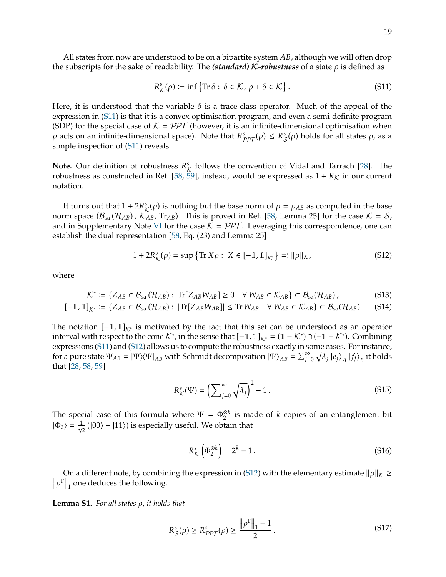<span id="page-18-0"></span>
$$
R^s_{\mathcal{K}}(\rho) \coloneqq \inf \{ \text{Tr } \delta : \delta \in \mathcal{K}, \, \rho + \delta \in \mathcal{K} \} \,.
$$
 (S11)

Here, it is understood that the variable  $\delta$  is a trace-class operator. Much of the appeal of the expression in [\(S11\)](#page-18-0) is that it is a convex optimisation program, and even a semi-definite program (SDP) for the special case of  $K = \mathcal{PPT}$  (however, it is an infinite-dimensional optimisation when  $\rho$  acts on an infinite-dimensional space). Note that  $R^s_{\mathcal{PPT}}(\rho) \leq R^s_{\mathcal{S}}(\rho)$  holds for all states  $\rho$ , as a simple increasion of (S11) reveals simple inspection of [\(S11\)](#page-18-0) reveals.

**Note.** Our definition of robustness  $R_K^s$  follows the convention of Vidal and Tarrach [\[28\]](#page-13-20). The relatively converged as  $1 + R_K$  in our current robustness as constructed in Ref. [\[58,](#page-14-22) [59\]](#page-14-23), instead, would be expressed as  $1 + R_K$  in our current notation.

It turns out that  $1 + 2R^s_{\mathcal{K}}(\rho)$  is nothing but the base norm of  $\rho = \rho_{AB}$  as computed in the base<br>m space  $(B - (H_{AB}) - K_{AB})$ . This is proved in Ref. [58, I emma 25] for the case  $K - S$ . norm space  $(\mathcal{B}_{sa}(\mathcal{H}_{AB})$ ,  $\mathcal{K}_{AB}$ , Tr<sub>AB</sub>). This is proved in Ref. [\[58,](#page-14-22) Lemma 25] for the case  $\mathcal{K} = \mathcal{S}$ , and in Supplementary Note [VI](#page-44-0) for the case  $K = \mathcal{PPT}$ . Leveraging this correspondence, one can establish the dual representation [\[58,](#page-14-22) Eq. (23) and Lemma 25]

<span id="page-18-1"></span>
$$
1 + 2R_{\mathcal{K}}^{s}(\rho) = \sup \{ \text{Tr } X\rho : X \in [-1, 1]_{\mathcal{K}^*} \} =: ||\rho||_{\mathcal{K}},
$$
 (S12)

where

$$
\mathcal{K}^* := \{ Z_{AB} \in \mathcal{B}_{sa}(\mathcal{H}_{AB}) : \text{Tr}[Z_{AB}W_{AB}] \ge 0 \quad \forall \ W_{AB} \in \mathcal{K}_{AB} \} \subset \mathcal{B}_{sa}(\mathcal{H}_{AB}),
$$
(S13)

$$
[-1,1]_{K^*} \coloneqq \{Z_{AB} \in \mathcal{B}_{sa}(\mathcal{H}_{AB}) : |\text{Tr}[Z_{AB}W_{AB}]| \leq \text{Tr}\,W_{AB} \quad \forall \, W_{AB} \in \mathcal{K}_{AB}\} \subset \mathcal{B}_{sa}(\mathcal{H}_{AB}).
$$
 (S14)

The notation  $[-1, 1]_{K^*}$  is motivated by the fact that this set can be understood as an operator interval with respect to the cone  $\mathcal{K}^*$ , in the sense that  $[-1, 1]_{\mathcal{K}^*} = (1 - \mathcal{K}^*) \cap (-1 + \mathcal{K}^*)$ . Combining expressions [\(S11\)](#page-18-0) and [\(S12\)](#page-18-1) allows us to compute the robustness exactly in some cases. For instance, for a pure state  $\Psi_{AB} = |\Psi\rangle \langle \Psi|_{AB}$  with Schmidt decomposition  $|\Psi\rangle_{AB} = \sum_{j=1}^{\infty}$  $\sum_{j=0}^{\infty} \sqrt{\lambda_j} |e_j\rangle_A |f_j\rangle_B$  it holds that [\[28,](#page-13-20) [58,](#page-14-22) [59\]](#page-14-23)

<span id="page-18-2"></span>
$$
R_{\mathcal{K}}^{s}(\Psi) = \left(\sum_{j=0}^{\infty} \sqrt{\lambda_j}\right)^2 - 1.
$$
 (S15)

The special case of this formula where  $\Psi = \Phi_2^{\otimes k}$  is made of *k* copies of an entanglement bit<br> $\Phi = \frac{1}{2}$  (100) + 111) is expecially useful. We shain that  $|\Phi_2\rangle = \frac{1}{\sqrt{2}}$  $\frac{1}{2}$  (|00) + |11)) is especially useful. We obtain that

<span id="page-18-3"></span>
$$
R_{\mathcal{K}}^{s}\left(\Phi_{2}^{\otimes k}\right) = 2^{k} - 1.
$$
 (S16)

On a different note, by combining the expression in [\(S12\)](#page-18-1) with the elementary estimate  $\|\rho\|_{\cal K} \geq 0$  $\left\| \rho^{\Gamma} \right\|_1$  one deduces the following.

**Lemma S1.** *For all states ρ, it holds that* 

$$
R_S^s(\rho) \ge R_{\mathcal{PPT}}^s(\rho) \ge \frac{\left\|\rho^{\Gamma}\right\|_1 - 1}{2} \,. \tag{S17}
$$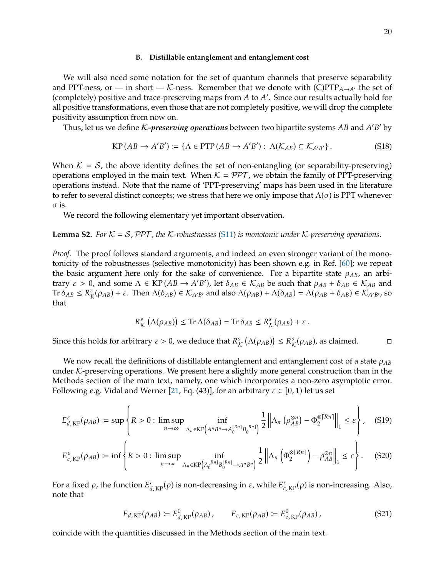#### **B. Distillable entanglement and entanglement cost**

We will also need some notation for the set of quantum channels that preserve separability and PPT-ness, or — in short — K-ness. Remember that we denote with  $(C)PTP_{A\rightarrow A'}$  the set of (completely) positive and trace-preserving maps from  $A$  to  $A'$ . Since our results actually hold for all positive transformations, even those that are not completely positive we will drop the complete all positive transformations, even those that are not completely positive, we will drop the complete positivity assumption from now on.

Thus, let us we define *K-preserving operations* between two bipartite systems  $AB$  and  $A'$  $B'$  by

<span id="page-19-2"></span>
$$
KP(AB \to A'B') := \{ \Lambda \in PTP(AB \to A'B') : \Lambda(\mathcal{K}_{AB}) \subseteq \mathcal{K}_{A'B'} \}.
$$
 (S18)

When  $\mathcal{K} = \mathcal{S}$ , the above identity defines the set of non-entangling (or separability-preserving) operations employed in the main text. When  $K = \mathcal{PPT}$ , we obtain the family of PPT-preserving operations instead. Note that the name of 'PPT-preserving' maps has been used in the literature to refer to several distinct concepts; we stress that here we only impose that  $\Lambda(\sigma)$  is PPT whenever  $\sigma$  is.

We record the following elementary yet important observation.

**Lemma S2.** For  $K = S$ , PPT, the K-robustnesses [\(S11\)](#page-18-0) is monotonic under K-preserving operations.

*Proof.* The proof follows standard arguments, and indeed an even stronger variant of the monotonicity of the robustnesses (selective monotonicity) has been shown e.g. in Ref. [\[60\]](#page-14-24); we repeat the basic argument here only for the sake of convenience. For a bipartite state  $\rho_{AB}$ , an arbitrary  $\varepsilon > 0$ , and some  $\Lambda \in \text{KP}(AB \to A'B')$ , let  $\delta_{AB} \in \mathcal{K}_{AB}$  be such that  $\rho_{AB} + \delta_{AB} \in \mathcal{K}_{AB}$  and<br>Tr $\delta_{AB} \leq R^s (q_{AB}) + s$ . Then  $\Lambda(\delta_{AB}) \in \mathcal{K}_{AB}$  and also  $\Lambda(q_{AB}) + \Lambda(\delta_{AB}) = \Lambda(q_{AB} + \delta_{AB}) \in \mathcal{K}_{AB}$  so Tr  $\delta_{AB} \leq R_K^s(\rho_{AB}) + \varepsilon$ . Then  $\Lambda(\delta_{AB}) \in \mathcal{K}_{A'B'}$  and also  $\Lambda(\rho_{AB}) + \Lambda(\delta_{AB}) = \Lambda(\rho_{AB} + \delta_{AB}) \in \mathcal{K}_{A'B'}$ , so that

<span id="page-19-0"></span>
$$
R^s_{\mathcal{K}}(\Lambda(\rho_{AB})) \leq \text{Tr}\,\Lambda(\delta_{AB}) = \text{Tr}\,\delta_{AB} \leq R^s_{\mathcal{K}}(\rho_{AB}) + \varepsilon.
$$

Since this holds for arbitrary  $\varepsilon > 0$ , we deduce that  $R^s_{\mathcal{K}}(\Lambda(\rho_{AB})) \leq R^s_{\mathcal{K}}(\rho_{AB})$ , as claimed.

We now recall the definitions of distillable entanglement and entanglement cost of a state  $\rho_{AB}$ under  $K$ -preserving operations. We present here a slightly more general construction than in the Methods section of the main text, namely, one which incorporates a non-zero asymptotic error. Following e.g. Vidal and Werner [\[21,](#page-13-13) Eq. (43)], for an arbitrary  $\varepsilon \in [0, 1)$  let us set

$$
E_{d,\text{KP}}^{\varepsilon}(\rho_{AB}) \coloneqq \sup \left\{ R > 0 : \limsup_{n \to \infty} \inf_{\Lambda_n \in \text{KP}\left(A^n B^n \to A_0^{\lceil Rn \rceil} B_0^{\lceil Rn \rceil}\right)} \frac{1}{2} \left\| \Lambda_n \left( \rho_{AB}^{\otimes n} \right) - \Phi_2^{\otimes \lceil Rn \rceil} \right\|_1 \leq \varepsilon \right\},\tag{S19}
$$

$$
E_{c, KP}^{\varepsilon}(\rho_{AB}) \coloneqq \inf \left\{ R > 0 : \limsup_{n \to \infty} \inf_{\Lambda_n \in KP\left(A_0^{\lfloor Rn \rfloor} B_0^{\lfloor Rn \rfloor} \to A^n B^n\right)} \frac{1}{2} \left\| \Lambda_n \left( \Phi_2^{\otimes \lfloor Rn \rfloor} \right) - \rho_{AB}^{\otimes n} \right\|_1 \leq \varepsilon \right\}.
$$
 (S20)

For a fixed  $\rho$ , the function  $E_{d,\text{KP}}^{\varepsilon}(\rho)$  is non-decreasing in  $\varepsilon$ , while  $E_{c,\text{KP}}^{\varepsilon}(\rho)$  is non-increasing. Also, note that note that

<span id="page-19-1"></span>
$$
E_{d,KP}(\rho_{AB}) := E_{d,KP}^0(\rho_{AB}), \qquad E_{c,KP}(\rho_{AB}) := E_{c,KP}^0(\rho_{AB}), \qquad (S21)
$$

coincide with the quantities discussed in the Methods section of the main text.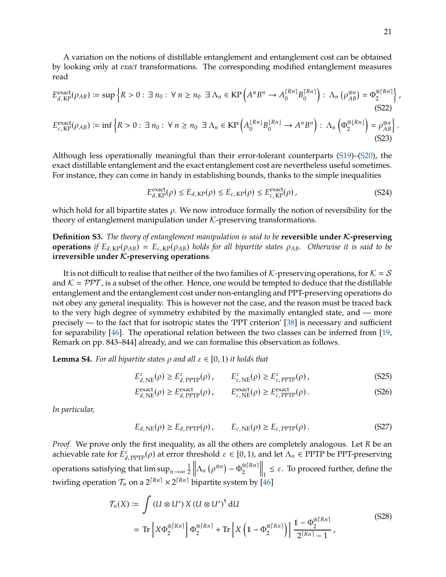A variation on the notions of distillable entanglement and entanglement cost can be obtained by looking only at *exact* transformations. The corresponding modified entanglement measures read

$$
E_{d, KP}^{\text{exact}}(\rho_{AB}) \coloneqq \sup \left\{ R > 0 : \exists n_0 : \forall n \ge n_0 \; \exists \; \Lambda_n \in \text{KP}\left(A^n B^n \to A_0^{\lceil Rn \rceil} B_0^{\lceil Rn \rceil}\right) : \; \Lambda_n \left(\rho_{AB}^{\otimes n}\right) = \Phi_2^{\otimes \lceil Rn \rceil}\right\}
$$
\n
$$
E_{c, KP}^{\text{exact}}(\rho_{AB}) \coloneqq \inf \left\{ R > 0 : \exists n_0 : \forall n \ge n_0 \; \exists \; \Lambda_n \in \text{KP}\left(A_0^{\lfloor Rn \rfloor} B_0^{\lfloor Rn \rfloor} \to A^n B^n\right) : \; \Lambda_n \left(\Phi_2^{\otimes \lfloor Rn \rfloor}\right) = \rho_{AB}^{\otimes n}\right\}.
$$
\n(S23)

Although less operationally meaningful than their error-tolerant counterparts [\(S19\)](#page-19-0)–[\(S20\)](#page-19-1), the exact distillable entanglement and the exact entanglement cost are nevertheless useful sometimes. For instance, they can come in handy in establishing bounds, thanks to the simple inequalities

<span id="page-20-2"></span>
$$
E_{d, \text{KP}}^{\text{exact}}(\rho) \le E_{d, \text{KP}}(\rho) \le E_{c, \text{KP}}(\rho) \le E_{c, \text{KP}}^{\text{exact}}(\rho), \tag{S24}
$$

which hold for all bipartite states  $\rho$ . We now introduce formally the notion of reversibility for the theory of entanglement manipulation under  $K$ -preserving transformations.

<span id="page-20-1"></span>**Definition S3.** *The theory of entanglement manipulation is said to be* **reversible under** *K*-preserving **operations** *if*  $E_{d,KP}(\rho_{AB}) = E_{c,KP}(\rho_{AB})$  *holds for all bipartite states*  $\rho_{AB}$ *. Otherwise it is said to be* **irreversible under** K**-preserving operations***.*

It is not difficult to realise that neither of the two families of K-preserving operations, for  $K = S$ and  $\mathcal{K} = \mathcal{PPT}$ , is a subset of the other. Hence, one would be tempted to deduce that the distillable entanglement and the entanglement cost under non-entangling and PPT-preserving operations do not obey any general inequality. This is however not the case, and the reason must be traced back to the very high degree of symmetry exhibited by the maximally entangled state, and — more precisely — to the fact that for isotropic states the 'PPT criterion' [\[38\]](#page-14-4) is necessary and sufficient for separability [\[46\]](#page-14-10). The operational relation between the two classes can be inferred from [\[19,](#page-13-11) Remark on pp. 843–844] already, and we can formalise this observation as follows.

<span id="page-20-3"></span>**Lemma S4.** For all bipartite states  $\rho$  and all  $\varepsilon \in [0, 1)$  it holds that

$$
E_{d,\text{NE}}^{\varepsilon}(\rho) \ge E_{d,\text{PPTP}}^{\varepsilon}(\rho), \qquad E_{c,\text{NE}}^{\varepsilon}(\rho) \ge E_{c,\text{PPTP}}^{\varepsilon}(\rho), \qquad (S25)
$$

$$
E_{d,\text{NE}}^{\text{exact}}(\rho) \ge E_{d,\text{PPTP}}^{\text{exact}}(\rho), \qquad E_{c,\text{NE}}^{\text{exact}}(\rho) \ge E_{c,\text{PPTP}}^{\text{exact}}(\rho). \tag{S26}
$$

*In particular,*

$$
E_{d,\text{NE}}(\rho) \ge E_{d,\text{PPTP}}(\rho), \qquad E_{c,\text{NE}}(\rho) \ge E_{c,\text{PPTP}}(\rho). \tag{S27}
$$

*Proof.* We prove only the first inequality, as all the others are completely analogous. Let R be an achievable rate for  $E_{d,\text{PTP}}^{\varepsilon}(\rho)$  at error threshold  $\varepsilon \in [0,1)$ , and let  $\Lambda_n \in \text{PTP}$  be PPT-preserving operations satisfying that  $\limsup_{n\to\infty}\frac{1}{2}$ 2  $\left\Vert \Lambda_{n}\left(\rho^{\otimes n}\right)-\Phi_{2}^{\otimes\left\lceil Rn\right\rceil }\right\Vert$  $\Big\|_1 \leq \varepsilon$ . To proceed further, define the twirling operation  $\mathcal{T}_n$  on a  $2^{\lceil R_n \rceil} \times 2^{\lceil R_n \rceil}$  bipartite system by  $\lceil 46 \rceil$ 

<span id="page-20-0"></span>
$$
\mathcal{T}_n(X) \coloneqq \int \left( U \otimes U^* \right) X \left( U \otimes U^* \right)^{\dagger} dU
$$
\n
$$
= \operatorname{Tr} \left[ X \Phi_2^{\otimes \lceil Rn \rceil} \right] \Phi_2^{\otimes \lceil Rn \rceil} + \operatorname{Tr} \left[ X \left( 1 - \Phi_2^{\otimes \lceil Rn \rceil} \right) \right] \frac{1 - \Phi_2^{\otimes \lceil Rn \rceil}}{2^{\lceil Rn \rceil} - 1}, \tag{S28}
$$

<span id="page-20-4"></span> $\overline{\phantom{a}}$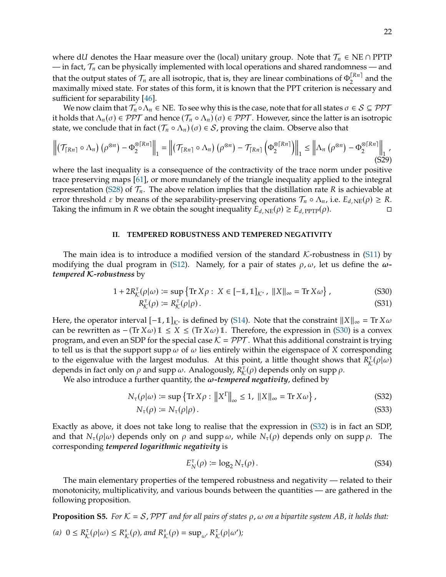where dU denotes the Haar measure over the (local) unitary group. Note that  $\mathcal{T}_n \in \text{NE} \cap \text{PPTP}$ — in fact,  $\mathcal{T}_n$  can be physically implemented with local operations and shared randomness — and that the output states of  $\mathcal{T}_n$  are all isotropic, that is, they are linear combinations of  $\Phi_2^{[Rn]}$  and the maximally mixed state. For states of this form, it is known that the PPT criterion is necessary and sufficient for separability [\[46\]](#page-14-10).

We now claim that  $\mathcal{T}_n \circ \Lambda_n \in \text{NE}$ . To see why this is the case, note that for all states  $\sigma \in \mathcal{S} \subseteq \mathcal{PPT}$ it holds that  $\Lambda_n(\sigma) \in \mathcal{PPT}$  and hence  $(\mathcal{T}_n \circ \Lambda_n)(\sigma) \in \mathcal{PPT}$ . However, since the latter is an isotropic state, we conclude that in fact  $(\mathcal{T}_n \circ \Lambda_n)(\sigma) \in \mathcal{S}$ , proving the claim. Observe also that

<span id="page-21-6"></span>
$$
\left\| \left( \mathcal{T}_{\lceil R n \rceil} \circ \Lambda_n \right) \left( \rho^{\otimes n} \right) - \Phi_2^{\otimes \lceil R n \rceil} \right\|_1 = \left\| \left( \mathcal{T}_{\lceil R n \rceil} \circ \Lambda_n \right) \left( \rho^{\otimes n} \right) - \mathcal{T}_{\lceil R n \rceil} \left( \Phi_2^{\otimes \lceil R n \rceil} \right) \right\|_1 \leq \left\| \Lambda_n \left( \rho^{\otimes n} \right) - \Phi_2^{\otimes \lceil R n \rceil} \right\|_1' \tag{S29}
$$

where the last inequality is a consequence of the contractivity of the trace norm under positive trace preserving maps [\[61\]](#page-14-25), or more mundanely of the triangle inequality applied to the integral representation [\(S28\)](#page-20-0) of  $\mathcal{T}_n$ . The above relation implies that the distillation rate R is achievable at error threshold *ε* by means of the separability-preserving operations  $\mathcal{T}_n \circ \Lambda_n$ , i.e.  $E_{d,NE}(\rho) \geq R$ .<br>Taking the infimum in R we obtain the sought inequality  $E_d_{NE}(\rho) > E_d_{PPT}(\rho)$ . Taking the infimum in R we obtain the sought inequality  $E_{d,NE}(\rho) \geq E_{d,PTP}(\rho)$ .

#### <span id="page-21-0"></span>**II. TEMPERED ROBUSTNESS AND TEMPERED NEGATIVITY**

The main idea is to introduce a modified version of the standard  $K$ -robustness in [\(S11\)](#page-18-0) by modifying the dual program in [\(S12\)](#page-18-1). Namely, for a pair of states  $\rho$ ,  $\omega$ , let us define the  $\omega$ *tempered* K*-robustness* by

$$
1 + 2R_{\mathcal{K}}^{\tau}(\rho|\omega) \coloneqq \sup \{ \text{Tr}\, X\rho : \ X \in [-1, 1]_{\mathcal{K}^*}, \ \|X\|_{\infty} = \text{Tr}\, X\omega \},\tag{S30}
$$

<span id="page-21-1"></span>
$$
R^{\tau}_{\mathcal{K}}(\rho) \coloneqq R^{\tau}_{\mathcal{K}}(\rho|\rho). \tag{S31}
$$

Here, the operator interval  $[-1, 1]_{K^*}$  is defined by [\(S14\)](#page-18-2). Note that the constraint  $||X||_{\infty} = \text{Tr } X \omega$ can be rewritten as  $-(Tr X\omega) \mathbb{1} \le X \le (Tr X\omega) \mathbb{1}$ . Therefore, the expression in [\(S30\)](#page-21-1) is a convex program, and even an SDP for the special case  $K = \mathcal{PPT}$ . What this additional constraint is trying to tell us is that the support supp  $\omega$  of  $\omega$  lies entirely within the eigenspace of X corresponding to the eigenvalue with the largest modulus. At this point, a little thought shows that  $R^{\tau}_{\mathcal{K}}(\rho|\omega)$ depends in fact only on  $\rho$  and supp  $\omega$ . Analogously,  $R_K^{\tau}(\rho)$  depends only on supp  $\rho$ .<br>We also introduce a further quantity the  $\omega$ -tempered negativity, defined by

We also introduce a further quantity, the  $\omega$ -tempered negativity, defined by

$$
N_{\tau}(\rho|\omega) \coloneqq \sup \left\{ \text{Tr}\, X\rho : \left\| X^{\Gamma} \right\|_{\infty} \le 1, \, \|X\|_{\infty} = \text{Tr}\, X\omega \right\},\tag{S32}
$$

$$
N_{\tau}(\rho) \coloneqq N_{\tau}(\rho|\rho). \tag{S33}
$$

Exactly as above, it does not take long to realise that the expression in [\(S32\)](#page-21-2) is in fact an SDP, and that  $N_{\tau}(\rho|\omega)$  depends only on  $\rho$  and supp  $\omega$ , while  $N_{\tau}(\rho)$  depends only on supp  $\rho$ . The corresponding *tempered logarithmic negativity* is

<span id="page-21-5"></span><span id="page-21-4"></span><span id="page-21-2"></span>
$$
E_N^{\tau}(\rho) \coloneqq \log_2 N_{\tau}(\rho). \tag{S34}
$$

The main elementary properties of the tempered robustness and negativity — related to their monotonicity, multiplicativity, and various bounds between the quantities — are gathered in the following proposition.

<span id="page-21-3"></span>**Proposition S5.** For  $K = S$ , PPT and for all pairs of states  $\rho$ ,  $\omega$  on a bipartite system AB, it holds that: (a)  $0 \le R^{\tau}_{\mathcal{K}}(\rho|\omega) \le R^s_{\mathcal{K}}(\rho)$ , and  $R^s_{\mathcal{K}}(\rho) = \sup_{\omega'} R^{\tau}_{\mathcal{K}}(\rho|\omega')$ ;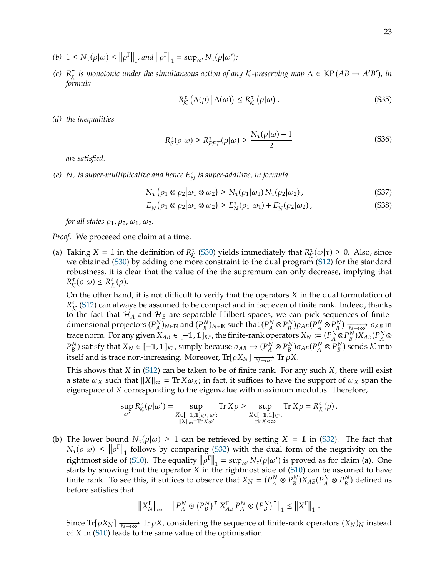- (b)  $1 \leq N_{\tau}(\rho|\omega) \leq ||\rho^{\Gamma}||_1$ , and  $||\rho^{\Gamma}||_1 = \sup_{\omega'} N_{\tau}(\rho|\omega')$ ;
- (c)  $R_K^{\tau}$  is monotonic under the simultaneous action of any K-preserving map  $\Lambda \in \text{KP}(AB \to A'$ <br>formula 0 )*, in formula*

$$
R_{\mathcal{K}}^{\tau}\left(\Lambda(\rho)\middle|\Lambda(\omega)\right) \leq R_{\mathcal{K}}^{\tau}\left(\rho|\omega\right). \tag{S35}
$$

*(d) the inequalities*

<span id="page-22-1"></span><span id="page-22-0"></span>
$$
R_{\mathcal{S}}^{\tau}(\rho|\omega) \ge R_{PPT}^{\tau}(\rho|\omega) \ge \frac{N_{\tau}(\rho|\omega) - 1}{2}
$$
 (S36)

*are satisfied.*

(e)  $N_{\tau}$  is super-multiplicative and hence  $E_{N}^{\tau}$  is super-additive, in formula

$$
N_{\tau} \left( \rho_1 \otimes \rho_2 | \omega_1 \otimes \omega_2 \right) \ge N_{\tau}(\rho_1 | \omega_1) N_{\tau}(\rho_2 | \omega_2), \tag{S37}
$$

$$
E_N^{\tau}(\rho_1 \otimes \rho_2 | \omega_1 \otimes \omega_2) \ge E_N^{\tau}(\rho_1 | \omega_1) + E_N^{\tau}(\rho_2 | \omega_2), \tag{S38}
$$

*for all states*  $\rho_1$ ,  $\rho_2$ ,  $\omega_1$ ,  $\omega_2$ .

*Proof.* We proceeed one claim at a time.

(a) Taking  $X = 1$  in the definition of  $R^{\tau}_{\mathcal{K}}$  [\(S30\)](#page-21-1) yields immediately that  $R^{\tau}_{\mathcal{K}}(\omega|\tau) \ge 0$ . Also, since we obtained (S30) by adding one more constraint to the dual program (S12) for the standard we obtained [\(S30\)](#page-21-1) by adding one more constraint to the dual program [\(S12\)](#page-18-1) for the standard robustness, it is clear that the value of the the supremum can only decrease, implying that 𝑅  $\mathcal{R}_{\mathcal{K}}^{\tau}(\rho|\omega) \leq R_{\mathcal{K}}^{s}(\rho).$ 

On the other hand, it is not difficult to verify that the operators  $X$  in the dual formulation of to the fact that  $\mathcal{H}_A$  and  $\mathcal{H}_B$  are separable Hilbert spaces, we can pick sequences of finite-<br>dimensional projectors  $(D_N^N)$  and  $(D_N^N)$  are such that  $(D_N^N \otimes D_N^N)$  and  $(D_N^N \otimes D_N^N)$  $^{\mathrm{s}}_{\mathcal{K}}$  [\(S12\)](#page-18-1) can always be assumed to be compact and in fact even of finite rank. Indeed, thanks dimensional projectors  $(P_A^N)$ 𝐴  $)_{N \in \mathbb{N}}$  and  $(P_B^N)$ ī.  $(y)_{N\in\mathbb{N}}$  such that  $(P_A^N)$  $^N_A \otimes P^N_B$  $\frac{N}{B}$ ) $\rho_{AB}$  $(P_A^N)$  $\overline{A}^N \otimes \overline{P}_B^N$ <br> $\overline{P}_D^N$ 𝐵  $\frac{1}{N} \rightarrow \infty$   $\rho_{AB}$  in trace norm. For any given  $X_{AB} \in [-1, 1]_{K^*}$ , the finite-rank operators  $X_N := (P_A^N)^2$  $\frac{N}{A} \otimes P_{B}^{N}$  $\frac{N}{B}$ ) $X_{AB}$  $(P_A^N)$  $\overline{ }$ ⊗  $P_B^N$ ) satisfy that  $X_N \in [-1, 1]_{K^*}$ , simply because  $\sigma_{AB} \mapsto (P_A^N \otimes P_B^N) \sigma_{AB}(P_A^N)$ <br>itself and is trace non-increasing. Moreover,  $\text{Tr}[\circ Y]$ itself and is trace non-increasing. Moreover,  $Tr[\rho X_N] \xrightarrow[N \to \infty]{N} Tr \rho X$ .  $^N_A \otimes P^N_B$ ) sends  $K$  into

This shows that  $X$  in [\(S12\)](#page-18-1) can be taken to be of finite rank. For any such  $X$ , there will exist a state  $\omega_X$  such that  $||X||_{\infty} = \text{Tr } X \omega_X$ ; in fact, it suffices to have the support of  $\omega_X$  span the eigenspace of X corresponding to the eigenvalue with maximum modulus. Therefore,

$$
\sup_{\omega'} R^\tau_\mathcal{K}(\rho | \omega') = \sup_{\substack{X \in [-1,1]_{\mathcal{K}^*, \omega'}:\\ \|X\|_\infty = \operatorname{Tr} X \omega'}} \operatorname{Tr} X\rho \geq \sup_{\substack{X \in [-1,1]_{\mathcal{K}^*},\\ \operatorname{rk} X < \infty}} \operatorname{Tr} X\rho = R^\text{s}_\mathcal{K}(\rho)\,.
$$

(b) The lower bound  $N_{\tau}(\rho|\omega) \geq 1$  can be retrieved by setting  $X = 1$  in [\(S32\)](#page-21-2). The fact that  $N_{\tau}(\rho|\omega) \leq ||\rho^{\Gamma}||_1$  follows by comparing [\(S32\)](#page-21-2) with the dual form of the negativity on the negativity on the rightmost side of [\(S10\)](#page-17-2). The equality  $\|\rho^{\Gamma}\|_1 = \sup_{\omega'} N_{\tau}(\rho|\omega')$  is proved as for claim (a). One<br>starts by showing that the operator X in the rightmost side of (S10) can be assumed to have starts by showing that the operator  $\overline{X}$  in the rightmost side of [\(S10\)](#page-17-2) can be assumed to have finite rank. To see this, it suffices to observe that  $X_N = (P_A^N \otimes P_B^N) X_{AB} (P_A^N \otimes P_B^N)$  defined as before satisfies that before satisfies that

$$
||X_N^{\Gamma}||_{\infty} = ||P_A^N \otimes (P_B^N)^{\top} X_{AB}^{\Gamma} P_A^N \otimes (P_B^N)^{\top}||_1 \le ||X^{\Gamma}||_1.
$$

Since  $Tr[\rho X_N] \xrightarrow[N \to \infty]{} Tr \rho X$ , considering the sequence of finite-rank operators  $(X_N)_N$  instead of X in (S10) leads to the same value of the optimisation of  $X$  in [\(S10\)](#page-17-2) leads to the same value of the optimisation.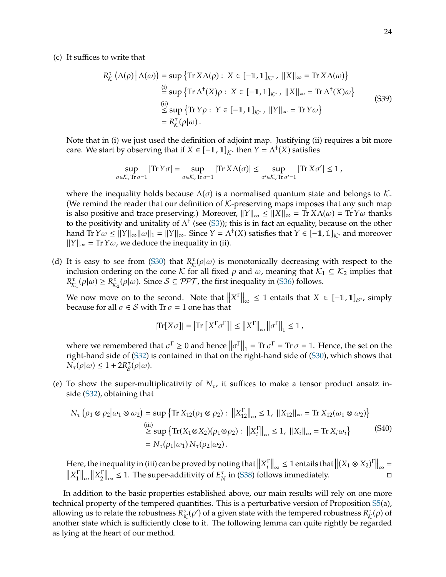(c) It suffices to write that

$$
R_{\mathcal{K}}^{\tau} (\Lambda(\rho) | \Lambda(\omega)) = \sup \{ \text{Tr } X \Lambda(\rho) : X \in [-1, 1]_{\mathcal{K}^*}, \|X\|_{\infty} = \text{Tr } X \Lambda(\omega) \}
$$
  
\n
$$
\stackrel{\text{(i)}}{=} \sup \{ \text{Tr } \Lambda^{\dagger}(X)\rho : X \in [-1, 1]_{\mathcal{K}^*}, \|X\|_{\infty} = \text{Tr } \Lambda^{\dagger}(X)\omega \}
$$
  
\n
$$
\stackrel{\text{(ii)}}{\leq} \sup \{ \text{Tr } Y\rho : Y \in [-1, 1]_{\mathcal{K}^*}, \|Y\|_{\infty} = \text{Tr } Y\omega \}
$$
  
\n
$$
= R_{\mathcal{K}}^{\tau}(\rho|\omega).
$$
 (S39)

Note that in (i) we just used the definition of adjoint map. Justifying (ii) requires a bit more care. We start by observing that if  $X \in [-1, 1]_{K^*}$  then  $Y = \Lambda^{\dagger}(X)$  satisfies

$$
\sup_{\sigma \in \mathcal{K}, \text{Tr }\sigma=1} |\text{Tr } \Upsilon \sigma| = \sup_{\sigma \in \mathcal{K}, \text{Tr }\sigma=1} |\text{Tr } \Upsilon \Lambda(\sigma)| \leq \sup_{\sigma' \in \mathcal{K}, \text{Tr }\sigma'=1} |\text{Tr } \Upsilon \sigma'| \leq 1,
$$

where the inequality holds because  $\Lambda(\sigma)$  is a normalised quantum state and belongs to K. (We remind the reader that our definition of  $K$ -preserving maps imposes that any such map is also positive and trace preserving.) Moreover,  $||Y||_{\infty} \le ||X||_{\infty} = \text{Tr } X \Lambda(\omega) = \text{Tr } Y \omega$  thanks to the positivity and unitality of  $\Lambda^{\dagger}$  (see [\(S3\)](#page-17-3)); this is in fact an equality, because on the other hand  $Tr Y \omega \le ||Y||_{\infty} ||\omega||_1 = ||Y||_{\infty}$ . Since  $Y = \Lambda^{\dagger}(X)$  satisfies that  $Y \in [-1, 1]_{\mathcal{K}^*}$  and moreover  $||Y|| = Tr Y \omega$ , we deduce the inequality in (ii)  $||Y||_{\infty} = \text{Tr } Y \omega$ , we deduce the inequality in (ii).

(d) It is easy to see from [\(S30\)](#page-21-1) that  $R^{\tau}_{\mathcal{K}}(\rho|\omega)$  is monotonically decreasing with respect to the inclusion ordering on the cone K for all fixed a and  $\omega$  meaning that  $K_1 \subset K_2$  implies that inclusion ordering on the cone K for all fixed  $\rho$  and  $\omega$ , meaning that  $\mathcal{K}_1 \subseteq \mathcal{K}_2$  implies that 𝑅  $K_{\mathcal{K}_1}^{\tau}(\rho|\omega) \geq R_{\mathcal{K}_2}^{\tau}(\rho|\omega)$ . Since  $S \subseteq \mathcal{PPT}$ , the first inequality in [\(S36\)](#page-22-0) follows.

We now move on to the second. Note that  $||X^T||_{\infty} \le 1$  entails that  $X \in [-1,1]_{\mathcal{S}^*}$ , simply because for all  $\sigma \in S$  with  $Tr \sigma = 1$  one has that because for all  $\sigma \in S$  with Tr  $\sigma = 1$  one has that

$$
|\text{Tr}[X\sigma]| = |\text{Tr}\left[X^{\Gamma}\sigma^{\Gamma}\right]| \leq ||X^{\Gamma}||_{\infty} ||\sigma^{\Gamma}||_{1} \leq 1,
$$

where we remembered that  $\sigma^{\Gamma} \ge 0$  and hence  $\|\sigma^{\Gamma}\|_1 = \text{Tr} \sigma^{\Gamma} = \text{Tr} \sigma = 1$ . Hence, the set on the right-hand side of [\(S32\)](#page-21-2) is contained in that on the right-hand side of [\(S30\)](#page-21-1), which shows that  $\overline{N_{\tau}}(\rho|\omega) \leq 1 + 2R_{\mathcal{S}}^{\tau}(\rho|\omega).$ 

(e) To show the super-multiplicativity of  $N_{\tau}$ , it suffices to make a tensor product ansatz inside [\(S32\)](#page-21-2), obtaining that

$$
N_{\tau} (\rho_1 \otimes \rho_2 | \omega_1 \otimes \omega_2) = \sup \{ \text{Tr } X_{12}(\rho_1 \otimes \rho_2) : ||X_{12}^{\Gamma}||_{\infty} \le 1, ||X_{12}||_{\infty} = \text{Tr } X_{12}(\omega_1 \otimes \omega_2) \}
$$
  
\n
$$
\ge \sup \{ \text{Tr}(X_1 \otimes X_2)(\rho_1 \otimes \rho_2) : ||X_i^{\Gamma}||_{\infty} \le 1, ||X_i||_{\infty} = \text{Tr } X_i \omega_i \}
$$
  
\n
$$
= N_{\tau}(\rho_1 | \omega_1) N_{\tau}(\rho_2 | \omega_2).
$$
\n(S40)

Here, the inequality in (iii) can be proved by noting that  $||X_i^{\Gamma}||_{\infty} \leq 1$  entails that  $||(X_1 \otimes X_2)^{\Gamma}||_{\infty} = ||X_1||_{\infty}$  $||X_1^{\Pi}||_{\infty} ||X_2^{\Pi}||_{\infty} \leq 1$ . The super-additivity of  $E_N^{\tau}$  in (S38) foll  $\left\| \frac{1}{1} \right\|_{\infty} \left\| X_2^{\Gamma} \right\|$  $\frac{\Gamma}{2} \big\|_{\infty} \leq 1$ . The super-additivity of  $E_N^{\tau}$ in [\(S38\)](#page-22-1) follows immediately.

In addition to the basic properties established above, our main results will rely on one more technical property of the tempered quantities. This is a perturbative version of Proposition [S5\(](#page-21-3)a), allowing us to relate the robustness  $\overline{R}_{\mathcal{K}}^s(\rho')$  of a given state with the tempered robustness  $R_{\mathcal{K}}^{\tau}(\rho)$  of another state which is sufficiently close to it. The following lemma can quite rightly be regarded as lying at the heart of our method.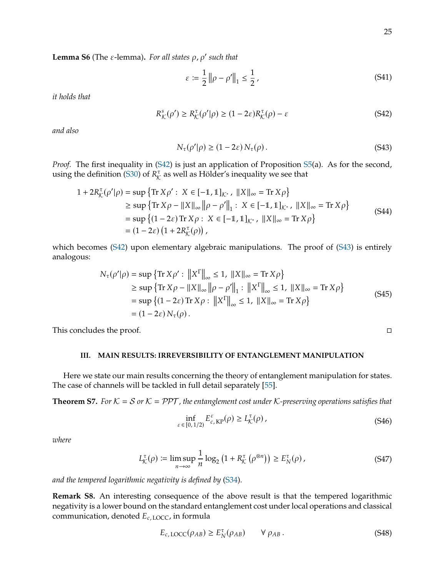<span id="page-24-4"></span>**Lemma S6** (The  $\varepsilon$ -lemma). For all states  $\rho$ ,  $\rho'$  such that

$$
\varepsilon := \frac{1}{2} \left\| \rho - \rho' \right\|_1 \le \frac{1}{2},\tag{S41}
$$

*it holds that*

<span id="page-24-1"></span>
$$
R_{\mathcal{K}}^{s}(\rho') \ge R_{\mathcal{K}}^{\tau}(\rho'|\rho) \ge (1 - 2\varepsilon)R_{\mathcal{K}}^{\tau}(\rho) - \varepsilon
$$
\n(S42)

*and also*

<span id="page-24-2"></span>
$$
N_{\tau}(\rho'|\rho) \ge (1 - 2\varepsilon) N_{\tau}(\rho).
$$
 (S43)

*Proof.* The first inequality in [\(S42\)](#page-24-1) is just an application of Proposition [S5\(](#page-21-3)a). As for the second, using the definition [\(S30\)](#page-21-1) of  $R_{\mathcal{K}}^{\tau}$  as well as Hölder's inequality we see that

$$
1 + 2R_{\mathcal{K}}^{\tau}(\rho'|\rho) = \sup \{ \text{Tr } X\rho' : X \in [-1, 1]_{\mathcal{K}^*}, \|X\|_{\infty} = \text{Tr } X\rho \}
$$
  
\n
$$
\geq \sup \{ \text{Tr } X\rho - \|X\|_{\infty} \|\rho - \rho'\|_{1} : X \in [-1, 1]_{\mathcal{K}^*}, \|X\|_{\infty} = \text{Tr } X\rho \}
$$
  
\n
$$
= \sup \{ (1 - 2\varepsilon) \text{Tr } X\rho : X \in [-1, 1]_{\mathcal{K}^*}, \|X\|_{\infty} = \text{Tr } X\rho \}
$$
  
\n
$$
= (1 - 2\varepsilon) (1 + 2R_{\mathcal{K}}^{\tau}(\rho)),
$$
\n(S44)

which becomes [\(S42\)](#page-24-1) upon elementary algebraic manipulations. The proof of [\(S43\)](#page-24-2) is entirely analogous:

$$
N_{\tau}(\rho'|\rho) = \sup \{ \text{Tr } X\rho' : \|X^{\Gamma}\|_{\infty} \le 1, \|X\|_{\infty} = \text{Tr } X\rho \}
$$
  
\n
$$
\ge \sup \{ \text{Tr } X\rho - \|X\|_{\infty} \|\rho - \rho'\|_{1} : \|X^{\Gamma}\|_{\infty} \le 1, \|X\|_{\infty} = \text{Tr } X\rho \}
$$
  
\n
$$
= \sup \{ (1 - 2\varepsilon) \text{Tr } X\rho : \|X^{\Gamma}\|_{\infty} \le 1, \|X\|_{\infty} = \text{Tr } X\rho \}
$$
  
\n
$$
= (1 - 2\varepsilon) N_{\tau}(\rho).
$$
 (S45)

This concludes the proof.  $\Box$ 

## <span id="page-24-0"></span>**III. MAIN RESULTS: IRREVERSIBILITY OF ENTANGLEMENT MANIPULATION**

Here we state our main results concerning the theory of entanglement manipulation for states. The case of channels will be tackled in full detail separately [\[55\]](#page-14-19).

<span id="page-24-3"></span>**Theorem S7.** For  $K = S$  or  $K = PPT$ , the entanglement cost under K-preserving operations satisfies that

<span id="page-24-5"></span>
$$
\inf_{\varepsilon \in [0,1/2)} E_{c,\text{KP}}^{\varepsilon}(\rho) \ge L_{\mathcal{K}}^{\tau}(\rho), \tag{S46}
$$

*where*

<span id="page-24-6"></span>
$$
L_{\mathcal{K}}^{\tau}(\rho) \coloneqq \limsup_{n \to \infty} \frac{1}{n} \log_2 \left( 1 + R_{\mathcal{K}}^{\tau} \left( \rho^{\otimes n} \right) \right) \ge E_N^{\tau}(\rho), \tag{S47}
$$

*and the tempered logarithmic negativity is defined by* [\(S34\)](#page-21-4)*.*

**Remark S8.** An interesting consequence of the above result is that the tempered logarithmic negativity is a lower bound on the standard entanglement cost under local operations and classical communication, denoted  $E_{c,\text{LOCC}}$ , in formula

$$
E_{c,\text{LOCC}}(\rho_{AB}) \ge E_N^{\tau}(\rho_{AB}) \qquad \forall \rho_{AB}. \qquad (S48)
$$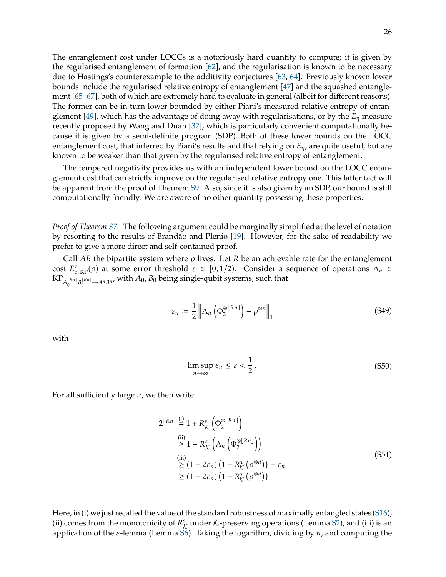The entanglement cost under LOCCs is a notoriously hard quantity to compute; it is given by the regularised entanglement of formation [\[62\]](#page-14-26), and the regularisation is known to be necessary due to Hastings's counterexample to the additivity conjectures [\[63,](#page-14-27) [64\]](#page-14-28). Previously known lower bounds include the regularised relative entropy of entanglement [\[47\]](#page-14-11) and the squashed entanglement [\[65–](#page-15-0)[67\]](#page-15-1), both of which are extremely hard to evaluate in general (albeit for different reasons). The former can be in turn lower bounded by either Piani's measured relative entropy of entan-glement [\[49\]](#page-14-13), which has the advantage of doing away with regularisations, or by the  $E_n$  measure recently proposed by Wang and Duan [\[32\]](#page-13-25), which is particularly convenient computationally because it is given by a semi-definite program (SDP). Both of these lower bounds on the LOCC entanglement cost, that inferred by Piani's results and that relying on  $E_n$ , are quite useful, but are known to be weaker than that given by the regularised relative entropy of entanglement.

The tempered negativity provides us with an independent lower bound on the LOCC entanglement cost that can strictly improve on the regularised relative entropy one. This latter fact will be apparent from the proof of Theorem [S9.](#page-27-0) Also, since it is also given by an SDP, our bound is still computationally friendly. We are aware of no other quantity possessing these properties.

*Proof of Theorem [S7.](#page-24-3)* The following argument could be marginally simplified at the level of notation by resorting to the results of Brandão and Plenio [\[19\]](#page-13-11). However, for the sake of readability we prefer to give a more direct and self-contained proof.

Call AB the bipartite system where  $\rho$  lives. Let R be an achievable rate for the entanglement cost  $E_{c, KP}^{\varepsilon}(\rho)$  at some error threshold  $\varepsilon \in [0, 1/2)$ . Consider a sequence of operations  $\Lambda_n \in$ <br>KP  $_{Rn}$   $_{Rn}$  with  $A_0$   $B_0$  being single-qubit systems such that KP ${}_{A_0^{[R_{B}]}B_0^{[R_{B}]}\rightarrow A^{n}B^{n}}$ , with  $A_0$ ,  $B_0$  being single-qubit systems, such that

$$
\varepsilon_n := \frac{1}{2} \left\| \Lambda_n \left( \Phi_2^{\otimes \lfloor Rn \rfloor} \right) - \rho^{\otimes n} \right\|_1 \tag{S49}
$$

with

<span id="page-25-0"></span>
$$
\limsup_{n \to \infty} \varepsilon_n \le \varepsilon < \frac{1}{2} \,. \tag{S50}
$$

For all sufficiently large  $n$ , we then write

<span id="page-25-1"></span>
$$
2^{\lfloor Rn \rfloor} \stackrel{\text{(i)}}{=} 1 + R_K^s \left( \Phi_2^{\otimes \lfloor Rn \rfloor} \right)
$$
\n
$$
\stackrel{\text{(ii)}}{\geq} 1 + R_K^s \left( \Lambda_n \left( \Phi_2^{\otimes \lfloor Rn \rfloor} \right) \right)
$$
\n
$$
\stackrel{\text{(iii)}}{\geq} (1 - 2\varepsilon_n) \left( 1 + R_K^{\tau} \left( \rho^{\otimes n} \right) \right) + \varepsilon_n
$$
\n
$$
\geq (1 - 2\varepsilon_n) \left( 1 + R_K^{\tau} \left( \rho^{\otimes n} \right) \right)
$$
\n
$$
(S51)
$$

Here, in (i) we just recalled the value of the standard robustness of maximally entangled states [\(S16\)](#page-18-3), (ii) comes from the monotonicity of  $R^s_{\mathcal{K}}$  under K-preserving operations (Lemma [S2\)](#page-10-3), and (iii) is an application of the s-lemma (Lemma S6). Taking the logarithm dividing by  $u$  and computing the application of the  $\varepsilon$ -lemma (Lemma [S6\)](#page-24-4). Taking the logarithm, dividing by  $n$ , and computing the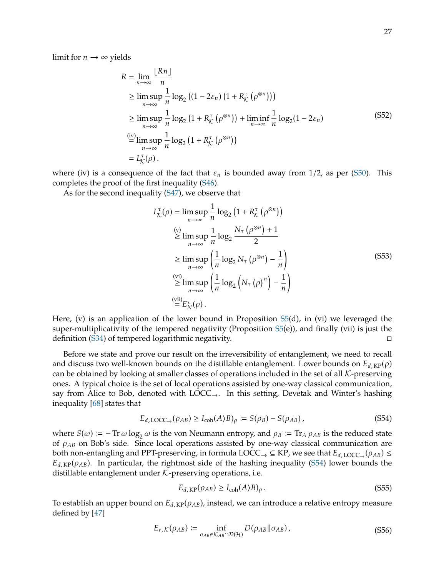limit for  $n \to \infty$  yields

$$
R = \lim_{n \to \infty} \frac{\lfloor Rn \rfloor}{n}
$$
  
\n
$$
\geq \limsup_{n \to \infty} \frac{1}{n} \log_2 \left( (1 - 2\varepsilon_n) \left( 1 + R_K^{\tau} \left( \rho^{\otimes n} \right) \right) \right)
$$
  
\n
$$
\geq \limsup_{n \to \infty} \frac{1}{n} \log_2 \left( 1 + R_K^{\tau} \left( \rho^{\otimes n} \right) \right) + \liminf_{n \to \infty} \frac{1}{n} \log_2 (1 - 2\varepsilon_n)
$$
  
\n
$$
\stackrel{\text{(iv)}}{=} \limsup_{n \to \infty} \frac{1}{n} \log_2 \left( 1 + R_K^{\tau} \left( \rho^{\otimes n} \right) \right)
$$
  
\n
$$
= L_K^{\tau}(\rho).
$$
 (S52)

where (iv) is a consequence of the fact that  $\varepsilon_n$  is bounded away from 1/2, as per [\(S50\)](#page-25-0). This completes the proof of the first inequality [\(S46\)](#page-24-5).

As for the second inequality [\(S47\)](#page-24-6), we observe that

$$
L_{\mathcal{K}}^{\tau}(\rho) = \limsup_{n \to \infty} \frac{1}{n} \log_2 (1 + R_{\mathcal{K}}^{\tau} (\rho^{\otimes n}))
$$
  
\n
$$
\geq \limsup_{n \to \infty} \frac{1}{n} \log_2 \frac{N_{\tau} (\rho^{\otimes n}) + 1}{2}
$$
  
\n
$$
\geq \limsup_{n \to \infty} \left( \frac{1}{n} \log_2 N_{\tau} (\rho^{\otimes n}) - \frac{1}{n} \right)
$$
  
\n
$$
\geq \limsup_{n \to \infty} \left( \frac{1}{n} \log_2 (N_{\tau} (\rho)^n) - \frac{1}{n} \right)
$$
  
\n
$$
\stackrel{\text{(vii)}}{=} E_{N}^{\tau}(\rho).
$$
 (S53)

Here, (v) is an application of the lower bound in Proposition [S5\(](#page-21-3)d), in (vi) we leveraged the super-multiplicativity of the tempered negativity (Proposition [S5\(](#page-21-3)e)), and finally (vii) is just the definition [\(S34\)](#page-21-4) of tempered logarithmic negativity.

Before we state and prove our result on the irreversibility of entanglement, we need to recall and discuss two well-known bounds on the distillable entanglement. Lower bounds on  $E_{d,KP}(\rho)$ can be obtained by looking at smaller classes of operations included in the set of all  $K$ -preserving ones. A typical choice is the set of local operations assisted by one-way classical communication, say from Alice to Bob, denoted with LOCC $\rightarrow$ . In this setting, Devetak and Winter's hashing inequality [\[68\]](#page-15-2) states that

<span id="page-26-0"></span>
$$
E_{d, \text{LOCC}_{\rightarrow}}(\rho_{AB}) \ge I_{\text{coh}}(A \rangle B)_{\rho} := S(\rho_B) - S(\rho_{AB}), \qquad (S54)
$$

where  $S(\omega) := -\text{Tr}\,\omega \log_2 \omega$  is the von Neumann entropy, and  $\rho_B := \text{Tr}_A \rho_{AB}$  is the reduced state of  $\rho_{AB}$  on Bob's side. Since local operations assisted by one-way classical communication are both non-entangling and PPT-preserving, in formula LOCC  $\subseteq$  KP, we see that  $E_{d,LOCC}(\rho_{AB}) \le$  $E_{d,KP}(\rho_{AB})$ . In particular, the rightmost side of the hashing inequality [\(S54\)](#page-26-0) lower bounds the distillable entanglement under  $K$ -preserving operations, i.e.

<span id="page-26-1"></span>
$$
E_{d,KP}(\rho_{AB}) \ge I_{coh}(A \rangle B)_{\rho} \,. \tag{S55}
$$

To establish an upper bound on  $E_{d,KP}(\rho_{AB})$ , instead, we can introduce a relative entropy measure defined by [\[47\]](#page-14-11)

<span id="page-26-2"></span>
$$
E_{r,K}(\rho_{AB}) \coloneqq \inf_{\sigma_{AB} \in \mathcal{K}_{AB} \cap \mathcal{D}(\mathcal{H})} D(\rho_{AB} || \sigma_{AB}), \tag{S56}
$$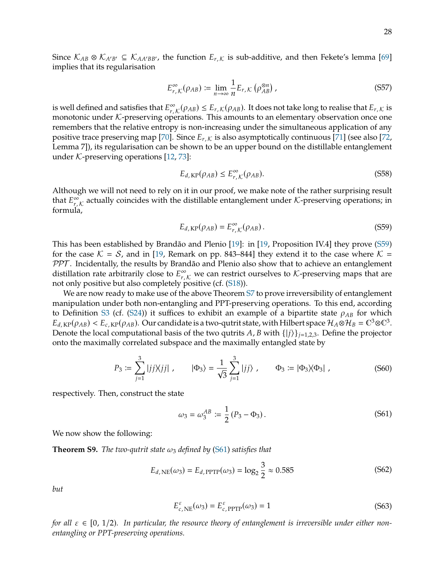Since  $K_{AB} \otimes K_{A'B'} \subseteq K_{AA'BB'}$ , the function  $E_{r,K}$  is sub-additive, and then Fekete's lemma [\[69\]](#page-15-3) implies that its regularisation

<span id="page-27-7"></span>
$$
E_{r,K}^{\infty}(\rho_{AB}) \coloneqq \lim_{n \to \infty} \frac{1}{n} E_{r,K}(\rho_{AB}^{\otimes n}) \tag{S57}
$$

is well defined and satisfies that  $E_{r,K}^{\infty}(\rho_{AB}) \leq E_{r,K}(\rho_{AB})$ . It does not take long to realise that  $E_{r,K}$  is monotonic under  $K$ -preserving operations. This amounts to an elementary observation once one EVALUATE:  $\lim_{r, K} (\text{PAB}) \leq \text{E}_r, \text{E}_r(\text{PAB})$ . It does not take long to realise that  $\text{E}_r, \text{E}_r$  is monotonic under K-preserving operations. This amounts to an elementary observation once one remembers that the relative entropy is non-increasing under the simultaneous application of any positive trace preserving map [\[70\]](#page-15-4). Since  $E_{r,K}$  is also asymptotically continuous [\[71\]](#page-15-5) (see also [\[72,](#page-15-6) Lemma 7]), its regularisation can be shown to be an upper bound on the distillable entanglement under  $K$ -preserving operations [\[12,](#page-13-28) [73\]](#page-15-7):

<span id="page-27-3"></span>
$$
E_{d,\text{KP}}(\rho_{AB}) \le E_{r,\mathcal{K}}^{\infty}(\rho_{AB}).
$$
\n<sup>(S58)</sup>

Although we will not need to rely on it in our proof, we make note of the rather surprising result that  $E_{r}^{\infty}$  $\sum_{r,\mathcal{K}}^{\infty}$  actually coincides with the distillable entanglement under  $\mathcal{K}\text{-preserving operations; in }$ formula,

<span id="page-27-1"></span>
$$
E_{d,KP}(\rho_{AB}) = E_{r,K}^{\infty}(\rho_{AB}).
$$
\n(S59)

This has been established by Brandão and Plenio [\[19\]](#page-13-11): in [\[19,](#page-13-11) Proposition IV.4] they prove [\(S59\)](#page-27-1) for the case  $\mathcal{K} = \mathcal{S}$ , and in [\[19,](#page-13-11) Remark on pp. 843–844] they extend it to the case where  $\mathcal{K} =$ PPT. Incidentally, the results by Brandão and Plenio also show that to achieve an entanglement distillation rate arbitrarily close to  $E^{\infty}_{r,K}$  we can restrict ourselves to K-preserving maps that are not only positive but also completely positive (cf. (S18)) not only positive but also completely positive (cf. [\(S18\)](#page-19-2)).

We are now ready to make use of the above Theorem [S7](#page-24-3) to prove irreversibility of entanglement manipulation under both non-entangling and PPT-preserving operations. To this end, according to Definition [S3](#page-20-1) (cf. [\(S24\)](#page-20-2)) it suffices to exhibit an example of a bipartite state  $\rho_{AB}$  for which  $E_{d, \text{KP}}(\rho_{AB}) < E_{c, \text{KP}}(\rho_{AB})$ . Our candidate is a two-qutrit state, with Hilbert space  $\mathcal{H}_A \otimes \mathcal{H}_B = \mathbb{C}^3 \otimes \mathbb{C}^3$ .<br>Denote the local computational basis of the two qutrits A, B with  $f(i)$  i, e.e. Define the Denote the local computational basis of the two qutrits A, B with  $\{|j\rangle\}_{j=1,2,3}$ . Define the projector onto the maximally correlated subspace and the maximally entangled state by

<span id="page-27-5"></span>
$$
P_3 := \sum_{j=1}^3 |jj \rangle \langle jj| \ , \qquad |\Phi_3\rangle = \frac{1}{\sqrt{3}} \sum_{j=1}^3 |jj\rangle \ , \qquad \Phi_3 := |\Phi_3\rangle \langle \Phi_3| \ , \tag{S60}
$$

respectively. Then, construct the state

<span id="page-27-2"></span>
$$
\omega_3 = \omega_3^{AB} := \frac{1}{2} (P_3 - \Phi_3).
$$
 (S61)

We now show the following:

<span id="page-27-0"></span>**Theorem S9.** *The two-qutrit state*  $\omega_3$  *defined by* [\(S61\)](#page-27-2) *satisfies that* 

<span id="page-27-4"></span>
$$
E_{d,\text{NE}}(\omega_3) = E_{d,\text{PPTP}}(\omega_3) = \log_2 \frac{3}{2} \approx 0.585
$$
 (S62)

*but*

<span id="page-27-6"></span>
$$
E_{c,\text{NE}}^{\varepsilon}(\omega_3) = E_{c,\text{PPTP}}^{\varepsilon}(\omega_3) = 1\tag{S63}
$$

*for all*  $\varepsilon \in [0, 1/2)$ . In particular, the resource theory of entanglement is irreversible under either non*entangling or PPT-preserving operations.*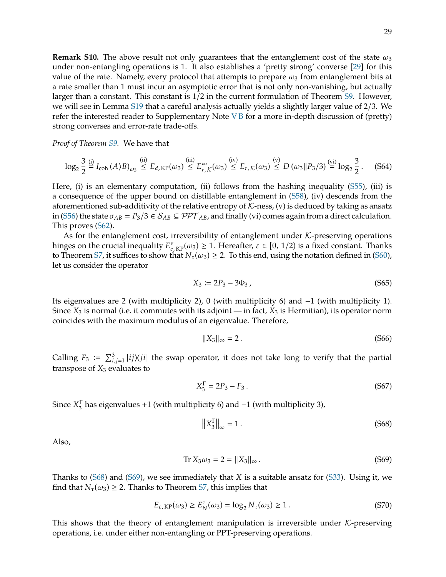**Remark S10.** The above result not only guarantees that the entanglement cost of the state  $\omega_3$ under non-entangling operations is 1. It also establishes a 'pretty strong' converse [\[29\]](#page-13-21) for this value of the rate. Namely, every protocol that attempts to prepare  $\omega_3$  from entanglement bits at a rate smaller than 1 must incur an asymptotic error that is not only non-vanishing, but actually larger than a constant. This constant is 1/2 in the current formulation of Theorem [S9.](#page-27-0) However, we will see in Lemma [S19](#page-40-0) that a careful analysis actually yields a slightly larger value of 2/3. We refer the interested reader to Supplementary Note  $V$  B for a more in-depth discussion of (pretty) strong converses and error-rate trade-offs.

*Proof of Theorem [S9.](#page-27-0)* We have that

$$
\log_2 \frac{3}{2} \stackrel{\text{(i)}}{=} I_{\text{coh}}(A \setminus B)_{\omega_3} \stackrel{\text{(ii)}}{\leq} E_{d,\text{KP}}(\omega_3) \stackrel{\text{(iii)}}{\leq} E_{r,\mathcal{K}}^{\infty}(\omega_3) \stackrel{\text{(iv)}}{\leq} E_{r,\mathcal{K}}(\omega_3) \stackrel{\text{(v)}}{\leq} D(\omega_3 \| P_3/3) \stackrel{\text{(vi)}}{=} \log_2 \frac{3}{2}. \tag{S64}
$$

Here, (i) is an elementary computation, (ii) follows from the hashing inequality [\(S55\)](#page-26-1), (iii) is a consequence of the upper bound on distillable entanglement in [\(S58\)](#page-27-3), (iv) descends from the aforementioned sub-additivity of the relative entropy of  $K$ -ness, (v) is deduced by taking as ansatz in [\(S56\)](#page-26-2) the state  $\sigma_{AB} = P_3/3 \in S_{AB} \subseteq PPT_{AB}$ , and finally (vi) comes again from a direct calculation. This proves [\(S62\)](#page-27-4).

As for the entanglement cost, irreversibility of entanglement under  $K$ -preserving operations hinges on the crucial inequality  $E_{c,KP}^{\varepsilon}(\omega_3) \geq 1$ . Hereafter,  $\varepsilon \in [0, 1/2)$  is a fixed constant. Thanks to Theorem S7 it suffices to show that  $N_{-}(\omega_3) > 2$  To this end using the notation defined in (S60) to Theorem [S7,](#page-24-3) it suffices to show that  $N_{\tau}(\omega_3) \geq 2$ . To this end, using the notation defined in [\(S60\)](#page-27-5), let us consider the operator

<span id="page-28-3"></span>
$$
X_3 := 2P_3 - 3\Phi_3 \,,\tag{S65}
$$

Its eigenvalues are 2 (with multiplicity 2), 0 (with multiplicity 6) and −1 (with multiplicity 1). Since  $X_3$  is normal (i.e. it commutes with its adjoint — in fact,  $X_3$  is Hermitian), its operator norm coincides with the maximum modulus of an eigenvalue. Therefore,

$$
||X_3||_{\infty} = 2. \tag{S66}
$$

Calling  $F_3 := \sum_{i,j=1}^3 |ij\rangle\langle ji|$  the swap operator, it does not take long to verify that the partial transpose of  $X_i$  evaluates to transpose of  $X_3$  evaluates to

$$
X_3^{\Gamma} = 2P_3 - F_3. \tag{S67}
$$

Since  $X_3^{\Gamma}$  $\frac{\Gamma}{3}$  has eigenvalues +1 (with multiplicity 6) and −1 (with multiplicity 3),

<span id="page-28-0"></span>
$$
\left\|X_3^{\Gamma}\right\|_{\infty} = 1. \tag{S68}
$$

Also,

<span id="page-28-1"></span>
$$
\text{Tr}\, X_3 \omega_3 = 2 = \|X_3\|_{\infty} \,. \tag{S69}
$$

Thanks to [\(S68\)](#page-28-0) and [\(S69\)](#page-28-1), we see immediately that X is a suitable ansatz for [\(S33\)](#page-21-5). Using it, we find that  $N_{\tau}(\omega_3) \geq 2$ . Thanks to Theorem [S7,](#page-24-3) this implies that

<span id="page-28-2"></span>
$$
E_{c, KP}(\omega_3) \ge E_N^{\tau}(\omega_3) = \log_2 N_{\tau}(\omega_3) \ge 1.
$$
 (S70)

This shows that the theory of entanglement manipulation is irreversible under  $K$ -preserving operations, i.e. under either non-entangling or PPT-preserving operations.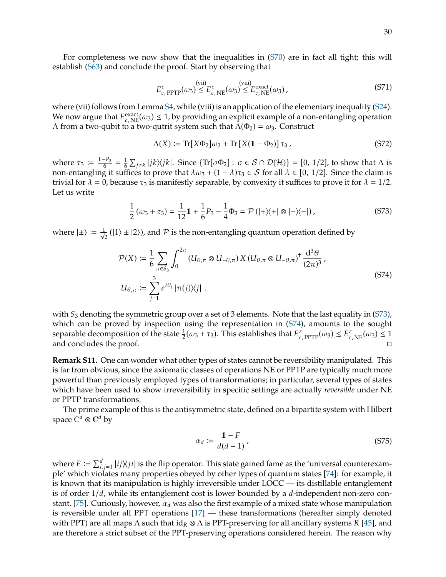For completeness we now show that the inequalities in [\(S70\)](#page-28-2) are in fact all tight; this will establish [\(S63\)](#page-27-6) and conclude the proof. Start by observing that

$$
E_{c,\,\text{PPTP}}^{\varepsilon}(\omega_3) \leq E_{c,\,\text{NE}}^{\varepsilon}(\omega_3) \leq E_{c,\,\text{NE}}^{\text{(viii)}}(\omega_3)\,,\tag{S71}
$$

where (vii) follows from Lemma [S4,](#page-20-3) while (viii) is an application of the elementary inequality [\(S24\)](#page-20-2). We now argue that  $E_{c,\text{NE}}^{\text{exact}}(\omega_3) \leq 1$ , by providing an explicit example of a non-entangling operation  $\Lambda$  from a two-quirit to a two-quirit system such that  $\Lambda(\Phi_2) = \omega_2$ . Construct Λ from a two-qubit to a two-qutrit system such that  $Λ(Φ<sub>2</sub>) = ω<sub>3</sub>$ . Construct

$$
\Lambda(X) \coloneqq \operatorname{Tr}[X\Phi_2]\omega_3 + \operatorname{Tr}[X(1-\Phi_2)]\tau_3,\tag{S72}
$$

where  $\tau_3 := \frac{1-P_3}{6} = \frac{1}{6}$  $\frac{1}{6} \sum_{j \neq k} |jk\rangle\langle jk|$ . Since  $\{Tr[\sigma \Phi_2] : \sigma \in S \cap \mathcal{D}(\mathcal{H})\} = [0, 1/2]$ , to show that  $\Lambda$  is fixes to prove that  $\lambda(\omega) + (1 - \lambda)\tau_2 \in S$  for all  $\lambda \in [0, 1/2]$ . Since the claim is non-entangling it suffices to prove that  $\lambda \omega_3 + (1 - \lambda)\tau_3 \in S$  for all  $\lambda \in [0, 1/2]$ . Since the claim is trivial for  $\lambda = 0$ , because  $\tau_3$  is manifestly separable, by convexity it suffices to prove it for  $\lambda = 1/2$ . Let us write

<span id="page-29-0"></span>
$$
\frac{1}{2}(\omega_3 + \tau_3) = \frac{1}{12}\mathbb{1} + \frac{1}{6}P_3 - \frac{1}{4}\Phi_3 = \mathcal{P}\left(|+\rangle\langle+|\otimes|-\rangle\langle-|\right),\tag{S73}
$$

where  $|\pm\rangle \coloneqq \frac{1}{\sqrt{\pi}}$  $\frac{1}{2}$  (|1)  $\pm$  |2)), and  $\mathcal P$  is the non-entangling quantum operation defined by

<span id="page-29-1"></span>
$$
\mathcal{P}(X) := \frac{1}{6} \sum_{\pi \in S_3} \int_0^{2\pi} (U_{\theta,\pi} \otimes U_{-\theta,\pi}) X (U_{\theta,\pi} \otimes U_{-\theta,\pi})^{\dagger} \frac{d^3 \theta}{(2\pi)^3},
$$
  

$$
U_{\theta,\pi} := \sum_{j=1}^3 e^{i\theta_j} |\pi(j)\rangle\langle j|.
$$
 (S74)

with  $S_3$  denoting the symmetric group over a set of 3 elements. Note that the last equality in [\(S73\)](#page-29-0), which can be proved by inspection using the representation in [\(S74\)](#page-29-1), amounts to the sought separable decomposition of the state  $\frac{1}{2}(\omega_3 + \tau_3)$ . This establishes that  $E_{c,\text{PTT}}^{\varepsilon}(\omega_3) \leq E_{c,\text{NE}}^{\varepsilon}(\omega_3) \leq 1$ <br>and concludes the proof and concludes the proof.  $\Box$ 

**Remark S11.** One can wonder what other types of states cannot be reversibility manipulated. This is far from obvious, since the axiomatic classes of operations NE or PPTP are typically much more powerful than previously employed types of transformations; in particular, several types of states which have been used to show irreversibility in specific settings are actually *reversible* under NE or PPTP transformations.

The prime example of this is the antisymmetric state, defined on a bipartite system with Hilbert space  $\tilde{\mathbb{C}}^d \otimes \mathbb{C}^d$  by

$$
\alpha_d := \frac{1 - F}{d(d - 1)},\tag{S75}
$$

where  $F := \sum_{i,j=1}^d |ij\rangle\langle ji|$  is the flip operator. This state gained fame as the 'universal counterexam-<br>ple' which violates many properties obeyed by other types of quantum states [74]; for example, it where  $F \nightharpoonup \Delta_{i,j=1}^i |i| \wedge |i|$  is the mp operator. This state gamed rame as the "unversal counterexam-<br>ple' which violates many properties obeyed by other types of quantum states [\[74\]](#page-15-8): for example, it is known that its manipulation is highly irreversible under LOCC — its distillable entanglement is of order  $1/d$ , while its entanglement cost is lower bounded by a d-independent non-zero con-stant. [\[75\]](#page-15-9). Curiously, however,  $\alpha_d$  was also the first example of a mixed state whose manipulation is reversible under all PPT operations [\[17\]](#page-13-9) — these transformations (hereafter simply denoted with PPT) are all maps  $\Lambda$  such that  $id_R \otimes \Lambda$  is PPT-preserving for all ancillary systems R [\[45\]](#page-14-9), and are therefore a strict subset of the PPT-preserving operations considered herein. The reason why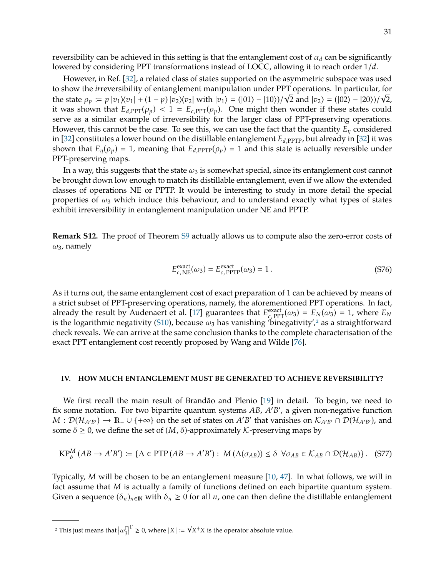reversibility can be achieved in this setting is that the entanglement cost of  $\alpha_d$  can be significantly lowered by considering PPT transformations instead of LOCC, allowing it to reach order  $1/d$ .

However, in Ref. [\[32\]](#page-13-25), a related class of states supported on the asymmetric subspace was used to show the *ir*reversibility of entanglement manipulation under PPT operations. In particular, for to show the *irreversibility* of entanglement manipulation under PPT operations. In particular, for<br>the state  $\rho_p := p |v_1 \rangle \langle v_1| + (1 - p) |v_2 \rangle \langle v_2|$  with  $|v_1 \rangle = (|01 \rangle - |10 \rangle)/\sqrt{2}$  and  $|v_2 \rangle = (|02 \rangle - |20 \rangle)/\sqrt{2}$ ,<br>it was it was shown that  $E_{d,PPT}(\rho_p) < 1 = E_{c,PPT}(\rho_p)$ . One might then wonder if these states could serve as a similar example of irreversibility for the larger class of PPT-preserving operations. However, this cannot be the case. To see this, we can use the fact that the quantity  $E_n$  considered in [\[32\]](#page-13-25) constitutes a lower bound on the distillable entanglement  $E_{d,PPTP}$ , but already in [32] it was shown that  $E_n(\rho_n) = 1$ , meaning that  $E_{d,PPTP}(\rho_n) = 1$  and this state is actually reversible under PPT-preserving maps.

In a way, this suggests that the state  $\omega_3$  is somewhat special, since its entanglement cost cannot be brought down low enough to match its distillable entanglement, even if we allow the extended classes of operations NE or PPTP. It would be interesting to study in more detail the special properties of  $\omega_3$  which induce this behaviour, and to understand exactly what types of states exhibit irreversibility in entanglement manipulation under NE and PPTP.

**Remark S12.** The proof of Theorem [S9](#page-27-0) actually allows us to compute also the zero-error costs of  $\omega_3$ , namely

$$
E_{c,\text{NE}}^{\text{exact}}(\omega_3) = E_{c,\text{PPTP}}^{\text{exact}}(\omega_3) = 1.
$$
 (S76)

As it turns out, the same entanglement cost of exact preparation of 1 can be achieved by means of a strict subset of PPT-preserving operations, namely, the aforementioned PPT operations. In fact, already the result by Audenaert et al. [\[17\]](#page-13-9) guarantees that  $E_{c,\text{PPT}}^{\text{exact}}(\omega_3) = E_N(\omega_3) = 1$ , where  $E_N$  is the logarithmic negativity (S10) because  $\omega_2$  has vanishing 'hinegativity' 2 as a straightforward is the logarithmic negativity [\(S10\)](#page-17-2), because  $\omega_3$  has vanishing 'binegativity',<sup>[2](#page-30-1)</sup> as a straightforward check reveals. We can arrive at the same conclusion thanks to the complete characterisation of the exact PPT entanglement cost recently proposed by Wang and Wilde [\[76\]](#page-15-10).

# <span id="page-30-0"></span>**IV. HOW MUCH ENTANGLEMENT MUST BE GENERATED TO ACHIEVE REVERSIBILITY?**

We first recall the main result of Brandão and Plenio [\[19\]](#page-13-11) in detail. To begin, we need to fix some notation. For two bipartite quantum systems  $AB$ ,  $A'B'$ , a given non-negative function  $M \cdot \mathcal{D}(H_{AB}) \rightarrow \mathbb{R}$ .  $\cup \{A\infty\}$  on the set of states on  $A'B'$  that vanishes on  $K_{AB} \cap \mathcal{D}(H_{AB})$  and  $M: \mathcal{D}(\mathcal{H}_{A'B'}) \to \mathbb{R}_+ \cup \{+\infty\}$  on the set of states on  $A'B'$  that vanishes on  $\mathcal{K}_{A'B'} \cap \mathcal{D}(\mathcal{H}_{A'B'})$ , and some  $\delta > 0$ , we define the set of  $(M, \delta)$ -approximately  $\mathcal{K}_c$ -preserving maps by some  $\delta \geq 0$ , we define the set of  $(M, \delta)$ -approximately K-preserving maps by

<span id="page-30-2"></span>
$$
KP^M_{\delta}(AB \to A'B') := \{ \Lambda \in PTP(AB \to A'B') : M(\Lambda(\sigma_{AB})) \le \delta \ \forall \sigma_{AB} \in \mathcal{K}_{AB} \cap \mathcal{D}(\mathcal{H}_{AB}) \}. \tag{S77}
$$

Typically, M will be chosen to be an entanglement measure  $[10, 47]$  $[10, 47]$  $[10, 47]$ . In what follows, we will in fact assume that  $M$  is actually a family of functions defined on each bipartite quantum system. Given a sequence  $(\delta_n)_{n\in\mathbb{N}}$  with  $\delta_n\geq 0$  for all n, one can then define the distillable entanglement

<span id="page-30-1"></span><sup>&</sup>lt;sup>2</sup> This just means that  $\left|\omega_3^{\Gamma}\right|^{\Gamma} \geq 0$ , where  $|X| \coloneqq$  $\sqrt{X^{\dagger}X}$  is the operator absolute value.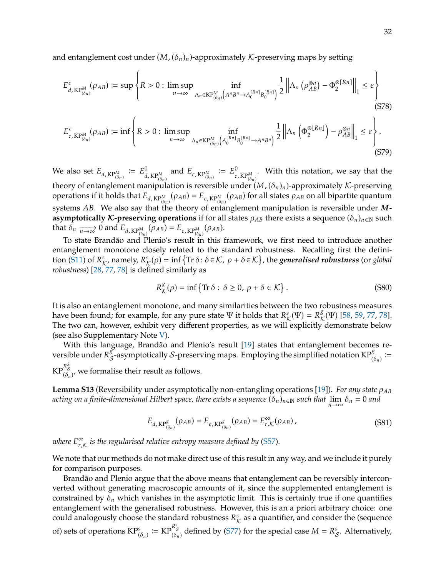and entanglement cost under  $(M, (\delta_n)_n)$ -approximately K-preserving maps by setting

$$
E_{d, KP_{(\delta_n)}^M}^{\varepsilon}(\rho_{AB}) \coloneqq \sup \left\{ R > 0 : \limsup_{n \to \infty} \inf_{\Lambda_n \in KP_{(\delta_n)}^M \left( A^n B^n \to A_0^{\lceil R^n \rceil} B_0^{\lceil R^n \rceil} \right)} \frac{1}{2} \left\| \Lambda_n \left( \rho_{AB}^{\otimes n} \right) - \Phi_2^{\otimes \lceil Rn \rceil} \right\|_1 \leq \varepsilon \right\} \tag{S78}
$$

$$
E_{c,K\mathbb{P}_{(\delta_n)}^M}^{\varepsilon}(\rho_{AB}) \coloneqq \inf \left\{ R > 0 : \limsup_{n \to \infty} \inf_{\Lambda_n \in KP_{(\delta_n)}^M \left( A_0^{\lfloor R_n \rfloor} B_0^{\lfloor R_n \rfloor} \to A^n B^n \right)} \frac{1}{2} \left\| \Lambda_n \left( \Phi_2^{\otimes \lfloor R_n \rfloor} \right) - \rho_{AB}^{\otimes n} \right\|_1 \leq \varepsilon \right\}.
$$
\n(S79)

We also set  $E_{d, KP_M^M} := E_d^0$  $^{0}_{d,KP^{M}_{(\delta_n)}}$  and  $E_{c,KP^{M}_{(\delta_n)}} \coloneqq E^{0}_{c}$  $c$ , KP $_{(\delta_n)}^M$ . With this notation, we say that the theory of entanglement manipulation is reversible under  $(M, (\delta_n)_n)$ -approximately K-preserving<br>operations if it holds that  $F = M_1(\delta_n) - F = M_2(\delta_n)$  for all states  $\delta_n$  on all hipartite quantum operations if it holds that  $E_{d, KPM}(\rho_{AB}) = E_{c, KPM}(\rho_{AB})$  for all states  $\rho_{AB}$  on all bipartite quantum  $(\delta_n)$ <sup> $(\delta_n)$ </sup> systems *AB*. We also say that the theory of entanglement manipulation is reversible under *M*-<br> **Asymptotically** *K*-prosecuing operations if for all states as there exists a sequence  $(\delta_1)$ , as such **asymptotically K-preserving operations** if for all states  $\rho_{AB}$  there exists a sequence ( $\delta_n$ )<sub>n∈N</sub> such that  $\delta_n \xrightarrow[n \to \infty]{} 0$  and  $E_{d, KP_{(\delta_n)}^M}(\rho_{AB}) = E_{c, KP_{(\delta_n)}^M}(\rho_{AB})$ .<br>
To state Brand  $\delta_0$  and Blonic's result in this is

To state Brandão and Plenio's result in this framework, we first need to introduce another entanglement monotone closely related to the standard robustness. Recalling first the defini-tion [\(S11\)](#page-18-0) of  $R^s_K$ , namely,  $R^s_K(\rho) = \inf \{ \text{Tr} \, \delta : \delta \in \mathcal{K}, \, \rho + \delta \in \mathcal{K} \}$ , the *generalised robustness* (or *global* robustness (or *global robustness*) [\[28,](#page-13-20) [77,](#page-15-11) [78\]](#page-15-12) is defined similarly as

$$
R_{\mathcal{K}}^{\mathcal{S}}(\rho) = \inf \{ \text{Tr} \, \delta : \, \delta \ge 0, \, \rho + \delta \in \mathcal{K} \} \,.
$$
 (S80)

It is also an entanglement monotone, and many similarities between the two robustness measures have been found; for example, for any pure state Ψ it holds that  $R^s_{\mathcal{K}}(\Psi) = R^g_{\mathcal{K}}(\Psi)$  [\[58,](#page-14-22) [59,](#page-14-23) [77,](#page-15-11) [78\]](#page-15-12).<br>The two can boweyer exhibit very different properties, as we will explicitly demonstrate below. The two can, however, exhibit very different properties, as we will explicitly demonstrate below (see also Supplementary Note [V\)](#page-38-0).

With this language, Brandão and Plenio's result [\[19\]](#page-13-11) states that entanglement becomes reversible under  $R_{\mathcal{S}}^{\tilde{g}}$ -asymptotically  $\mathcal{S}$ -preserving maps. Employing the simplified notation KP $_{(\delta_n)}^{\tilde{g}}$ :=  $\text{KP}^{\mathcal{R}^{\infty}_{\mathcal{S}}}_{(\delta_n)^{\prime}}$  we formalise their result as follows.

**Lemma S13** (Reversibility under asymptotically non-entangling operations [\[19\]](#page-13-11)). For any state  $\rho_{AB}$ *acting on a finite-dimensional Hilbert space, there exists a sequence*  $(\delta_n)_{n\in\mathbb{N}}$  *such that*  $\lim_{n\to\infty}\delta_n=0$  and

$$
E_{d, \text{KP}^{\mathcal{S}}_{(\delta_n)}}(\rho_{AB}) = E_{c, \text{KP}^{\mathcal{S}}_{(\delta_n)}}(\rho_{AB}) = E_{r,\mathcal{K}}^{\infty}(\rho_{AB}), \qquad (S81)
$$

where  $E^{\infty}_{r,s}$  $_{r,\mathcal{K}}^{\infty}$  is the regularised relative entropy measure defined by [\(S57\)](#page-27-7).

We note that our methods do not make direct use of this result in any way, and we include it purely for comparison purposes.

Brandão and Plenio argue that the above means that entanglement can be reversibly interconverted without generating macroscopic amounts of it, since the supplemented entanglement is constrained by  $\delta_n$  which vanishes in the asymptotic limit. This is certainly true if one quantifies entanglement with the generalised robustness. However, this is an a priori arbitrary choice: one could analogously choose the standard robustness  $R^s_{\mathcal{K}}$  as a quantifier, and consider the (sequence of) sets of operations  $\text{KP}^s_{(\delta_n)} \coloneqq \text{KP}^{R^s_{\delta}}_{(\delta_n)}$  defined by [\(S77\)](#page-30-2) for the special case  $M = R^s_{\mathcal{S}}$ . Alternatively,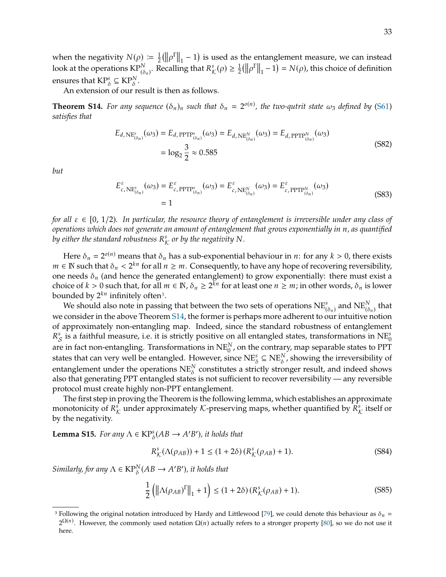when the negativity  $N(\rho) := \frac{1}{2} (\|\rho^T\|_1 - 1)$  is used as the entanglement measure, we can instead look at the operations  $\text{KP}^N_{(\delta_n)}$ . Recalling that  $R^s_{\mathcal{K}}(\rho) \geq \frac{1}{2}(\|\rho^{\Gamma}\|_1 - 1) = N(\rho)$ , this choice of definition ensures that  $\mathsf{KP}_{\delta}^s \subseteq \mathsf{KP}_{\delta}^N$ .

An extension of our result is then as follows.

<span id="page-32-1"></span>**Theorem S14.** For any sequence  $(\delta_n)_n$  such that  $\delta_n = 2^{o(n)}$ , the two-qutrit state  $\omega_3$  defined by [\(S61\)](#page-27-2) estisting that *satisfies that*

$$
E_{d,NE_{(\delta_n)}^s}(\omega_3) = E_{d,PTP_{(\delta_n)}^s}(\omega_3) = E_{d,NE_{(\delta_n)}^N}(\omega_3) = E_{d,PTP_{(\delta_n)}^N}(\omega_3)
$$
  
=  $\log_2 \frac{3}{2} \approx 0.585$  (S82)

*but*

$$
E_{c,\text{NE}_{(\delta_n)}^s}^{\varepsilon}(\omega_3) = E_{c,\text{PPTP}_{(\delta_n)}^s}^{\varepsilon}(\omega_3) = E_{c,\text{NE}_{(\delta_n)}^N}^{\varepsilon}(\omega_3) = E_{c,\text{PPTP}_{(\delta_n)}^N}^{\varepsilon}(\omega_3)
$$
\n
$$
= 1
$$
\n(S83)

*for all*  $\varepsilon \in [0, 1/2)$ *. In particular, the resource theory of entanglement is irreversible under any class of operations which does not generate an amount of entanglement that grows exponentially in n, as quantified* by either the standard robustness  $R_K^s$  or by the negativity  $N$ .

Here  $\delta_n = 2^{o(n)}$  means that  $\delta_n$  has a sub-exponential behaviour in *n*: for any  $k > 0$ , there exists  $\sum_{n=1}^{\infty}$ .  $m \in \mathbb{N}$  such that  $\delta_n < 2^{kn}$  for all  $n \geq m$ . Consequently, to have any hope of recovering reversibility,  $p$ one needs  $\delta_n$  (and hence the generated entanglement) to grow exponentially: there must exist a choice of  $k > 0$  such that, for all  $m \in \mathbb{N}$ ,  $\delta_n \ge 2^{k/n}$  for at least one  $n \ge m$ ; in other words,  $\delta_n$  is lower<br>bounded by  $2^{kn}$  infinitely often<sup>3</sup> bounded by  $2^{kn}$  infinitely often<sup>[3](#page-32-0)</sup>.

We should also note in passing that between the two sets of operations  $NE^s_{(\delta_n)}$  and  $NE^{N}_{(\delta_n)}$  that we consider in the above Theorem [S14,](#page-32-1) the former is perhaps more adherent to our intuitive notion of approximately non-entangling map. Indeed, since the standard robustness of entanglement  $R_S^s$  is a faithful measure, i.e. it is strictly positive on all entangled states, transformations in NE $_0^s$ <br>and in fact new entangling. Transformations in NE<sup>N</sup>, on the contrary mean expensible states to PDT are in fact non-entangling. Transformations in  $\text{NE}_0^N$  , on the contrary, map separable states to PPT states that can very well be entangled. However, since  $NE_{\delta}^s \subseteq NE_{\delta}^N$ , showing the irreversibility of entanglement under the operations  $\mathrm{NE}_{\delta}^{\scriptscriptstyle{N}}$  constitutes a strictly stronger result, and indeed shows also that generating PPT entangled states is not sufficient to recover reversibility — any reversible protocol must create highly non-PPT entanglement.

The first step in proving the Theorem is the following lemma, which establishes an approximate monotonicity of  $R^s_{\mathcal{K}}$  under approximately  $\mathcal{K}$ -preserving maps, whether quantified by  $R^s_{\mathcal{K}}$  itself or<br>by the negativity by the negativity.

<span id="page-32-2"></span>**Lemma S15.** *For any*  $\Lambda \in \text{KP}^s_{\delta}(AB \to A'$ 0 )*, it holds that*

$$
R_K^s(\Lambda(\rho_{AB})) + 1 \le (1 + 2\delta) (R_K^s(\rho_{AB}) + 1).
$$
 (S84)

*Similarly, for any*  $\Lambda \in \mathrm{KP}_{\delta}^N(A B \to A'$ 0 )*, it holds that*

$$
\frac{1}{2}\left(\left\|\Lambda(\rho_{AB})^{\Gamma}\right\|_{1}+1\right) \leq (1+2\delta)\left(R_{\mathcal{K}}^{s}(\rho_{AB})+1\right).
$$
\n(S85)

<span id="page-32-0"></span><sup>&</sup>lt;sup>3</sup> Following the original notation introduced by Hardy and Littlewood [\[79\]](#page-15-13), we could denote this behaviour as  $\delta_n =$  $2^{\Omega(n)}$ . However, the commonly used notation  $\Omega(n)$  actually refers to a stronger property [\[80\]](#page-15-14), so we do not use it here.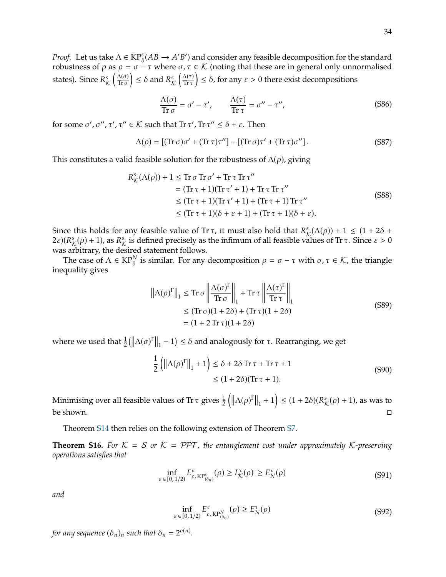*Proof.* Let us take  $\Lambda \in \text{KP}^s_{\delta}(AB \to A'B')$  and consider any feasible decomposition for the standard repurpose of  $\delta$  as  $\delta = \sigma - \pi$  where  $\sigma \pi \in K$  (poting that these are in general only uppermalised robustness of  $\rho$  as  $\rho = \sigma - \tau$  where  $\sigma, \tau \in \mathcal{K}$  (noting that these are in general only unnormalised states). Since  $R^s_\mathcal{K}$  $\Delta(\sigma)$  $\text{Tr}\,\sigma$  $\Big) \leq \delta$  and  $R^s_{\mathcal{K}}$  $\frac{\Lambda(\tau)}{\Lambda(\tau)}$ Tr  $\tau$  $\Big) \leq \delta$ , for any  $\varepsilon > 0$  there exist decompositions

$$
\frac{\Lambda(\sigma)}{\text{Tr}\,\sigma} = \sigma' - \tau', \qquad \frac{\Lambda(\tau)}{\text{Tr}\,\tau} = \sigma'' - \tau'', \tag{S86}
$$

for some  $\sigma', \sigma'', \tau'', \tau'' \in \mathcal{K}$  such that Tr  $\tau', \text{Tr } \tau'' \leq \delta + \varepsilon$ . Then

$$
\Lambda(\rho) = \left[ (\text{Tr}\,\sigma)\sigma' + (\text{Tr}\,\tau)\tau'' \right] - \left[ (\text{Tr}\,\sigma)\tau' + (\text{Tr}\,\tau)\sigma'' \right]. \tag{S87}
$$

This constitutes a valid feasible solution for the robustness of  $\Lambda(\rho)$ , giving

$$
R_K^s(\Lambda(\rho)) + 1 \le \text{Tr } \sigma \text{ Tr } \sigma' + \text{Tr } \tau \text{ Tr } \tau''
$$
  
= (\text{Tr } \tau + 1)(\text{Tr } \tau' + 1) + \text{Tr } \tau \text{ Tr } \tau''  
\le (\text{Tr } \tau + 1)(\text{Tr } \tau' + 1) + (\text{Tr } \tau + 1) \text{Tr } \tau''  
\le (\text{Tr } \tau + 1)(\delta + \varepsilon + 1) + (\text{Tr } \tau + 1)(\delta + \varepsilon). (S88)

Since this holds for any feasible value of Tr  $\tau$ , it must also hold that  $R^s_{\mathcal{K}}(\Lambda(\rho)) + 1 \leq (1 + 2\delta + 2\epsilon)(R^s(\rho) + 1)$  as  $R^s$  is defined precisely as the infimum of all feasible values of  $Tr \tau$ . Since  $s > 0$  $(2\varepsilon)(R^s_{\mathcal{K}}(\rho) + 1)$ , as  $R^s_{\mathcal{K}}$  is defined precisely as the infimum of all feasible values of Tr  $\tau$ . Since  $\varepsilon > 0$ was arbitrary, the desired statement follows.

The case of  $\Lambda \in \text{KP}_{\delta}^N$  is similar. For any decomposition  $\rho = \sigma - \tau$  with  $\sigma, \tau \in \mathcal{K}$ , the triangle quality gives inequality gives

$$
\|\Lambda(\rho)^{\Gamma}\|_1 \leq \text{Tr}\,\sigma \left\|\frac{\Lambda(\sigma)^{\Gamma}}{\text{Tr}\,\sigma}\right\|_1 + \text{Tr}\,\tau \left\|\frac{\Lambda(\tau)^{\Gamma}}{\text{Tr}\,\tau}\right\|_1
$$
  
\n
$$
\leq (\text{Tr}\,\sigma)(1+2\delta) + (\text{Tr}\,\tau)(1+2\delta)
$$
  
\n
$$
= (1+2\text{Tr}\,\tau)(1+2\delta)
$$
\n(S89)

where we used that  $\frac{1}{2}(\|\Lambda(\sigma)^{\Gamma}\|_1 - 1) \le \delta$  and analogously for  $\tau$ . Rearranging, we get

$$
\frac{1}{2} \left( \left\| \Lambda(\rho)^{\Gamma} \right\|_{1} + 1 \right) \le \delta + 2\delta \operatorname{Tr} \tau + \operatorname{Tr} \tau + 1
$$
\n
$$
\le (1 + 2\delta)(\operatorname{Tr} \tau + 1). \tag{S90}
$$

Minimising over all feasible values of Tr  $\tau$  gives  $\frac{1}{2} (||\Lambda(\rho)^T||_1 + 1) \leq (1 + 2\delta)(R^s_{\mathcal{K}}(\rho) + 1)$ , as was to be shown.  $\Box$ 

Theorem [S14](#page-32-1) then relies on the following extension of Theorem [S7.](#page-24-3)

<span id="page-33-0"></span>**Theorem S16.** For  $K = S$  or  $K = PPT$ , the entanglement cost under approximately K-preserving *operations satisfies that*

$$
\inf_{\varepsilon \in [0,1/2)} E_{c,\text{KP}^s_{(\delta_n)}}^{\varepsilon}(\rho) \ge L_K^{\tau}(\rho) \ge E_N^{\tau}(\rho) \tag{S91}
$$

*and*

$$
\inf_{\varepsilon \in [0,1/2)} E_{c,\text{KP}_{(\delta_n)}^N}^{\varepsilon}(\rho) \ge E_N^{\tau}(\rho)
$$
\n<sup>(S92)</sup>

for any sequence  $(\delta_n)_n$  such that  $\delta_n = 2^{o(n)}$ .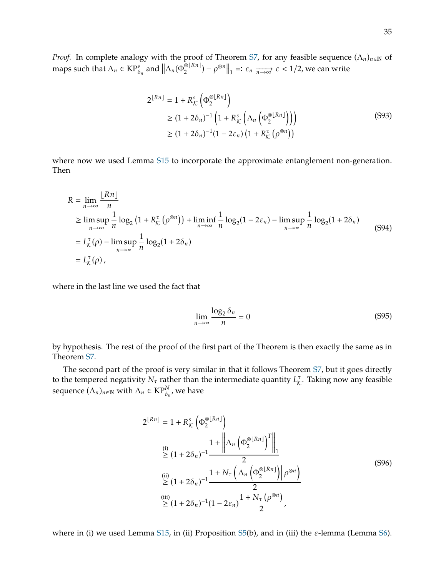*Proof.* In complete analogy with the proof of Theorem [S7,](#page-24-3) for any feasible sequence  $(\Lambda_n)_{n\in\mathbb{N}}$  of maps such that  $\Lambda_n \in \mathsf{KP}_{\delta_n}^s$  and  $\|\Lambda_n(\Phi_2^{\delta \lfloor Rn \rfloor}) - \rho^{\otimes n}\|_1 = \varepsilon_n \xrightarrow[n \to \infty]{} \varepsilon < 1/2$ , we can write

$$
2^{\lfloor Rn \rfloor} = 1 + R_{\mathcal{K}}^{s} \left( \Phi_2^{\otimes \lfloor Rn \rfloor} \right)
$$
  
\n
$$
\geq (1 + 2\delta_n)^{-1} \left( 1 + R_{\mathcal{K}}^{s} \left( \Lambda_n \left( \Phi_2^{\otimes \lfloor Rn \rfloor} \right) \right) \right)
$$
  
\n
$$
\geq (1 + 2\delta_n)^{-1} (1 - 2\varepsilon_n) \left( 1 + R_{\mathcal{K}}^{\tau} \left( \rho^{\otimes n} \right) \right)
$$
\n(S93)

where now we used Lemma [S15](#page-32-2) to incorporate the approximate entanglement non-generation. Then

$$
R = \lim_{n \to \infty} \frac{\lfloor Rn \rfloor}{n}
$$
  
\n
$$
\geq \limsup_{n \to \infty} \frac{1}{n} \log_2 (1 + R_K^{\tau} (\rho^{\otimes n})) + \liminf_{n \to \infty} \frac{1}{n} \log_2 (1 - 2\varepsilon_n) - \limsup_{n \to \infty} \frac{1}{n} \log_2 (1 + 2\delta_n)
$$
  
\n
$$
= L_K^{\tau}(\rho) - \limsup_{n \to \infty} \frac{1}{n} \log_2 (1 + 2\delta_n)
$$
  
\n
$$
= L_K^{\tau}(\rho), \qquad (S94)
$$

where in the last line we used the fact that

$$
\lim_{n \to \infty} \frac{\log_2 \delta_n}{n} = 0
$$
\n(S95)

by hypothesis. The rest of the proof of the first part of the Theorem is then exactly the same as in Theorem [S7.](#page-24-3)

The second part of the proof is very similar in that it follows Theorem [S7,](#page-24-3) but it goes directly to the tempered negativity  $N_{\tau}$  rather than the intermediate quantity  $L_{\mathcal{K}}^{\tau}$ . Taking now any feasible sequence  $(\Lambda_n)_{n\in\mathbb{N}}$  with  $\Lambda_n \in \mathrm{KP}_{\delta_n'}^N$ , we have

$$
2^{\lfloor Rn \rfloor} = 1 + R_K^s \left( \Phi_2^{\otimes \lfloor Rn \rfloor} \right)
$$
  
\n(i)  
\n(j)  
\n(k) 
$$
1 + \left\| \Lambda_n \left( \Phi_2^{\otimes \lfloor Rn \rfloor} \right)^r \right\|_1
$$
  
\n(k) 
$$
2 (1 + 2\delta_n)^{-1} \frac{1 + N_\tau \left( \Lambda_n \left( \Phi_2^{\otimes \lfloor Rn \rfloor} \right) \middle| \rho^{\otimes n} \right)}{2}
$$
  
\n(k) 
$$
\geq (1 + 2\delta_n)^{-1} (1 - 2\varepsilon_n) \frac{1 + N_\tau \left( \rho^{\otimes n} \right)}{2},
$$
  
\n(k) 
$$
\geq (1 + 2\delta_n)^{-1} (1 - 2\varepsilon_n) \frac{1 + N_\tau \left( \rho^{\otimes n} \right)}{2},
$$

where in (i) we used Lemma [S15,](#page-32-2) in (ii) Proposition [S5\(](#page-21-3)b), and in (iii) the  $\varepsilon$ -lemma (Lemma [S6\)](#page-24-4).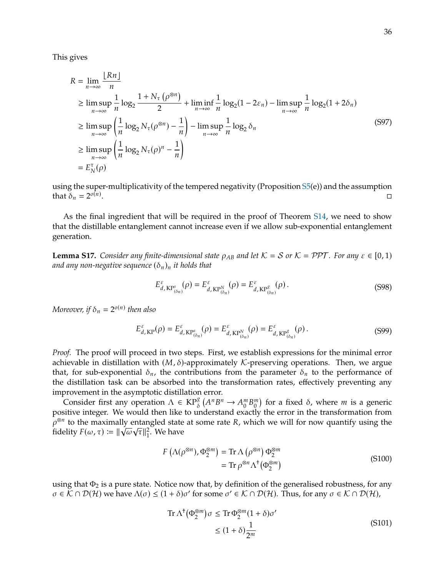This gives

$$
R = \lim_{n \to \infty} \frac{\lfloor Rn \rfloor}{n}
$$
  
\n
$$
\geq \limsup_{n \to \infty} \frac{1}{n} \log_2 \frac{1 + N_{\tau} (\rho^{\otimes n})}{2} + \liminf_{n \to \infty} \frac{1}{n} \log_2 (1 - 2\varepsilon_n) - \limsup_{n \to \infty} \frac{1}{n} \log_2 (1 + 2\delta_n)
$$
  
\n
$$
\geq \limsup_{n \to \infty} \left( \frac{1}{n} \log_2 N_{\tau} (\rho^{\otimes n}) - \frac{1}{n} \right) - \limsup_{n \to \infty} \frac{1}{n} \log_2 \delta_n
$$
  
\n
$$
\geq \limsup_{n \to \infty} \left( \frac{1}{n} \log_2 N_{\tau} (\rho)^n - \frac{1}{n} \right)
$$
  
\n
$$
= E_N^{\tau}(\rho)
$$
 (S97)

using the super-multiplicativity of the tempered negativity (Proposition [S5\(](#page-21-3)e)) and the assumption that  $\delta_n = 2^{o(n)}$ .

As the final ingredient that will be required in the proof of Theorem [S14,](#page-32-1) we need to show that the distillable entanglement cannot increase even if we allow sub-exponential entanglement generation.

<span id="page-35-2"></span>**Lemma S17.** *Consider any finite-dimensional state*  $\rho_{AB}$  *and let*  $K = S$  *or*  $K = PPT$ *. For any*  $\varepsilon \in [0, 1)$ *and any non-negative sequence*  $(\delta_n)_n$  *it holds that* 

<span id="page-35-0"></span>
$$
E_{d, \text{KP}^s_{(\delta_n)}}^{\varepsilon}(\rho) = E_{d, \text{KP}^N_{(\delta_n)}}^{\varepsilon}(\rho) = E_{d, \text{KP}^g_{(\delta_n)}}^{\varepsilon}(\rho). \tag{S98}
$$

*Moreover, if*  $\delta_n = 2^{o(n)}$  then also

<span id="page-35-1"></span>
$$
E_{d,KP}^{\varepsilon}(\rho) = E_{d,KP_{(\delta_n)}^s}^{\varepsilon}(\rho) = E_{d,KP_{(\delta_n)}^s}^{\varepsilon}(\rho) = E_{d,KP_{(\delta_n)}^s}^{\varepsilon}(\rho).
$$
 (S99)

*Proof.* The proof will proceed in two steps. First, we establish expressions for the minimal error achievable in distillation with  $(M, \delta)$ -approximately K-preserving operations. Then, we argue that, for sub-exponential  $\delta_n$ , the contributions from the parameter  $\delta_n$  to the performance of the distillation task can be absorbed into the transformation rates, effectively preventing any improvement in the asymptotic distillation error.

Consider first any operation  $\Lambda \in \mathbb{KP}^{\mathcal{S}}_{\delta}(A^nB^n \to A_0^mB_0^m)$  for a fixed  $\delta$ , where *m* is a generic itive integer. We would then like to understand exactly the error in the transformation from positive integer. We would then like to understand exactly the error in the transformation from  $\int_{R}^{\infty} \rho^{\otimes n}$  to the maximally entangled state at some rate *R*, which we will for now quantify using the fidelity  $F(\omega, \tau) := ||\sqrt{\omega} \sqrt{\pi}||^2$ . We have fidelity  $F(\omega, \tau) \coloneqq \|\sqrt{\omega}\sqrt{\tau}\|_1^2$  $\frac{2}{1}$ . We have

$$
F\left(\Lambda(\rho^{\otimes n}), \Phi_2^{\otimes m}\right) = \text{Tr}\,\Lambda\left(\rho^{\otimes n}\right) \Phi_2^{\otimes m}
$$
  
=  $\text{Tr}\,\rho^{\otimes n}\Lambda^{\dagger}\left(\Phi_2^{\otimes m}\right)$  (S100)

using that  $\Phi_2$  is a pure state. Notice now that, by definition of the generalised robustness, for any  $\sigma \in \widetilde{\mathcal{K}} \cap \mathcal{D}(\mathcal{H})$  we have  $\Lambda(\sigma) \leq (1 + \delta)\sigma'$  for some  $\sigma' \in \mathcal{K} \cap \mathcal{D}(\mathcal{H})$ . Thus, for any  $\sigma \in \mathcal{K} \cap \mathcal{D}(\mathcal{H})$ ,

$$
\operatorname{Tr}\Lambda^{\dagger}(\Phi_2^{\otimes m})\sigma \leq \operatorname{Tr}\Phi_2^{\otimes m}(1+\delta)\sigma'
$$
  

$$
\leq (1+\delta)\frac{1}{2^m}
$$
 (S101)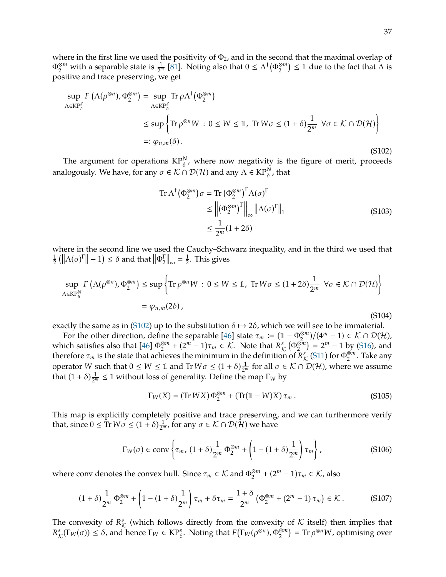where in the first line we used the positivity of  $\Phi_2$ , and in the second that the maximal overlap of  $\Phi_2^{\otimes m}$  with a separable state is  $\frac{1}{2^m}$  [\[81\]](#page-15-15). Noting also that  $0 \leq \Lambda^{\dagger}(\Phi_2^{\otimes m}) \leq 1$  due to the fact that  $\Lambda$  is positive and trace preserving, we get

<span id="page-36-0"></span>
$$
\sup_{\Lambda \in \mathcal{KP}_{\delta}^{g}} F\left(\Lambda(\rho^{\otimes n}), \Phi_2^{\otimes m}\right) = \sup_{\Lambda \in \mathcal{KP}_{\delta}^{g}} \text{Tr}\,\rho \Lambda^{\dagger}(\Phi_2^{\otimes m})
$$
  
\n
$$
\leq \sup \left\{ \text{Tr}\,\rho^{\otimes n}W : 0 \leq W \leq 1, \text{ Tr}\,W\sigma \leq (1+\delta)\frac{1}{2^m} \ \forall \sigma \in \mathcal{K} \cap \mathcal{D}(\mathcal{H}) \right\}
$$
  
\n
$$
=:\varphi_{n,m}(\delta).
$$
\n(S102)

The argument for operations  $\mathrm{KP}_\delta^\mathrm{N}$ , where now negativity is the figure of merit, proceeds analogously. We have, for any  $\sigma \in \mathcal{K} \cap \mathcal{D}(\mathcal{H})$  and any  $\Lambda \in \mathrm{KP}_{\delta}^N$ , that

$$
\operatorname{Tr} \Lambda^{\dagger} (\Phi_2^{\otimes m}) \sigma = \operatorname{Tr} (\Phi_2^{\otimes m})^{\Gamma} \Lambda (\sigma)^{\Gamma}
$$
  
\n
$$
\leq \left\| (\Phi_2^{\otimes m})^{\Gamma} \right\|_{\infty} \left\| \Lambda (\sigma)^{\Gamma} \right\|_1
$$
  
\n
$$
\leq \frac{1}{2^m} (1 + 2\delta)
$$
\n(S103)

where in the second line we used the Cauchy–Schwarz inequality, and in the third we used that 1  $\frac{1}{2} \left( \left\| \Lambda(\sigma)^{\Gamma} \right\| - 1 \right) \leq \delta$  and that  $\left\| \Phi_{2}^{\Gamma} \right\|$  $\left.\frac{\Gamma}{2}\right|_{\infty} = \frac{1}{2}$  $\frac{1}{2}$ . This gives

$$
\sup_{\Lambda \in \mathcal{KP}_{\delta}^N} F\left(\Lambda(\rho^{\otimes n}), \Phi_2^{\otimes m}\right) \le \sup \left\{ \operatorname{Tr} \rho^{\otimes n} W : 0 \le W \le 1, \operatorname{Tr} W\sigma \le (1+2\delta) \frac{1}{2^m} \ \forall \sigma \in \mathcal{K} \cap \mathcal{D}(\mathcal{H}) \right\}
$$

$$
= \varphi_{n,m}(2\delta), \tag{S104}
$$

exactly the same as in [\(S102\)](#page-36-0) up to the substitution  $\delta \mapsto 2\delta$ , which we will see to be immaterial.

For the other direction, define the separable [\[46\]](#page-14-10) state  $\tau_m := (1 - \Phi_2^{\otimes m})/(4^m - 1) \in \mathcal{K} \cap \mathcal{D}(\mathcal{H})$ ,<br>is a satisfies also that  $[46] \Phi_2^{\otimes m} + (2^m - 1) \pi \in \mathcal{K}$ . Note that  $P_2^s$  ( $\Phi_2^{\otimes m}$ ) =  $2^m - 1$  by (916 which satisfies also that  $[46] \Phi_2^{\otimes m} + (2^m - 1)\tau_m \in \mathcal{K}$  $[46] \Phi_2^{\otimes m} + (2^m - 1)\tau_m \in \mathcal{K}$ . Note that  $R^s_{\mathcal{K}}(\Phi_2^{\otimes m}) = 2^m - 1$  by [\(S16\)](#page-18-3), and therefore  $\tau_a$  is the state that achieves the minimum in the definition of  $R^s$  (S11) for  $\Phi^{\otimes m}$ . therefore  $\tau_m$  is the state that achieves the minimum in the definition of  $\mathbb{R}^s$  [\(S11\)](#page-18-0) for  $\Phi_2^{\otimes m}$ . Take any operator W such that  $0 \le W \le 1$  and  $Tr W\sigma \le (1+\delta)\frac{1}{2^m}$  for all  $\sigma \in \mathcal{K} \cap \mathcal{D}(\mathcal{H})$ , where we assume that  $(1 + \delta) \frac{1}{2^m} \le 1$  without loss of generality. Define the map  $\Gamma_W$  by

$$
\Gamma_W(X) = (\text{Tr } W X) \Phi_2^{\otimes m} + (\text{Tr}(\mathbb{1} - W)X) \tau_m.
$$
 (S105)

This map is explicitly completely positive and trace preserving, and we can furthermore verify that, since  $0 \leq \text{Tr } W\sigma \leq (1+\delta)\frac{1}{2^m}$ , for any  $\sigma \in \mathcal{K} \cap \mathcal{D}(\mathcal{H})$  we have

$$
\Gamma_W(\sigma) \in \text{conv}\left\{\tau_m, \, (1+\delta)\frac{1}{2^m}\Phi_2^{\otimes m} + \left(1 - (1+\delta)\frac{1}{2^m}\right)\tau_m\right\},\tag{S106}
$$

where conv denotes the convex hull. Since  $\tau_m \in \mathcal{K}$  and  $\Phi_2^{\otimes m} + (2^m - 1)\tau_m \in \mathcal{K}$ , also

$$
(1+\delta)\frac{1}{2^m}\Phi_2^{\otimes m} + \left(1 - (1+\delta)\frac{1}{2^m}\right)\tau_m + \delta\tau_m = \frac{1+\delta}{2^m}\left(\Phi_2^{\otimes m} + (2^m - 1)\,\tau_m\right) \in \mathcal{K} \,. \tag{S107}
$$

The convexity of  $R^s_K$  (which follows directly from the convexity of K itself) then implies that  $R^s(\Gamma_-(\alpha)) \leq \delta$  and hance  $\Gamma_-(K^{\text{DS}})$ . Noting that  $\Gamma(\Gamma_-(\alpha)^n) \leq R^s(\Gamma_-(\alpha))$  or implies even  $R^s(\Gamma_W(\sigma)) \leq \delta$ , and hence  $\Gamma_W \in \mathsf{KP}^s_{\delta}$ . Noting that  $F(\Gamma_W(\rho^{\otimes n}), \Phi_2^{\otimes m}) = \mathsf{Tr} \rho^{\otimes n} W$ , optimising over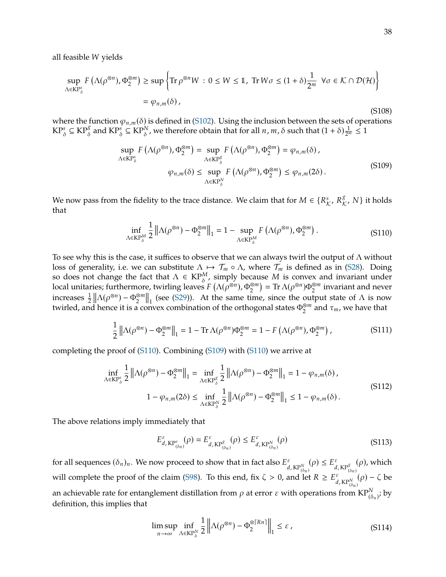all feasible W yields

$$
\sup_{\Lambda \in \mathcal{KP}_{\delta}^s} F\left(\Lambda(\rho^{\otimes n}), \Phi_2^{\otimes m}\right) \ge \sup \left\{ \text{Tr } \rho^{\otimes n} W : 0 \le W \le 1, \text{ Tr } W\sigma \le (1+\delta)\frac{1}{2^m} \ \forall \sigma \in \mathcal{K} \cap \mathcal{D}(\mathcal{H}) \right\}
$$
\n
$$
= \varphi_{n,m}(\delta), \tag{S108}
$$

where the function  $\varphi_{n,m}(\delta)$  is defined in [\(S102\)](#page-36-0). Using the inclusion between the sets of operations  $KP^s_\delta\subseteq KP^g_\delta$  and  $KP^s_\delta\subseteq KP^N_\delta$ , we therefore obtain that for all  $n,m,\delta$  such that  $(1+\delta)\frac{1}{2^m}\leq 1$ 

<span id="page-37-1"></span>
$$
\sup_{\Lambda \in \mathcal{KP}_{\delta}^{s}} F\left(\Lambda(\rho^{\otimes n}), \Phi_{2}^{\otimes m}\right) = \sup_{\Lambda \in \mathcal{KP}_{\delta}^{s}} F\left(\Lambda(\rho^{\otimes n}), \Phi_{2}^{\otimes m}\right) = \varphi_{n,m}(\delta),
$$
\n
$$
\varphi_{n,m}(\delta) \leq \sup_{\Lambda \in \mathcal{KP}_{\delta}^{N}} F\left(\Lambda(\rho^{\otimes n}), \Phi_{2}^{\otimes m}\right) \leq \varphi_{n,m}(2\delta).
$$
\n(S109)

We now pass from the fidelity to the trace distance. We claim that for  $M \in \{R^s_{\mathcal{K}}, R^g_{\mathcal{K}}, N\}$  it holds that that

<span id="page-37-0"></span>
$$
\inf_{\Lambda \in \mathcal{KP}_{\delta}^M} \frac{1}{2} \left\| \Lambda(\rho^{\otimes n}) - \Phi_2^{\otimes m} \right\|_1 = 1 - \sup_{\Lambda \in \mathcal{KP}_{\delta}^M} F\left(\Lambda(\rho^{\otimes n}), \Phi_2^{\otimes m}\right). \tag{S110}
$$

To see why this is the case, it suffices to observe that we can always twirl the output of  $\Lambda$  without loss of generality, i.e. we can substitute  $\Lambda \mapsto \mathcal{T}_m \circ \Lambda$ , where  $\mathcal{T}_m$  is defined as in [\(S28\)](#page-20-0). Doing so does not change the fact that  $\Lambda \in \mathrm{KP}_{\delta}^M$ , simply because  $M$  is convex and invariant under local unitario local unitaries; furthermore, twirling leaves  $F(\Lambda(\rho^{\otimes n}), \Phi_2^{\otimes m}) = \text{Tr } \Lambda(\rho^{\otimes n}) \Phi_2^{\otimes m}$  invariant and never increases  $\frac{1}{2}$   $\left\| \Lambda(\rho^{\otimes n}) - \Phi_2^{\otimes m} \right\|_1$  (see [\(S29\)](#page-21-6)). At the same time, since the output state of  $\Lambda$  is now twirled, and hence it is a convex combination of the orthogonal states  $\Phi_2^{\otimes m}$  and  $\tau_m$ , we have that

$$
\frac{1}{2} \left\| \Lambda(\rho^{\otimes n}) - \Phi_2^{\otimes m} \right\|_1 = 1 - \text{Tr}\,\Lambda(\rho^{\otimes n})\Phi_2^{\otimes m} = 1 - F\left(\Lambda(\rho^{\otimes n}), \Phi_2^{\otimes m}\right),\tag{S111}
$$

completing the proof of [\(S110\)](#page-37-0). Combining [\(S109\)](#page-37-1) with [\(S110\)](#page-37-0) we arrive at

<span id="page-37-2"></span>
$$
\inf_{\Lambda \in \mathcal{KP}_{\delta}^s} \frac{1}{2} \left\| \Lambda(\rho^{\otimes n}) - \Phi_2^{\otimes m} \right\|_1 = \inf_{\Lambda \in \mathcal{KP}_{\delta}^s} \frac{1}{2} \left\| \Lambda(\rho^{\otimes n}) - \Phi_2^{\otimes m} \right\|_1 = 1 - \varphi_{n,m}(\delta),
$$
\n
$$
1 - \varphi_{n,m}(2\delta) \le \inf_{\Lambda \in \mathcal{KP}_{\delta}^N} \frac{1}{2} \left\| \Lambda(\rho^{\otimes n}) - \Phi_2^{\otimes m} \right\|_1 \le 1 - \varphi_{n,m}(\delta).
$$
\n(S112)

The above relations imply immediately that

$$
E_{d, \text{KP}^s_{(\delta_n)}}^{\varepsilon}(\rho) = E_{d, \text{KP}^s_{(\delta_n)}}^{\varepsilon}(\rho) \le E_{d, \text{KP}^N_{(\delta_n)}}^{\varepsilon}(\rho) \tag{S113}
$$

for all sequences  $(\delta_n)_n$ . We now proceed to show that in fact also  $E_d^{\varepsilon}$  $\epsilon_{d, \text{KP}_{(\delta_n)}^N}(\rho) \leq E_d^{\varepsilon}$  $d$ ,  $\mathsf{KP}^\delta_{(\delta_n)}$  $(\rho)$ , which will complete the proof of the claim [\(S98\)](#page-35-0). To this end, fix  $\zeta > 0$ , and let  $R \ge E_d^{\varepsilon}$  $d$ , KP $_{(\delta_n)}^N$  $(\rho) - \zeta$  be an achievable rate for entanglement distillation from  $\rho$  at error  $\varepsilon$  with operations from  $\text{KP}^N_{(\delta_n)}$ ; by definition, this implies that definition, this implies that

$$
\limsup_{n \to \infty} \inf_{\Lambda \in \mathcal{KP}_{\delta}^N} \frac{1}{2} \left\| \Lambda(\rho^{\otimes n}) - \Phi_2^{\otimes \lceil Rn \rceil} \right\|_1 \leq \varepsilon \,, \tag{S114}
$$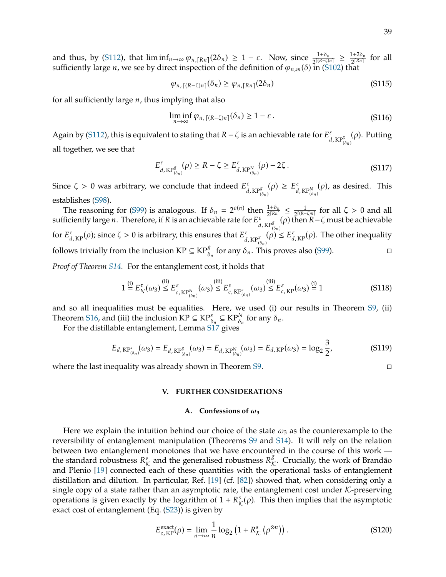$$
\varphi_{n,\lceil (R-\zeta)n\rceil}(\delta_n) \ge \varphi_{n,\lceil Rn\rceil}(2\delta_n) \tag{S115}
$$

for all sufficiently large  $n$ , thus implying that also

$$
\liminf_{n \to \infty} \varphi_{n, \lceil (R - \zeta)n \rceil}(\delta_n) \ge 1 - \varepsilon \,.
$$
\n(S116)

Again by [\(S112\)](#page-37-2), this is equivalent to stating that  $R - \zeta$  is an achievable rate for  $E_d^{\varepsilon}$  $d$ ,  $KP^{\delta}_{(\delta_n)}$  $(\rho)$ . Putting all together, we see that

$$
E_{d, \text{KP}^g_{(\delta_n)}}^{\varepsilon}(\rho) \ge R - \zeta \ge E_{d, \text{KP}^N_{(\delta_n)}}^{\varepsilon}(\rho) - 2\zeta. \tag{S117}
$$

Since  $\zeta > 0$  was arbitrary, we conclude that indeed  $E_d^{\varepsilon}$  $_{d,K\mathbb{P}^g_{(\delta_n)}}^{\varepsilon}(\rho) \geq E_d^{\varepsilon}$  $d$ ,  $KP^N_{(\delta_n)}$  $(\rho)$ , as desired. This establishes [\(S98\)](#page-35-0).

The reasoning for [\(S99\)](#page-35-1) is analogous. If  $\delta_n = 2^{o(n)}$  then  $\frac{1+\delta_n}{2^{[(R-n)/2]}} \leq \frac{1}{2^{[(R-n)/2]}}$  $\frac{1}{2^{[(R-\zeta)n]}}$  for all  $\zeta > 0$  and all sufficiently large  $n$  . Therefore, if R is an achievable rate for  $E_d^{\varepsilon}$  $\frac{\varepsilon}{d}$ , KP $_{( \delta n )}^{\varepsilon}$  ( $\rho$ ) then  $R-\zeta$  must be achievable for  $E_{d,\text{KP}}^{\varepsilon}(\rho)$ ; since  $\zeta > 0$  is arbitrary, this ensures that  $E_{d}^{\varepsilon}$  $\epsilon_{d, KP_{(\delta_n)}^g}^{\varepsilon}(\rho) \leq E_{d, KP}^{\varepsilon}(\rho)$ . The other inequality follows trivially from the inclusion KP  $\subseteq$  KP $^g_\delta$  $\frac{g}{\delta_n}$  for any  $\delta_n$ . This proves also [\(S99\)](#page-35-1).

*Proof of Theorem [S14.](#page-32-1)* For the entanglement cost, it holds that

$$
1 \stackrel{\text{(i)}}{=} E_N^{\tau}(\omega_3) \stackrel{\text{(ii)}}{\leq} E_{c,\text{KP}_{(\delta_n)}^N}^{\epsilon}(\omega_3) \stackrel{\text{(iii)}}{\leq} E_{c,\text{KP}_{(\delta_n)}^S}^{\epsilon}(\omega_3) \stackrel{\text{(iii)}}{\leq} E_{c,\text{KP}}^{\epsilon}(\omega_3) \stackrel{\text{(i)}}{=} 1 \tag{S118}
$$

and so all inequalities must be equalities. Here, we used (i) our results in Theorem [S9,](#page-27-0) (ii) Theorem [S16,](#page-33-0) and (iii) the inclusion  $\mathbf{KP} \subseteq \mathbf{KP}^s_{\delta_n} \subseteq \mathbf{KP}^N_{\delta_n}$  for any  $\delta_n$ .<br>For the distillable entanglement Lemma S17 gives

For the distillable entanglement, Lemma [S17](#page-35-2) gives

$$
E_{d, \text{KP}^{s}_{(\delta_n)}}(\omega_3) = E_{d, \text{KP}^{s}_{(\delta_n)}}(\omega_3) = E_{d, \text{KP}^{N}_{(\delta_n)}}(\omega_3) = E_{d, \text{KP}}(\omega_3) = \log_2 \frac{3}{2},
$$
\n(S119)

where the last inequality was already shown in Theorem [S9.](#page-27-0)

## <span id="page-38-0"></span>**V. FURTHER CONSIDERATIONS**

#### A. Confessions of  $\omega_3$

Here we explain the intuition behind our choice of the state  $\omega_3$  as the counterexample to the reversibility of entanglement manipulation (Theorems [S9](#page-27-0) and [S14\)](#page-32-1). It will rely on the relation between two entanglement monotones that we have encountered in the course of this work the standard robustness  $R^s_{\mathcal{K}}$  and the generalised robustness  $R^s_{\mathcal{K}}$ . Crucially, the work of Brandão<br>and Plenio [19] connected each of these quantities with the operational tasks of entanglement and Plenio [\[19\]](#page-13-11) connected each of these quantities with the operational tasks of entanglement distillation and dilution. In particular, Ref. [\[19\]](#page-13-11) (cf. [\[82\]](#page-15-16)) showed that, when considering only a single copy of a state rather than an asymptotic rate, the entanglement cost under  $K$ -preserving operations is given exactly by the logarithm of  $1 + R^s_{\mathcal{K}}(\rho)$ . This then implies that the asymptotic oxect cost of optanoloment (Eq. (S23)) is given by exact cost of entanglement (Eq. [\(S23\)](#page-20-4)) is given by

$$
E_{c, \text{KP}}^{\text{exact}}(\rho) = \lim_{n \to \infty} \frac{1}{n} \log_2 \left( 1 + R_{\mathcal{K}}^s \left( \rho^{\otimes n} \right) \right). \tag{S120}
$$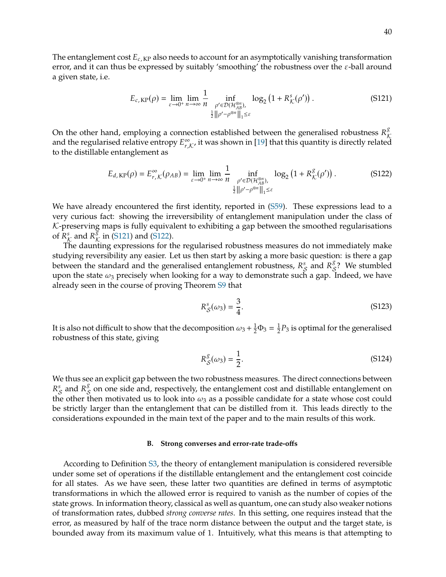The entanglement cost  $E_{c,K}$  also needs to account for an asymptotically vanishing transformation error, and it can thus be expressed by suitably 'smoothing' the robustness over the  $\varepsilon$ -ball around a given state, i.e.

<span id="page-39-1"></span>
$$
E_{c,KP}(\rho) = \lim_{\varepsilon \to 0^+} \lim_{n \to \infty} \frac{1}{n} \inf_{\substack{\rho' \in \mathcal{D}(\mathcal{H}_{AB}^{\otimes n}), \\ \frac{1}{2} ||\rho' - \rho^{\otimes n}||_1 \leq \varepsilon}} \log_2 \left(1 + R_K^s(\rho')\right). \tag{S121}
$$

On the other hand, employing a connection established between the generalised robustness  $R^{\delta}_{\mathcal{K}}$ <br>and the reqularised relative entropy  $F^{\infty}$  is wes shown in [19] that this quantity is directly related and the regularised relative entropy  $E_{r,n}^{\infty}$  $\int_{r,\mathcal{K}'}^{\infty}$  it was shown in [\[19\]](#page-13-11) that this quantity is directly related to the distillable entanglement as

<span id="page-39-2"></span>
$$
E_{d, KP}(\rho) = E_{r, K}^{\infty}(\rho_{AB}) = \lim_{\varepsilon \to 0^{+}} \lim_{n \to \infty} \frac{1}{n} \inf_{\substack{\rho' \in \mathcal{D}(\mathcal{H}_{AB}^{\otimes n}), \\ \frac{1}{2} ||\rho' - \rho^{\otimes n}||_1 \leq \varepsilon}} \log_2 \left(1 + R_{\mathcal{K}}^{\mathcal{S}}(\rho')\right). \tag{S122}
$$

We have already encountered the first identity, reported in [\(S59\)](#page-27-1). These expressions lead to a very curious fact: showing the irreversibility of entanglement manipulation under the class of  $K$ -preserving maps is fully equivalent to exhibiting a gap between the smoothed regularisations of  $R^s_{\mathcal{K}}$  and  $R^s_{\mathcal{K}}$  in [\(S121\)](#page-39-1) and [\(S122\)](#page-39-2).<br>The day ting expressions for the

The daunting expressions for the regularised robustness measures do not immediately make studying reversibility any easier. Let us then start by asking a more basic question: is there a gap between the standard and the generalised entanglement robustness,  $R_S^s$  and  $R_S^s$ ? We stumbled<br>upon the state  $\omega$  procisely when looking for a way to demonstrate such a gap. Indeed, we have upon the state  $\omega_3$  precisely when looking for a way to demonstrate such a gap. Indeed, we have already seen in the course of proving Theorem [S9](#page-27-0) that

$$
R_S^s(\omega_3) = \frac{3}{4}.\tag{S123}
$$

It is also not difficult to show that the decomposition  $\omega_3 + \frac{1}{2}\Phi_3 = \frac{1}{2}$  $\frac{1}{2}P_3$  is optimal for the generalised robustness of this state, giving

$$
R_{\mathcal{S}}^{\mathcal{S}}(\omega_3) = \frac{1}{2}.\tag{S124}
$$

We thus see an explicit gap between the two robustness measures. The direct connections between the other then motivated us to look into  $\omega_3$  as a possible candidate for a state whose cost could  $S_{\mathcal{S}}$  and  $R_{\mathcal{S}}^s$  on one side and, respectively, the entanglement cost and distillable entanglement on<br>so other than metivated us to look into see a possible sandidate for a state whose sest sould be strictly larger than the entanglement that can be distilled from it. This leads directly to the considerations expounded in the main text of the paper and to the main results of this work.

#### <span id="page-39-0"></span>**B. Strong converses and error-rate trade-offs**

According to Definition [S3,](#page-20-1) the theory of entanglement manipulation is considered reversible under some set of operations if the distillable entanglement and the entanglement cost coincide for all states. As we have seen, these latter two quantities are defined in terms of asymptotic transformations in which the allowed error is required to vanish as the number of copies of the state grows. In information theory, classical as well as quantum, one can study also weaker notions of transformation rates, dubbed *strong converse rates*. In this setting, one requires instead that the error, as measured by half of the trace norm distance between the output and the target state, is bounded away from its maximum value of 1. Intuitively, what this means is that attempting to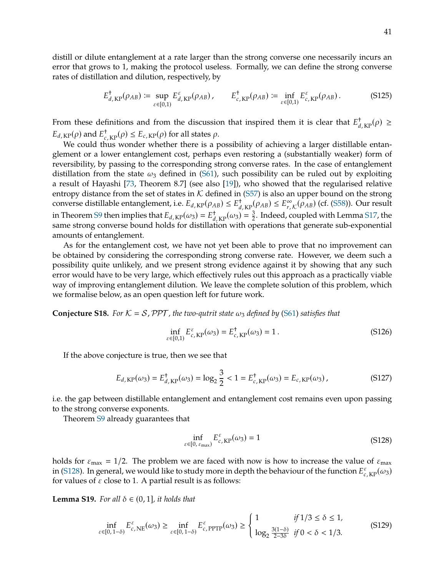distill or dilute entanglement at a rate larger than the strong converse one necessarily incurs an error that grows to 1, making the protocol useless. Formally, we can define the strong converse rates of distillation and dilution, respectively, by

$$
E_{d,\text{KP}}^{\dagger}(\rho_{AB}) \coloneqq \sup_{\varepsilon \in [0,1)} E_{d,\text{KP}}^{\varepsilon}(\rho_{AB}), \qquad E_{c,\text{KP}}^{\dagger}(\rho_{AB}) \coloneqq \inf_{\varepsilon \in [0,1)} E_{c,\text{KP}}^{\varepsilon}(\rho_{AB}). \tag{S125}
$$

From these definitions and from the discussion that inspired them it is clear that  $E_{d,\text{KP}}^{\dagger}(\rho) \geq$  $E_{d, \text{KP}}(\rho)$  and  $E_{c, \text{KP}}^{\dagger}(\rho) \leq E_{c, \text{KP}}(\rho)$  for all states  $\rho$ .<br>We could thus wonder whether there is a r

We could thus wonder whether there is a possibility of achieving a larger distillable entanglement or a lower entanglement cost, perhaps even restoring a (substantially weaker) form of reversibility, by passing to the corresponding strong converse rates. In the case of entanglement distillation from the state  $\omega_3$  defined in [\(S61\)](#page-27-2), such possibility can be ruled out by exploiting a result of Hayashi [\[73,](#page-15-7) Theorem 8.7] (see also [\[19\]](#page-13-11)), who showed that the regularised relative entropy distance from the set of states in  $K$  defined in [\(S57\)](#page-27-7) is also an upper bound on the strong converse distillable entanglement, i.e.  $E_{d,KP}(\rho_{AB}) \leq E_{d,KP}^{\dagger}(\rho_{AB}) \leq E_{r,K}^{\infty}(\rho_{AB})$  (cf. [\(S58\)](#page-27-3)). Our result tonverse distinant entanglement, i.e.  $L_a$ ,  $K_P(\gamma AB) \ge L_d$ ,  $K_P(\gamma AB) \ge L_r$ ,  $K$ <br>in Theorem [S9](#page-27-0) then implies that  $E_{d, KP}(\omega_3) = E_{d, KP}^{\dagger}(\omega_3) = \frac{3}{2}$ . Indeed, co<br>same strong converse bound holds for distillation with operati  $\frac{3}{2}$ . Indeed, coupled with Lemma [S17,](#page-35-2) the same strong converse bound holds for distillation with operations that generate sub-exponential amounts of entanglement.

As for the entanglement cost, we have not yet been able to prove that no improvement can be obtained by considering the corresponding strong converse rate. However, we deem such a possibility quite unlikely, and we present strong evidence against it by showing that any such error would have to be very large, which effectively rules out this approach as a practically viable way of improving entanglement dilution. We leave the complete solution of this problem, which we formalise below, as an open question left for future work.

**Conjecture S18.** For  $K = S$ , PPT, the two-qutrit state  $\omega_3$  defined by [\(S61\)](#page-27-2) satisfies that

$$
\inf_{\varepsilon \in [0,1)} E_{c,\text{KP}}^{\varepsilon}(\omega_3) = E_{c,\text{KP}}^{\dagger}(\omega_3) = 1. \tag{S126}
$$

If the above conjecture is true, then we see that

$$
E_{d,KP}(\omega_3) = E_{d,KP}^{\dagger}(\omega_3) = \log_2 \frac{3}{2} < 1 = E_{c,KP}^{\dagger}(\omega_3) = E_{c,KP}(\omega_3) \,,\tag{S127}
$$

i.e. the gap between distillable entanglement and entanglement cost remains even upon passing to the strong converse exponents.

Theorem [S9](#page-27-0) already guarantees that

<span id="page-40-1"></span>
$$
\inf_{\varepsilon \in [0, \varepsilon_{\text{max}})} E_{c, \text{KP}}^{\varepsilon}(\omega_3) = 1 \tag{S128}
$$

holds for  $\varepsilon_{\text{max}} = 1/2$ . The problem we are faced with now is how to increase the value of  $\varepsilon_{\text{max}}$ in [\(S128\)](#page-40-1). In general, we would like to study more in depth the behaviour of the function  $E_{c,KP}^{\varepsilon}(\omega_3)$  for values of  $\varepsilon$  close to 1. A partial result is as follows: for values of  $\varepsilon$  close to 1. A partial result is as follows:

<span id="page-40-0"></span>**Lemma S19.** *For all*  $\delta \in (0, 1]$ *, it holds that* 

$$
\inf_{\varepsilon \in [0, 1-\delta)} E_{c, \text{NE}}^{\varepsilon}(\omega_3) \ge \inf_{\varepsilon \in [0, 1-\delta)} E_{c, \text{PTTP}}^{\varepsilon}(\omega_3) \ge \begin{cases} 1 & \text{if } 1/3 \le \delta \le 1, \\ \log_2 \frac{3(1-\delta)}{2-3\delta} & \text{if } 0 < \delta < 1/3. \end{cases} \tag{S129}
$$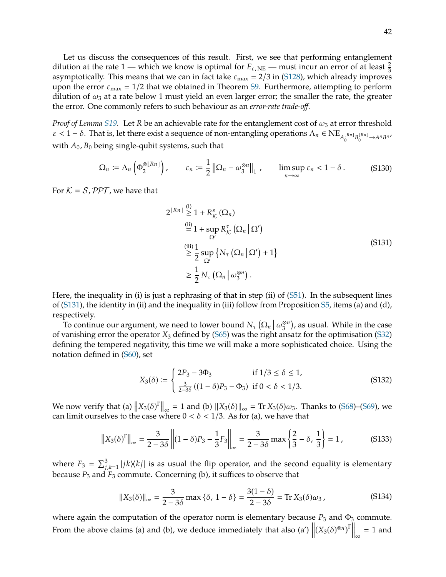Let us discuss the consequences of this result. First, we see that performing entanglement dilution at the rate 1 — which we know is optimal for  $E_{c, NE}$  — must incur an error of at least  $\frac{2}{3}$ <br>asymptotically. This means that we can in fact take  $s = 2/3$  in (\$128), which already improves asymptotically. This means that we can in fact take  $\varepsilon_{\text{max}} = 2/3$  in [\(S128\)](#page-40-1), which already improves upon the error  $\varepsilon_{\text{max}} = 1/2$  that we obtained in Theorem [S9.](#page-27-0) Furthermore, attempting to perform dilution of  $\omega_3$  at a rate below 1 must yield an even larger error; the smaller the rate, the greater the error. One commonly refers to such behaviour as an *error-rate trade-off*.

*Proof of Lemma [S19.](#page-40-0)* Let  $R$  be an achievable rate for the entanglement cost of  $\omega_3$  at error threshold  $\varepsilon < 1 - \delta$ . That is, let there exist a sequence of non-entangling operations  $\Lambda_n \in \text{NE}_{A_0^{\lfloor Rn \rfloor} B_0^{\lfloor Rn \rfloor} \to A^n B^n}$ with  $A_0$ ,  $B_0$  being single-qubit systems, such that

<span id="page-41-2"></span>
$$
\Omega_n \coloneqq \Lambda_n \left( \Phi_2^{\otimes \lfloor Rn \rfloor} \right), \qquad \varepsilon_n \coloneqq \frac{1}{2} \left\| \Omega_n - \omega_3^{\otimes n} \right\|_1, \qquad \limsup_{n \to \infty} \varepsilon_n < 1 - \delta. \tag{S130}
$$

For  $K = S$ , PPT, we have that

<span id="page-41-0"></span>
$$
2^{\lfloor Rn \rfloor} \stackrel{\text{(i)}}{\geq} 1 + R_{\mathcal{K}}^{s} (\Omega_{n})
$$
\n
$$
\stackrel{\text{(ii)}}{=} 1 + \sup_{\Omega'} R_{\mathcal{K}}^{\tau} (\Omega_{n} | \Omega')
$$
\n
$$
\stackrel{\text{(iii)}}{\geq} \frac{1}{2} \sup_{\Omega'} \{ N_{\tau} (\Omega_{n} | \Omega') + 1 \}
$$
\n
$$
\geq \frac{1}{2} N_{\tau} (\Omega_{n} | \omega_{3}^{\otimes n}).
$$
\n(S131)

Here, the inequality in (i) is just a rephrasing of that in step (ii) of [\(S51\)](#page-25-1). In the subsequent lines of [\(S131\)](#page-41-0), the identity in (ii) and the inequality in (iii) follow from Proposition [S5,](#page-21-3) items (a) and (d), respectively.

To continue our argument, we need to lower bound  $N_{\tau} (\Omega_n | \omega_3^{\otimes n})$ , as usual. While in the case of vanishing error the operator  $X_3$  defined by [\(S65\)](#page-28-3) was the right ansatz for the optimisation [\(S32\)](#page-21-2) defining the tempered negativity, this time we will make a more sophisticated choice. Using the notation defined in [\(S60\)](#page-27-5), set

$$
X_3(\delta) := \begin{cases} 2P_3 - 3\Phi_3 & \text{if } 1/3 \le \delta \le 1, \\ \frac{3}{2-3\delta} \left( (1-\delta)P_3 - \Phi_3 \right) & \text{if } 0 < \delta < 1/3. \end{cases}
$$
(S132)

We now verify that (a)  $||X_3(\delta)||_{\infty} = 1$  and (b)  $||X_3(\delta)||_{\infty} = \text{Tr } X_3(\delta)\omega_3$ . Thanks to [\(S68\)](#page-28-0)–[\(S69\)](#page-28-1), we can limit ourselves to the case where  $0 < \delta < 1/3$ . As for (a), we have that can limit ourselves to the case where  $0 < \delta < 1/3$ . As for (a), we have that

$$
||X_3(\delta)^{\Gamma}||_{\infty} = \frac{3}{2 - 3\delta} ||(1 - \delta)P_3 - \frac{1}{3}F_3||_{\infty} = \frac{3}{2 - 3\delta} \max\left\{\frac{2}{3} - \delta, \frac{1}{3}\right\} = 1,
$$
 (S133)

where  $F_3 = \sum_{j,k=1}^3 |jk\rangle\langle kj|$  is as usual the flip operator, and the second equality is elementary hocaves  $P_3$  and  $F_4$  commute Concerning (b) it suffices to observe that because  $P_3$  and  $F_3$  commute. Concerning (b), it suffices to observe that

<span id="page-41-1"></span>
$$
||X_3(\delta)||_{\infty} = \frac{3}{2 - 3\delta} \max \{\delta, 1 - \delta\} = \frac{3(1 - \delta)}{2 - 3\delta} = \text{Tr } X_3(\delta)\omega_3,
$$
 (S134)

where again the computation of the operator norm is elementary because  $P_3$  and  $\Phi_3$  commute. From the above claims (a) and (b), we deduce immediately that also (a')  $\left\| (X_3(\delta)^{\otimes n})^{\Gamma} \right\|_{\infty} = 1$  and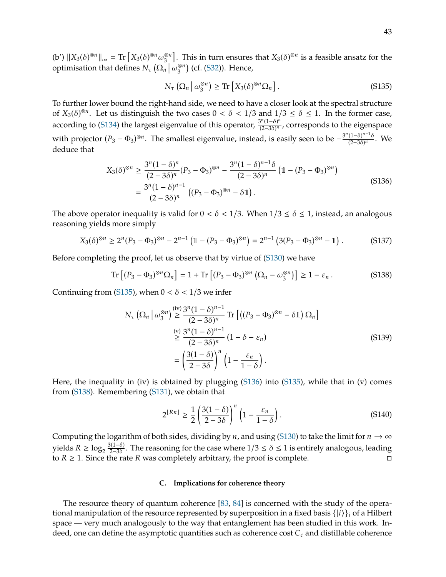$(b') \|X_3(\delta)^{\otimes n}\|_{\infty} = \text{Tr}\left[X_3(\delta)^{\otimes n} \omega_3^{\otimes n}\right]$ . This in turn ensures that  $X_3(\delta)^{\otimes n}$  is a feasible ansatz for the optimisation that defines  $N_{\tau} (\Omega_n | \omega_3^{\otimes n})$  (cf. [\(S32\)](#page-21-2)). Hence,

<span id="page-42-0"></span>
$$
N_{\tau}\left(\Omega_n \middle| \omega_3^{\otimes n}\right) \ge \text{Tr}\left[X_3(\delta)^{\otimes n}\Omega_n\right].\tag{S135}
$$

To further lower bound the right-hand side, we need to have a closer look at the spectral structure of  $X_3(\delta)^{\otimes n}$ . Let us distinguish the two cases  $0 < \delta < 1/3$  and  $1/3 \le \delta \le 1$ . In the former case, according to [\(S134\)](#page-41-1) the largest eigenvalue of this operator,  $\frac{3^n(1-\delta)^n}{(2-3\delta)^n}$ , corresponds to the eigenspace with projector  $(P_3 - \Phi_3)^{\otimes n}$ . The smallest eigenvalue, instead, is easily seen to be  $-\frac{3^n(1-\delta)^{n-1}\delta}{(2-3\delta)^n}$  $\frac{(1-\sigma)}{(2-3\delta)^n}$ . We deduce that

<span id="page-42-1"></span>
$$
X_3(\delta)^{\otimes n} \ge \frac{3^n (1 - \delta)^n}{(2 - 3\delta)^n} (P_3 - \Phi_3)^{\otimes n} - \frac{3^n (1 - \delta)^{n - 1} \delta}{(2 - 3\delta)^n} \left(1 - (P_3 - \Phi_3)^{\otimes n}\right)
$$
  
= 
$$
\frac{3^n (1 - \delta)^{n - 1}}{(2 - 3\delta)^n} \left( (P_3 - \Phi_3)^{\otimes n} - \delta 1\right).
$$
 (S136)

The above operator inequality is valid for  $0 < \delta < 1/3$ . When  $1/3 \le \delta \le 1$ , instead, an analogous reasoning yields more simply

$$
X_3(\delta)^{\otimes n} \ge 2^n (P_3 - \Phi_3)^{\otimes n} - 2^{n-1} \left( 1 - (P_3 - \Phi_3)^{\otimes n} \right) = 2^{n-1} \left( 3(P_3 - \Phi_3)^{\otimes n} - 1 \right). \tag{S137}
$$

Before completing the proof, let us observe that by virtue of [\(S130\)](#page-41-2) we have

<span id="page-42-2"></span>
$$
\operatorname{Tr}\left[ (P_3 - \Phi_3)^{\otimes n} \Omega_n \right] = 1 + \operatorname{Tr}\left[ (P_3 - \Phi_3)^{\otimes n} \left( \Omega_n - \omega_3^{\otimes n} \right) \right] \ge 1 - \varepsilon_n \,. \tag{S138}
$$

Continuing from [\(S135\)](#page-42-0), when  $0 < \delta < 1/3$  we infer

$$
N_{\tau} \left( \Omega_n \left| \omega_3^{\otimes n} \right) \right) \ge \frac{3^n (1 - \delta)^{n-1}}{(2 - 3\delta)^n} \operatorname{Tr} \left[ \left( (P_3 - \Phi_3)^{\otimes n} - \delta \mathbb{1} \right) \Omega_n \right]
$$
  

$$
\ge \frac{(v)}{(2 - 3\delta)^n} (1 - \delta - \varepsilon_n)
$$
  

$$
= \left( \frac{3(1 - \delta)}{2 - 3\delta} \right)^n \left( 1 - \frac{\varepsilon_n}{1 - \delta} \right).
$$
 (S139)

Here, the inequality in (iv) is obtained by plugging [\(S136\)](#page-42-1) into [\(S135\)](#page-42-0), while that in (v) comes from [\(S138\)](#page-42-2). Remembering [\(S131\)](#page-41-0), we obtain that

$$
2^{\lfloor Rn \rfloor} \ge \frac{1}{2} \left( \frac{3(1-\delta)}{2-3\delta} \right)^n \left( 1 - \frac{\varepsilon_n}{1-\delta} \right). \tag{S140}
$$

Computing the logarithm of both sides, dividing by *n*, and using [\(S130\)](#page-41-2) to take the limit for  $n \to \infty$ yields  $R \ge \log_2 \frac{3(1-\delta)}{2-3\delta}$  $\frac{3(1-\delta)}{2-3\delta}$ . The reasoning for the case where  $1/3 \leq \delta \leq 1$  is entirely analogous, leading to  $R \ge 1$ . Since the rate R was completely arbitrary, the proof is complete.

# **C. Implications for coherence theory**

The resource theory of quantum coherence [\[83,](#page-15-17) [84\]](#page-15-18) is concerned with the study of the operational manipulation of the resource represented by superposition in a fixed basis  $\{|i\rangle\}_i$  of a Hilbert space — very much analogously to the way that entanglement has been studied in this work. Indeed, one can define the asymptotic quantities such as coherence cost  $C_c$  and distillable coherence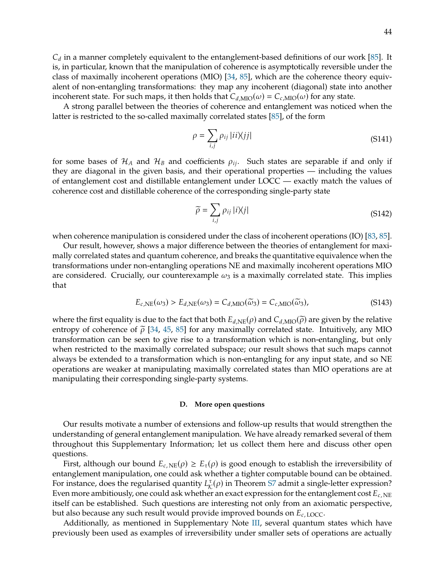$C_d$  in a manner completely equivalent to the entanglement-based definitions of our work [\[85\]](#page-15-19). It is, in particular, known that the manipulation of coherence is asymptotically reversible under the class of maximally incoherent operations (MIO) [\[34,](#page-14-0) [85\]](#page-15-19), which are the coherence theory equivalent of non-entangling transformations: they map any incoherent (diagonal) state into another incoherent state. For such maps, it then holds that  $C_{d,\text{MIO}}(\omega) = C_{c,\text{MIO}}(\omega)$  for any state.

A strong parallel between the theories of coherence and entanglement was noticed when the latter is restricted to the so-called maximally correlated states [\[85\]](#page-15-19), of the form

$$
\rho = \sum_{i,j} \rho_{ij} |ii\rangle\langle jj| \tag{S141}
$$

for some bases of  $H_A$  and  $H_B$  and coefficients  $\rho_{ij}$ . Such states are separable if and only if they are diagonal in the given basis, and their operational properties — including the values of entanglement cost and distillable entanglement under LOCC — exactly match the values of coherence cost and distillable coherence of the corresponding single-party state

$$
\widetilde{\rho} = \sum_{i,j} \rho_{ij} |i\rangle\langle j| \tag{S142}
$$

when coherence manipulation is considered under the class of incoherent operations (IO) [\[83,](#page-15-17) [85\]](#page-15-19).

Our result, however, shows a major difference between the theories of entanglement for maximally correlated states and quantum coherence, and breaks the quantitative equivalence when the transformations under non-entangling operations NE and maximally incoherent operations MIO are considered. Crucially, our counterexample  $\omega_3$  is a maximally correlated state. This implies that

$$
E_{c,\text{NE}}(\omega_3) > E_{d,\text{NE}}(\omega_3) = C_{d,\text{MIO}}(\tilde{\omega}_3) = C_{c,\text{MIO}}(\tilde{\omega}_3),
$$
\n(S143)

where the first equality is due to the fact that both  $E_{d,NE}(\rho)$  and  $C_{d,MO}(\tilde{\rho})$  are given by the relative entropy of coherence of  $\tilde{\rho}$  [\[34,](#page-14-0) [45,](#page-14-9) [85\]](#page-15-19) for any maximally correlated state. Intuitively, any MIO transformation can be seen to give rise to a transformation which is non-entangling, but only when restricted to the maximally correlated subspace; our result shows that such maps cannot always be extended to a transformation which is non-entangling for any input state, and so NE operations are weaker at manipulating maximally correlated states than MIO operations are at manipulating their corresponding single-party systems.

## **D. More open questions**

Our results motivate a number of extensions and follow-up results that would strengthen the understanding of general entanglement manipulation. We have already remarked several of them throughout this Supplementary Information; let us collect them here and discuss other open questions.

First, although our bound  $E_{c,NE}(\rho) \geq E_{\tau}(\rho)$  is good enough to establish the irreversibility of entanglement manipulation, one could ask whether a tighter computable bound can be obtained. For instance, does the regularised quantity  $L^{\tau}(\rho)$  in Theorem [S7](#page-24-3) admit a single-letter expression?<br>Even more ambitiously, one could ask whether an exact expression for the entanglement cost  $F_{\tau}$ Even more ambitiously, one could ask whether an exact expression for the entanglement cost  $E_{c,NE}$ itself can be established. Such questions are interesting not only from an axiomatic perspective, but also because any such result would provide improved bounds on  $E_{c,\text{LOCC}}$ .

Additionally, as mentioned in Supplementary Note  $III$ , several quantum states which have previously been used as examples of irreversibility under smaller sets of operations are actually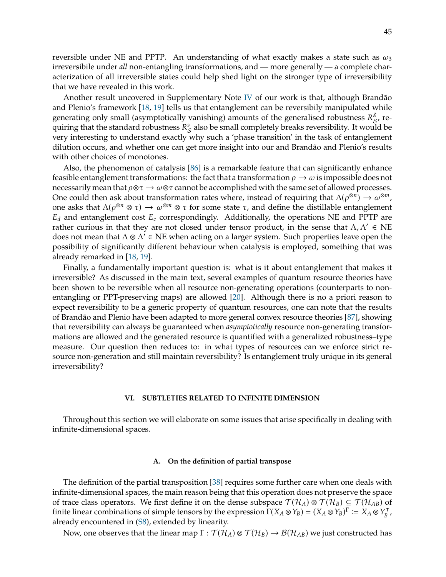reversible under NE and PPTP. An understanding of what exactly makes a state such as  $\omega_3$ irreversibile under *all* non-entangling transformations, and — more generally — a complete characterization of all irreversible states could help shed light on the stronger type of irreversibility that we have revealed in this work.

Another result uncovered in Supplementary Note [IV](#page-30-0) of our work is that, although Brandão and Plenio's framework [\[18,](#page-13-10) [19\]](#page-13-11) tells us that entanglement can be reversibily manipulated while generating only small (asymptotically vanishing) amounts of the generalised robustness  $R^s_{\mathcal{S}}$ , re-<br>quiring that the standard rebustness  $R^s$  also be small completely broaks reversibility. It would be quiring that the standard robustness  $R_S^s$  also be small completely breaks reversibility. It would be<br>your interesting to understand exactly why such a 'nhase transition' in the task of ontangloment very interesting to understand exactly why such a 'phase transition' in the task of entanglement dilution occurs, and whether one can get more insight into our and Brandão and Plenio's results with other choices of monotones.

Also, the phenomenon of catalysis [\[86\]](#page-15-20) is a remarkable feature that can significantly enhance feasible entanglement transformations: the fact that a transformation  $\rho \to \omega$  is impossible does not necessarily mean that  $\rho \otimes \tau \to \omega \otimes \tau$  cannot be accomplished with the same set of allowed processes. One could then ask about transformation rates where, instead of requiring that  $\Lambda(\rho^{\otimes n}) \to \omega^{\otimes m}$ , one asks that  $\Lambda(\rho^{\otimes n} \otimes \tau) \to \omega^{\otimes m} \otimes \tau$  for some state  $\tau$ , and define the distillable entanglement  $E_d$  and entanglement cost  $E_c$  correspondingly. Additionally, the operations NE and PPTP are rather curious in that they are not closed under tensor product, in the sense that  $\Lambda, \Lambda' \in NE$ does not mean that  $\Lambda \otimes \Lambda' \in NE$  when acting on a larger system. Such properties leave open the possibility of significantly different behaviour when catalysis is employed, something that was already remarked in [\[18,](#page-13-10) [19\]](#page-13-11).

Finally, a fundamentally important question is: what is it about entanglement that makes it irreversible? As discussed in the main text, several examples of quantum resource theories have been shown to be reversible when all resource non-generating operations (counterparts to nonentangling or PPT-preserving maps) are allowed [\[20\]](#page-13-12). Although there is no a priori reason to expect reversibility to be a generic property of quantum resources, one can note that the results of Brandão and Plenio have been adapted to more general convex resource theories [\[87\]](#page-15-21), showing that reversibility can always be guaranteed when *asymptotically* resource non-generating transformations are allowed and the generated resource is quantified with a generalized robustness–type measure. Our question then reduces to: in what types of resources can we enforce strict resource non-generation and still maintain reversibility? Is entanglement truly unique in its general irreversibility?

#### <span id="page-44-0"></span>**VI. SUBTLETIES RELATED TO INFINITE DIMENSION**

Throughout this section we will elaborate on some issues that arise specifically in dealing with infinite-dimensional spaces.

#### **A. On the definition of partial transpose**

The definition of the partial transposition [\[38\]](#page-14-4) requires some further care when one deals with infinite-dimensional spaces, the main reason being that this operation does not preserve the space of trace class operators. We first define it on the dense subspace  $\mathcal{T}(\mathcal{H}_A) \otimes \mathcal{T}(\mathcal{H}_B) \subseteq \mathcal{T}(\mathcal{H}_{AB})$  of finite linear combinations of simple tensors by the expression  $\Gamma(X_A \otimes Y_B) = (X_A \otimes Y_B)^{\Gamma} := X_A \otimes Y_B^{\top}$ , already encountered in [\(S8\)](#page-17-4), extended by linearity.

Now, one observes that the linear map  $\Gamma : \mathcal{T}(\mathcal{H}_A) \otimes \mathcal{T}(\mathcal{H}_B) \to \mathcal{B}(\mathcal{H}_{AB})$  we just constructed has